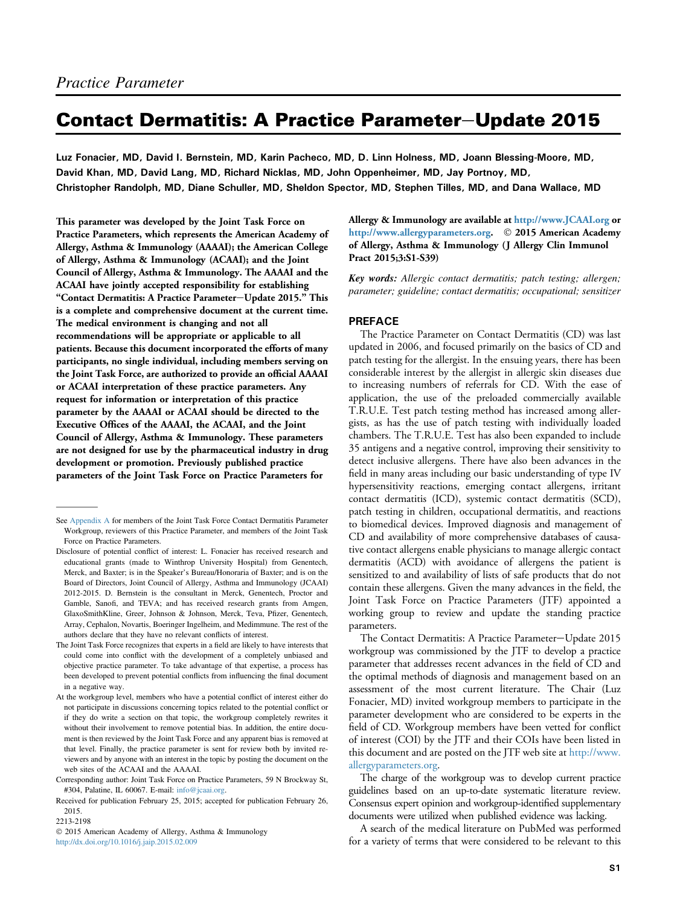# Contact Dermatitis: A Practice Parameter-Update 2015

Luz Fonacier, MD, David I. Bernstein, MD, Karin Pacheco, MD, D. Linn Holness, MD, Joann Blessing-Moore, MD, David Khan, MD, David Lang, MD, Richard Nicklas, MD, John Oppenheimer, MD, Jay Portnoy, MD, Christopher Randolph, MD, Diane Schuller, MD, Sheldon Spector, MD, Stephen Tilles, MD, and Dana Wallace, MD

This parameter was developed by the Joint Task Force on Practice Parameters, which represents the American Academy of Allergy, Asthma & Immunology (AAAAI); the American College of Allergy, Asthma & Immunology (ACAAI); and the Joint Council of Allergy, Asthma & Immunology. The AAAAI and the ACAAI have jointly accepted responsibility for establishing "Contact Dermatitis: A Practice Parameter-Update 2015." This is a complete and comprehensive document at the current time. The medical environment is changing and not all recommendations will be appropriate or applicable to all patients. Because this document incorporated the efforts of many participants, no single individual, including members serving on the Joint Task Force, are authorized to provide an official AAAAI or ACAAI interpretation of these practice parameters. Any request for information or interpretation of this practice parameter by the AAAAI or ACAAI should be directed to the Executive Offices of the AAAAI, the ACAAI, and the Joint Council of Allergy, Asthma & Immunology. These parameters are not designed for use by the pharmaceutical industry in drug development or promotion. Previously published practice parameters of the Joint Task Force on Practice Parameters for

2213-2198

Allergy & Immunology are available at <http://www.JCAAI.org> or <http://www.allergyparameters.org>. © 2015 American Academy of Allergy, Asthma & Immunology (J Allergy Clin Immunol Pract 2015;3:S1-S39)

Key words: Allergic contact dermatitis; patch testing; allergen; parameter; guideline; contact dermatitis; occupational; sensitizer

### PREFACE

The Practice Parameter on Contact Dermatitis (CD) was last updated in 2006, and focused primarily on the basics of CD and patch testing for the allergist. In the ensuing years, there has been considerable interest by the allergist in allergic skin diseases due to increasing numbers of referrals for CD. With the ease of application, the use of the preloaded commercially available T.R.U.E. Test patch testing method has increased among allergists, as has the use of patch testing with individually loaded chambers. The T.R.U.E. Test has also been expanded to include 35 antigens and a negative control, improving their sensitivity to detect inclusive allergens. There have also been advances in the field in many areas including our basic understanding of type IV hypersensitivity reactions, emerging contact allergens, irritant contact dermatitis (ICD), systemic contact dermatitis (SCD), patch testing in children, occupational dermatitis, and reactions to biomedical devices. Improved diagnosis and management of CD and availability of more comprehensive databases of causative contact allergens enable physicians to manage allergic contact dermatitis (ACD) with avoidance of allergens the patient is sensitized to and availability of lists of safe products that do not contain these allergens. Given the many advances in the field, the Joint Task Force on Practice Parameters (JTF) appointed a working group to review and update the standing practice parameters.

The Contact Dermatitis: A Practice Parameter-Update 2015 workgroup was commissioned by the JTF to develop a practice parameter that addresses recent advances in the field of CD and the optimal methods of diagnosis and management based on an assessment of the most current literature. The Chair (Luz Fonacier, MD) invited workgroup members to participate in the parameter development who are considered to be experts in the field of CD. Workgroup members have been vetted for conflict of interest (COI) by the JTF and their COIs have been listed in this document and are posted on the JTF web site at [http://www.](http://www.allergyparameters.org) [allergyparameters.org](http://www.allergyparameters.org).

The charge of the workgroup was to develop current practice guidelines based on an up-to-date systematic literature review. Consensus expert opinion and workgroup-identified supplementary documents were utilized when published evidence was lacking.

A search of the medical literature on PubMed was performed for a variety of terms that were considered to be relevant to this

See [Appendix A](#page-31-0) for members of the Joint Task Force Contact Dermatitis Parameter Workgroup, reviewers of this Practice Parameter, and members of the Joint Task Force on Practice Parameters.

Disclosure of potential conflict of interest: L. Fonacier has received research and educational grants (made to Winthrop University Hospital) from Genentech, Merck, and Baxter; is in the Speaker's Bureau/Honoraria of Baxter; and is on the Board of Directors, Joint Council of Allergy, Asthma and Immunology (JCAAI) 2012-2015. D. Bernstein is the consultant in Merck, Genentech, Proctor and Gamble, Sanofi, and TEVA; and has received research grants from Amgen, GlaxoSmithKline, Greer, Johnson & Johnson, Merck, Teva, Pfizer, Genentech, Array, Cephalon, Novartis, Boeringer Ingelheim, and Medimmune. The rest of the authors declare that they have no relevant conflicts of interest.

The Joint Task Force recognizes that experts in a field are likely to have interests that could come into conflict with the development of a completely unbiased and objective practice parameter. To take advantage of that expertise, a process has been developed to prevent potential conflicts from influencing the final document in a negative way.

At the workgroup level, members who have a potential conflict of interest either do not participate in discussions concerning topics related to the potential conflict or if they do write a section on that topic, the workgroup completely rewrites it without their involvement to remove potential bias. In addition, the entire document is then reviewed by the Joint Task Force and any apparent bias is removed at that level. Finally, the practice parameter is sent for review both by invited reviewers and by anyone with an interest in the topic by posting the document on the web sites of the ACAAI and the AAAAI.

Corresponding author: Joint Task Force on Practice Parameters, 59 N Brockway St, #304, Palatine, IL 60067. E-mail: [info@jcaai.org](mailto:info@jcaai.org).

Received for publication February 25, 2015; accepted for publication February 26, 2015.

2015 American Academy of Allergy, Asthma & Immunology

<http://dx.doi.org/10.1016/j.jaip.2015.02.009>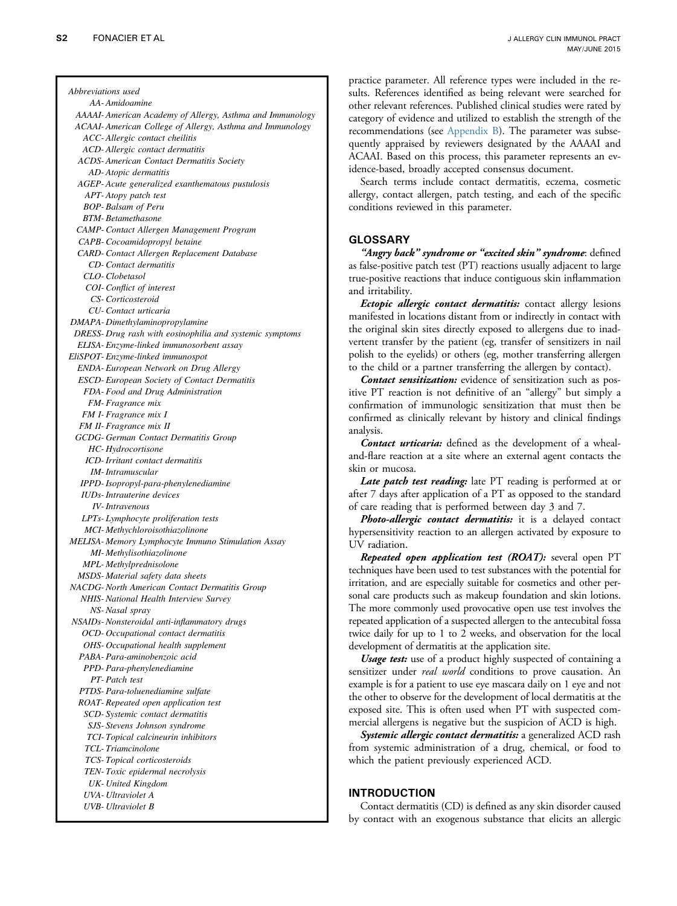Abbreviations used AA- Amidoamine AAAAI- American Academy of Allergy, Asthma and Immunology ACAAI- American College of Allergy, Asthma and Immunology ACC- Allergic contact cheilitis ACD- Allergic contact dermatitis ACDS- American Contact Dermatitis Society AD- Atopic dermatitis AGEP- Acute generalized exanthematous pustulosis APT- Atopy patch test BOP- Balsam of Peru BTM- Betamethasone CAMP- Contact Allergen Management Program CAPB- Cocoamidopropyl betaine CARD- Contact Allergen Replacement Database CD- Contact dermatitis CLO- Clobetasol COI- Conflict of interest CS- Corticosteroid CU- Contact urticaria DMAPA- Dimethylaminopropylamine DRESS- Drug rash with eosinophilia and systemic symptoms ELISA- Enzyme-linked immunosorbent assay EliSPOT- Enzyme-linked immunospot ENDA- European Network on Drug Allergy ESCD- European Society of Contact Dermatitis FDA- Food and Drug Administration FM- Fragrance mix FM I- Fragrance mix I FM II- Fragrance mix II GCDG- German Contact Dermatitis Group HC- Hydrocortisone ICD- Irritant contact dermatitis IM- Intramuscular IPPD- Isopropyl-para-phenylenediamine IUDs- Intrauterine devices IV- Intravenous LPTs- Lymphocyte proliferation tests MCI- Methychloroisothiazolinone MELISA- Memory Lymphocyte Immuno Stimulation Assay MI- Methylisothiazolinone MPL- Methylprednisolone MSDS- Material safety data sheets NACDG- North American Contact Dermatitis Group NHIS- National Health Interview Survey NS- Nasal spray NSAIDs- Nonsteroidal anti-inflammatory drugs OCD- Occupational contact dermatitis OHS- Occupational health supplement PABA- Para-aminobenzoic acid PPD- Para-phenylenediamine PT- Patch test PTDS- Para-toluenediamine sulfate ROAT- Repeated open application test SCD- Systemic contact dermatitis SJS- Stevens Johnson syndrome TCI- Topical calcineurin inhibitors TCL- Triamcinolone TCS- Topical corticosteroids TEN- Toxic epidermal necrolysis UK- United Kingdom UVA- Ultraviolet A

UVB- Ultraviolet B

practice parameter. All reference types were included in the results. References identified as being relevant were searched for other relevant references. Published clinical studies were rated by category of evidence and utilized to establish the strength of the recommendations (see [Appendix B](#page-32-0)). The parameter was subsequently appraised by reviewers designated by the AAAAI and ACAAI. Based on this process, this parameter represents an evidence-based, broadly accepted consensus document.

Search terms include contact dermatitis, eczema, cosmetic allergy, contact allergen, patch testing, and each of the specific conditions reviewed in this parameter.

### GLOSSARY

"Angry back" syndrome or "excited skin" syndrome: defined as false-positive patch test (PT) reactions usually adjacent to large true-positive reactions that induce contiguous skin inflammation and irritability.

Ectopic allergic contact dermatitis: contact allergy lesions manifested in locations distant from or indirectly in contact with the original skin sites directly exposed to allergens due to inadvertent transfer by the patient (eg, transfer of sensitizers in nail polish to the eyelids) or others (eg, mother transferring allergen to the child or a partner transferring the allergen by contact).

Contact sensitization: evidence of sensitization such as positive PT reaction is not definitive of an "allergy" but simply a confirmation of immunologic sensitization that must then be confirmed as clinically relevant by history and clinical findings analysis.

**Contact urticaria:** defined as the development of a whealand-flare reaction at a site where an external agent contacts the skin or mucosa.

Late patch test reading: late PT reading is performed at or after 7 days after application of a PT as opposed to the standard of care reading that is performed between day 3 and 7.

Photo-allergic contact dermatitis: it is a delayed contact hypersensitivity reaction to an allergen activated by exposure to UV radiation.

Repeated open application test (ROAT): several open PT techniques have been used to test substances with the potential for irritation, and are especially suitable for cosmetics and other personal care products such as makeup foundation and skin lotions. The more commonly used provocative open use test involves the repeated application of a suspected allergen to the antecubital fossa twice daily for up to 1 to 2 weeks, and observation for the local development of dermatitis at the application site.

Usage test: use of a product highly suspected of containing a sensitizer under *real world* conditions to prove causation. An example is for a patient to use eye mascara daily on 1 eye and not the other to observe for the development of local dermatitis at the exposed site. This is often used when PT with suspected commercial allergens is negative but the suspicion of ACD is high.

Systemic allergic contact dermatitis: a generalized ACD rash from systemic administration of a drug, chemical, or food to which the patient previously experienced ACD.

### INTRODUCTION

Contact dermatitis (CD) is defined as any skin disorder caused by contact with an exogenous substance that elicits an allergic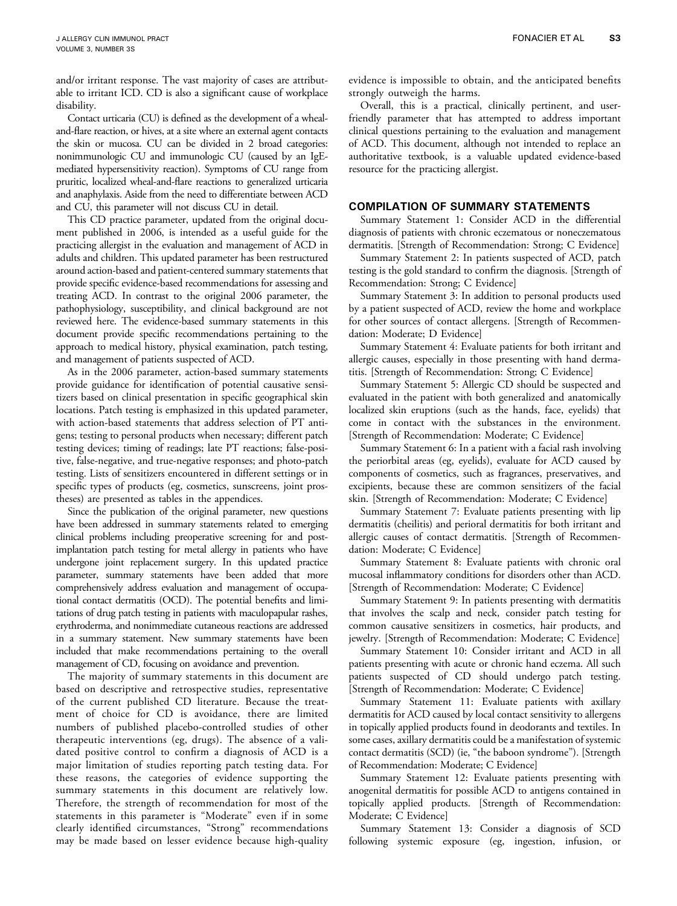and/or irritant response. The vast majority of cases are attributable to irritant ICD. CD is also a significant cause of workplace disability.

Contact urticaria (CU) is defined as the development of a whealand-flare reaction, or hives, at a site where an external agent contacts the skin or mucosa. CU can be divided in 2 broad categories: nonimmunologic CU and immunologic CU (caused by an IgEmediated hypersensitivity reaction). Symptoms of CU range from pruritic, localized wheal-and-flare reactions to generalized urticaria and anaphylaxis. Aside from the need to differentiate between ACD and CU, this parameter will not discuss CU in detail.

This CD practice parameter, updated from the original document published in 2006, is intended as a useful guide for the practicing allergist in the evaluation and management of ACD in adults and children. This updated parameter has been restructured around action-based and patient-centered summary statements that provide specific evidence-based recommendations for assessing and treating ACD. In contrast to the original 2006 parameter, the pathophysiology, susceptibility, and clinical background are not reviewed here. The evidence-based summary statements in this document provide specific recommendations pertaining to the approach to medical history, physical examination, patch testing, and management of patients suspected of ACD.

As in the 2006 parameter, action-based summary statements provide guidance for identification of potential causative sensitizers based on clinical presentation in specific geographical skin locations. Patch testing is emphasized in this updated parameter, with action-based statements that address selection of PT antigens; testing to personal products when necessary; different patch testing devices; timing of readings; late PT reactions; false-positive, false-negative, and true-negative responses; and photo-patch testing. Lists of sensitizers encountered in different settings or in specific types of products (eg, cosmetics, sunscreens, joint prostheses) are presented as tables in the appendices.

Since the publication of the original parameter, new questions have been addressed in summary statements related to emerging clinical problems including preoperative screening for and postimplantation patch testing for metal allergy in patients who have undergone joint replacement surgery. In this updated practice parameter, summary statements have been added that more comprehensively address evaluation and management of occupational contact dermatitis (OCD). The potential benefits and limitations of drug patch testing in patients with maculopapular rashes, erythroderma, and nonimmediate cutaneous reactions are addressed in a summary statement. New summary statements have been included that make recommendations pertaining to the overall management of CD, focusing on avoidance and prevention.

The majority of summary statements in this document are based on descriptive and retrospective studies, representative of the current published CD literature. Because the treatment of choice for CD is avoidance, there are limited numbers of published placebo-controlled studies of other therapeutic interventions (eg, drugs). The absence of a validated positive control to confirm a diagnosis of ACD is a major limitation of studies reporting patch testing data. For these reasons, the categories of evidence supporting the summary statements in this document are relatively low. Therefore, the strength of recommendation for most of the statements in this parameter is "Moderate" even if in some clearly identified circumstances, "Strong" recommendations may be made based on lesser evidence because high-quality evidence is impossible to obtain, and the anticipated benefits strongly outweigh the harms.

Overall, this is a practical, clinically pertinent, and userfriendly parameter that has attempted to address important clinical questions pertaining to the evaluation and management of ACD. This document, although not intended to replace an authoritative textbook, is a valuable updated evidence-based resource for the practicing allergist.

### COMPILATION OF SUMMARY STATEMENTS

Summary Statement 1: Consider ACD in the differential diagnosis of patients with chronic eczematous or noneczematous dermatitis. [Strength of Recommendation: Strong; C Evidence]

Summary Statement 2: In patients suspected of ACD, patch testing is the gold standard to confirm the diagnosis. [Strength of Recommendation: Strong; C Evidence]

Summary Statement 3: In addition to personal products used by a patient suspected of ACD, review the home and workplace for other sources of contact allergens. [Strength of Recommendation: Moderate; D Evidence]

Summary Statement 4: Evaluate patients for both irritant and allergic causes, especially in those presenting with hand dermatitis. [Strength of Recommendation: Strong; C Evidence]

Summary Statement 5: Allergic CD should be suspected and evaluated in the patient with both generalized and anatomically localized skin eruptions (such as the hands, face, eyelids) that come in contact with the substances in the environment. [Strength of Recommendation: Moderate; C Evidence]

Summary Statement 6: In a patient with a facial rash involving the periorbital areas (eg, eyelids), evaluate for ACD caused by components of cosmetics, such as fragrances, preservatives, and excipients, because these are common sensitizers of the facial skin. [Strength of Recommendation: Moderate; C Evidence]

Summary Statement 7: Evaluate patients presenting with lip dermatitis (cheilitis) and perioral dermatitis for both irritant and allergic causes of contact dermatitis. [Strength of Recommendation: Moderate; C Evidence]

Summary Statement 8: Evaluate patients with chronic oral mucosal inflammatory conditions for disorders other than ACD. [Strength of Recommendation: Moderate; C Evidence]

Summary Statement 9: In patients presenting with dermatitis that involves the scalp and neck, consider patch testing for common causative sensitizers in cosmetics, hair products, and jewelry. [Strength of Recommendation: Moderate; C Evidence]

Summary Statement 10: Consider irritant and ACD in all patients presenting with acute or chronic hand eczema. All such patients suspected of CD should undergo patch testing. [Strength of Recommendation: Moderate; C Evidence]

Summary Statement 11: Evaluate patients with axillary dermatitis for ACD caused by local contact sensitivity to allergens in topically applied products found in deodorants and textiles. In some cases, axillary dermatitis could be a manifestation of systemic contact dermatitis (SCD) (ie, "the baboon syndrome"). [Strength of Recommendation: Moderate; C Evidence]

Summary Statement 12: Evaluate patients presenting with anogenital dermatitis for possible ACD to antigens contained in topically applied products. [Strength of Recommendation: Moderate; C Evidence]

Summary Statement 13: Consider a diagnosis of SCD following systemic exposure (eg, ingestion, infusion, or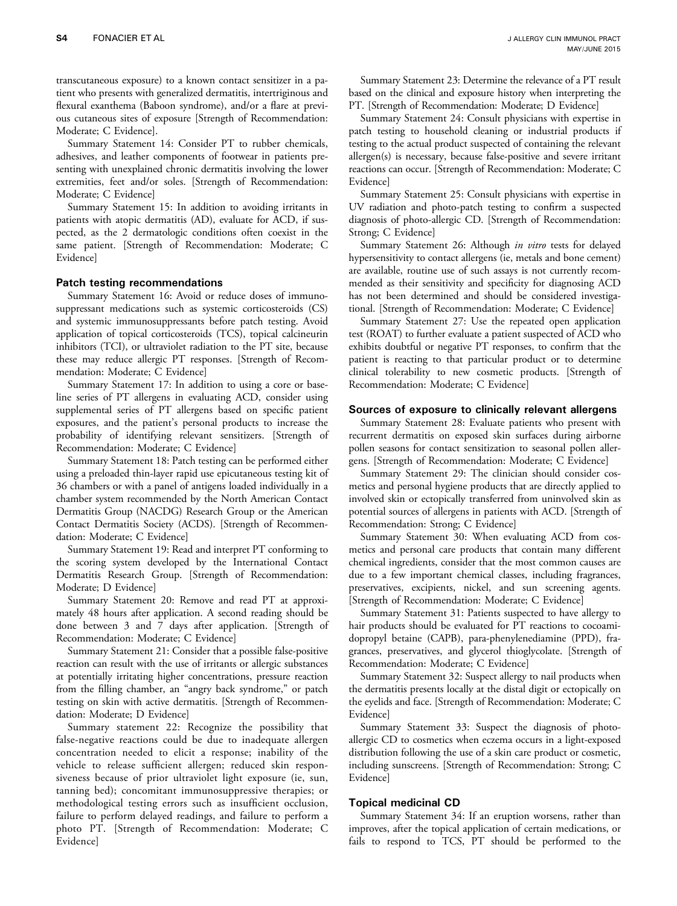transcutaneous exposure) to a known contact sensitizer in a patient who presents with generalized dermatitis, intertriginous and flexural exanthema (Baboon syndrome), and/or a flare at previous cutaneous sites of exposure [Strength of Recommendation: Moderate; C Evidence].

Summary Statement 14: Consider PT to rubber chemicals, adhesives, and leather components of footwear in patients presenting with unexplained chronic dermatitis involving the lower extremities, feet and/or soles. [Strength of Recommendation: Moderate; C Evidence]

Summary Statement 15: In addition to avoiding irritants in patients with atopic dermatitis (AD), evaluate for ACD, if suspected, as the 2 dermatologic conditions often coexist in the same patient. [Strength of Recommendation: Moderate; C Evidence]

#### Patch testing recommendations

Summary Statement 16: Avoid or reduce doses of immunosuppressant medications such as systemic corticosteroids (CS) and systemic immunosuppressants before patch testing. Avoid application of topical corticosteroids (TCS), topical calcineurin inhibitors (TCI), or ultraviolet radiation to the PT site, because these may reduce allergic PT responses. [Strength of Recommendation: Moderate; C Evidence]

Summary Statement 17: In addition to using a core or baseline series of PT allergens in evaluating ACD, consider using supplemental series of PT allergens based on specific patient exposures, and the patient's personal products to increase the probability of identifying relevant sensitizers. [Strength of Recommendation: Moderate; C Evidence]

Summary Statement 18: Patch testing can be performed either using a preloaded thin-layer rapid use epicutaneous testing kit of 36 chambers or with a panel of antigens loaded individually in a chamber system recommended by the North American Contact Dermatitis Group (NACDG) Research Group or the American Contact Dermatitis Society (ACDS). [Strength of Recommendation: Moderate; C Evidence]

Summary Statement 19: Read and interpret PT conforming to the scoring system developed by the International Contact Dermatitis Research Group. [Strength of Recommendation: Moderate; D Evidence]

Summary Statement 20: Remove and read PT at approximately 48 hours after application. A second reading should be done between 3 and 7 days after application. [Strength of Recommendation: Moderate; C Evidence]

Summary Statement 21: Consider that a possible false-positive reaction can result with the use of irritants or allergic substances at potentially irritating higher concentrations, pressure reaction from the filling chamber, an "angry back syndrome," or patch testing on skin with active dermatitis. [Strength of Recommendation: Moderate; D Evidence]

Summary statement 22: Recognize the possibility that false-negative reactions could be due to inadequate allergen concentration needed to elicit a response; inability of the vehicle to release sufficient allergen; reduced skin responsiveness because of prior ultraviolet light exposure (ie, sun, tanning bed); concomitant immunosuppressive therapies; or methodological testing errors such as insufficient occlusion, failure to perform delayed readings, and failure to perform a photo PT. [Strength of Recommendation: Moderate; C Evidence]

Summary Statement 23: Determine the relevance of a PT result based on the clinical and exposure history when interpreting the PT. [Strength of Recommendation: Moderate; D Evidence]

Summary Statement 24: Consult physicians with expertise in patch testing to household cleaning or industrial products if testing to the actual product suspected of containing the relevant allergen(s) is necessary, because false-positive and severe irritant reactions can occur. [Strength of Recommendation: Moderate; C Evidence]

Summary Statement 25: Consult physicians with expertise in UV radiation and photo-patch testing to confirm a suspected diagnosis of photo-allergic CD. [Strength of Recommendation: Strong; C Evidence]

Summary Statement 26: Although in vitro tests for delayed hypersensitivity to contact allergens (ie, metals and bone cement) are available, routine use of such assays is not currently recommended as their sensitivity and specificity for diagnosing ACD has not been determined and should be considered investigational. [Strength of Recommendation: Moderate; C Evidence]

Summary Statement 27: Use the repeated open application test (ROAT) to further evaluate a patient suspected of ACD who exhibits doubtful or negative PT responses, to confirm that the patient is reacting to that particular product or to determine clinical tolerability to new cosmetic products. [Strength of Recommendation: Moderate; C Evidence]

#### Sources of exposure to clinically relevant allergens

Summary Statement 28: Evaluate patients who present with recurrent dermatitis on exposed skin surfaces during airborne pollen seasons for contact sensitization to seasonal pollen allergens. [Strength of Recommendation: Moderate; C Evidence]

Summary Statement 29: The clinician should consider cosmetics and personal hygiene products that are directly applied to involved skin or ectopically transferred from uninvolved skin as potential sources of allergens in patients with ACD. [Strength of Recommendation: Strong; C Evidence]

Summary Statement 30: When evaluating ACD from cosmetics and personal care products that contain many different chemical ingredients, consider that the most common causes are due to a few important chemical classes, including fragrances, preservatives, excipients, nickel, and sun screening agents. [Strength of Recommendation: Moderate; C Evidence]

Summary Statement 31: Patients suspected to have allergy to hair products should be evaluated for PT reactions to cocoamidopropyl betaine (CAPB), para-phenylenediamine (PPD), fragrances, preservatives, and glycerol thioglycolate. [Strength of Recommendation: Moderate; C Evidence]

Summary Statement 32: Suspect allergy to nail products when the dermatitis presents locally at the distal digit or ectopically on the eyelids and face. [Strength of Recommendation: Moderate; C Evidence]

Summary Statement 33: Suspect the diagnosis of photoallergic CD to cosmetics when eczema occurs in a light-exposed distribution following the use of a skin care product or cosmetic, including sunscreens. [Strength of Recommendation: Strong; C Evidence]

### Topical medicinal CD

Summary Statement 34: If an eruption worsens, rather than improves, after the topical application of certain medications, or fails to respond to TCS, PT should be performed to the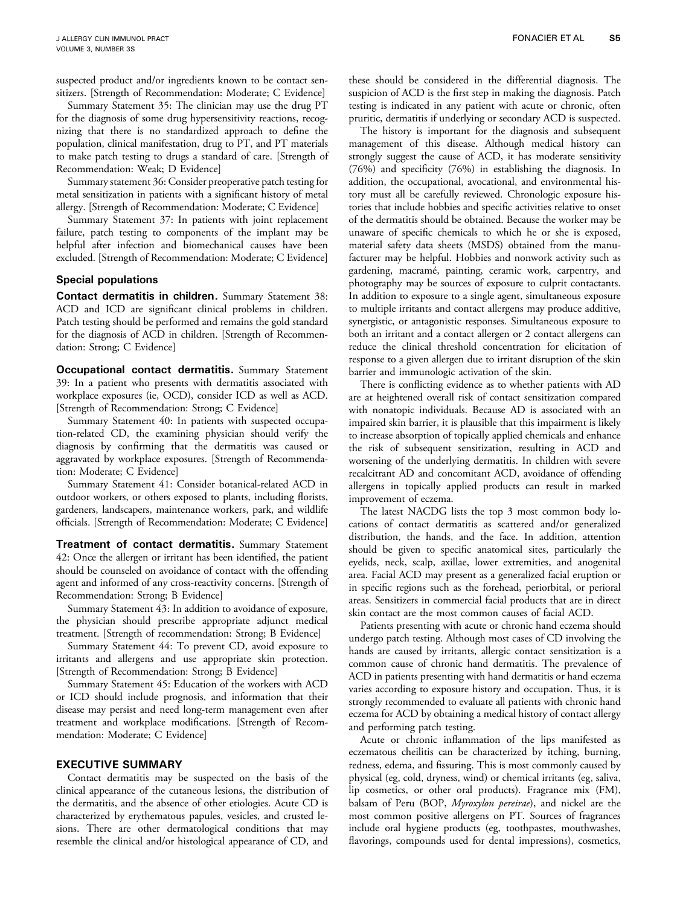suspected product and/or ingredients known to be contact sensitizers. [Strength of Recommendation: Moderate; C Evidence]

Summary Statement 35: The clinician may use the drug PT for the diagnosis of some drug hypersensitivity reactions, recognizing that there is no standardized approach to define the population, clinical manifestation, drug to PT, and PT materials to make patch testing to drugs a standard of care. [Strength of Recommendation: Weak; D Evidence]

Summary statement 36: Consider preoperative patch testing for metal sensitization in patients with a significant history of metal allergy. [Strength of Recommendation: Moderate; C Evidence]

Summary Statement 37: In patients with joint replacement failure, patch testing to components of the implant may be helpful after infection and biomechanical causes have been excluded. [Strength of Recommendation: Moderate; C Evidence]

# Special populations

Contact dermatitis in children. Summary Statement 38: ACD and ICD are significant clinical problems in children. Patch testing should be performed and remains the gold standard for the diagnosis of ACD in children. [Strength of Recommendation: Strong; C Evidence]

**Occupational contact dermatitis.** Summary Statement 39: In a patient who presents with dermatitis associated with workplace exposures (ie, OCD), consider ICD as well as ACD. [Strength of Recommendation: Strong; C Evidence]

Summary Statement 40: In patients with suspected occupation-related CD, the examining physician should verify the diagnosis by confirming that the dermatitis was caused or aggravated by workplace exposures. [Strength of Recommendation: Moderate; C Evidence]

Summary Statement 41: Consider botanical-related ACD in outdoor workers, or others exposed to plants, including florists, gardeners, landscapers, maintenance workers, park, and wildlife officials. [Strength of Recommendation: Moderate; C Evidence]

Treatment of contact dermatitis. Summary Statement 42: Once the allergen or irritant has been identified, the patient should be counseled on avoidance of contact with the offending agent and informed of any cross-reactivity concerns. [Strength of Recommendation: Strong; B Evidence]

Summary Statement 43: In addition to avoidance of exposure, the physician should prescribe appropriate adjunct medical treatment. [Strength of recommendation: Strong; B Evidence]

Summary Statement 44: To prevent CD, avoid exposure to irritants and allergens and use appropriate skin protection. [Strength of Recommendation: Strong; B Evidence]

Summary Statement 45: Education of the workers with ACD or ICD should include prognosis, and information that their disease may persist and need long-term management even after treatment and workplace modifications. [Strength of Recommendation: Moderate; C Evidence]

### EXECUTIVE SUMMARY

Contact dermatitis may be suspected on the basis of the clinical appearance of the cutaneous lesions, the distribution of the dermatitis, and the absence of other etiologies. Acute CD is characterized by erythematous papules, vesicles, and crusted lesions. There are other dermatological conditions that may resemble the clinical and/or histological appearance of CD, and

these should be considered in the differential diagnosis. The suspicion of ACD is the first step in making the diagnosis. Patch testing is indicated in any patient with acute or chronic, often pruritic, dermatitis if underlying or secondary ACD is suspected.

The history is important for the diagnosis and subsequent management of this disease. Although medical history can strongly suggest the cause of ACD, it has moderate sensitivity (76%) and specificity (76%) in establishing the diagnosis. In addition, the occupational, avocational, and environmental history must all be carefully reviewed. Chronologic exposure histories that include hobbies and specific activities relative to onset of the dermatitis should be obtained. Because the worker may be unaware of specific chemicals to which he or she is exposed, material safety data sheets (MSDS) obtained from the manufacturer may be helpful. Hobbies and nonwork activity such as gardening, macramé, painting, ceramic work, carpentry, and photography may be sources of exposure to culprit contactants. In addition to exposure to a single agent, simultaneous exposure to multiple irritants and contact allergens may produce additive, synergistic, or antagonistic responses. Simultaneous exposure to both an irritant and a contact allergen or 2 contact allergens can reduce the clinical threshold concentration for elicitation of response to a given allergen due to irritant disruption of the skin barrier and immunologic activation of the skin.

There is conflicting evidence as to whether patients with AD are at heightened overall risk of contact sensitization compared with nonatopic individuals. Because AD is associated with an impaired skin barrier, it is plausible that this impairment is likely to increase absorption of topically applied chemicals and enhance the risk of subsequent sensitization, resulting in ACD and worsening of the underlying dermatitis. In children with severe recalcitrant AD and concomitant ACD, avoidance of offending allergens in topically applied products can result in marked improvement of eczema.

The latest NACDG lists the top 3 most common body locations of contact dermatitis as scattered and/or generalized distribution, the hands, and the face. In addition, attention should be given to specific anatomical sites, particularly the eyelids, neck, scalp, axillae, lower extremities, and anogenital area. Facial ACD may present as a generalized facial eruption or in specific regions such as the forehead, periorbital, or perioral areas. Sensitizers in commercial facial products that are in direct skin contact are the most common causes of facial ACD.

Patients presenting with acute or chronic hand eczema should undergo patch testing. Although most cases of CD involving the hands are caused by irritants, allergic contact sensitization is a common cause of chronic hand dermatitis. The prevalence of ACD in patients presenting with hand dermatitis or hand eczema varies according to exposure history and occupation. Thus, it is strongly recommended to evaluate all patients with chronic hand eczema for ACD by obtaining a medical history of contact allergy and performing patch testing.

Acute or chronic inflammation of the lips manifested as eczematous cheilitis can be characterized by itching, burning, redness, edema, and fissuring. This is most commonly caused by physical (eg, cold, dryness, wind) or chemical irritants (eg, saliva, lip cosmetics, or other oral products). Fragrance mix (FM), balsam of Peru (BOP, Myroxylon pereirae), and nickel are the most common positive allergens on PT. Sources of fragrances include oral hygiene products (eg, toothpastes, mouthwashes, flavorings, compounds used for dental impressions), cosmetics,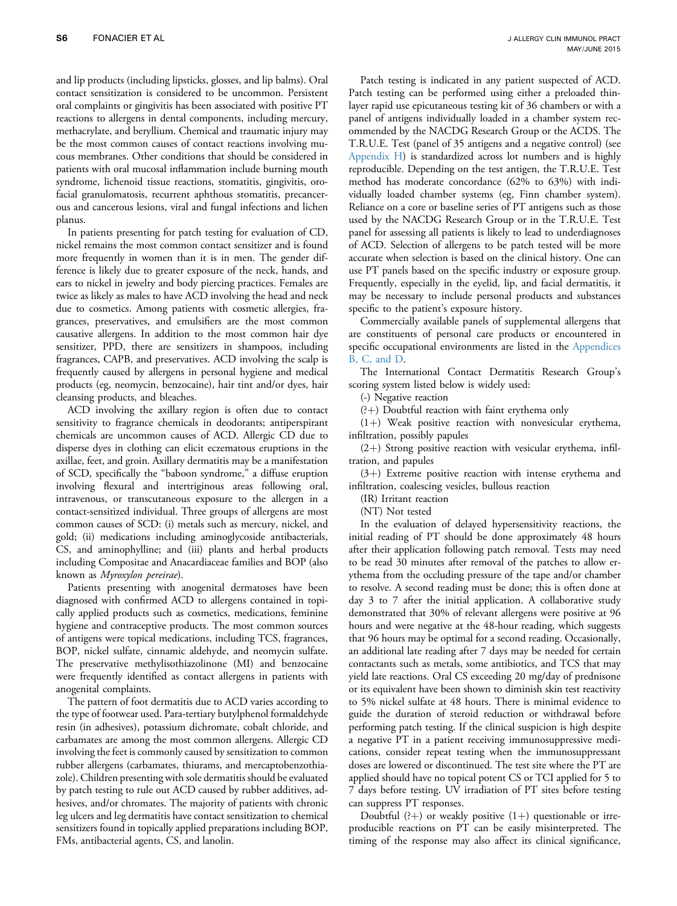and lip products (including lipsticks, glosses, and lip balms). Oral contact sensitization is considered to be uncommon. Persistent oral complaints or gingivitis has been associated with positive PT reactions to allergens in dental components, including mercury, methacrylate, and beryllium. Chemical and traumatic injury may be the most common causes of contact reactions involving mucous membranes. Other conditions that should be considered in patients with oral mucosal inflammation include burning mouth syndrome, lichenoid tissue reactions, stomatitis, gingivitis, orofacial granulomatosis, recurrent aphthous stomatitis, precancerous and cancerous lesions, viral and fungal infections and lichen planus.

In patients presenting for patch testing for evaluation of CD, nickel remains the most common contact sensitizer and is found more frequently in women than it is in men. The gender difference is likely due to greater exposure of the neck, hands, and ears to nickel in jewelry and body piercing practices. Females are twice as likely as males to have ACD involving the head and neck due to cosmetics. Among patients with cosmetic allergies, fragrances, preservatives, and emulsifiers are the most common causative allergens. In addition to the most common hair dye sensitizer, PPD, there are sensitizers in shampoos, including fragrances, CAPB, and preservatives. ACD involving the scalp is frequently caused by allergens in personal hygiene and medical products (eg, neomycin, benzocaine), hair tint and/or dyes, hair cleansing products, and bleaches.

ACD involving the axillary region is often due to contact sensitivity to fragrance chemicals in deodorants; antiperspirant chemicals are uncommon causes of ACD. Allergic CD due to disperse dyes in clothing can elicit eczematous eruptions in the axillae, feet, and groin. Axillary dermatitis may be a manifestation of SCD, specifically the "baboon syndrome," a diffuse eruption involving flexural and intertriginous areas following oral, intravenous, or transcutaneous exposure to the allergen in a contact-sensitized individual. Three groups of allergens are most common causes of SCD: (i) metals such as mercury, nickel, and gold; (ii) medications including aminoglycoside antibacterials, CS, and aminophylline; and (iii) plants and herbal products including Compositae and Anacardiaceae families and BOP (also known as Myroxylon pereirae).

Patients presenting with anogenital dermatoses have been diagnosed with confirmed ACD to allergens contained in topically applied products such as cosmetics, medications, feminine hygiene and contraceptive products. The most common sources of antigens were topical medications, including TCS, fragrances, BOP, nickel sulfate, cinnamic aldehyde, and neomycin sulfate. The preservative methylisothiazolinone (MI) and benzocaine were frequently identified as contact allergens in patients with anogenital complaints.

The pattern of foot dermatitis due to ACD varies according to the type of footwear used. Para-tertiary butylphenol formaldehyde resin (in adhesives), potassium dichromate, cobalt chloride, and carbamates are among the most common allergens. Allergic CD involving the feet is commonly caused by sensitization to common rubber allergens (carbamates, thiurams, and mercaptobenzothiazole). Children presenting with sole dermatitis should be evaluated by patch testing to rule out ACD caused by rubber additives, adhesives, and/or chromates. The majority of patients with chronic leg ulcers and leg dermatitis have contact sensitization to chemical sensitizers found in topically applied preparations including BOP, FMs, antibacterial agents, CS, and lanolin.

Patch testing is indicated in any patient suspected of ACD. Patch testing can be performed using either a preloaded thinlayer rapid use epicutaneous testing kit of 36 chambers or with a panel of antigens individually loaded in a chamber system recommended by the NACDG Research Group or the ACDS. The T.R.U.E. Test (panel of 35 antigens and a negative control) (see [Appendix H\)](#page-33-0) is standardized across lot numbers and is highly reproducible. Depending on the test antigen, the T.R.U.E. Test method has moderate concordance (62% to 63%) with individually loaded chamber systems (eg, Finn chamber system). Reliance on a core or baseline series of PT antigens such as those used by the NACDG Research Group or in the T.R.U.E. Test panel for assessing all patients is likely to lead to underdiagnoses of ACD. Selection of allergens to be patch tested will be more accurate when selection is based on the clinical history. One can use PT panels based on the specific industry or exposure group. Frequently, especially in the eyelid, lip, and facial dermatitis, it may be necessary to include personal products and substances specific to the patient's exposure history.

Commercially available panels of supplemental allergens that are constituents of personal care products or encountered in specific occupational environments are listed in the [Appendices](#page-32-0) [B, C, and D](#page-32-0).

The International Contact Dermatitis Research Group's scoring system listed below is widely used:

(-) Negative reaction

 $(?+)$  Doubtful reaction with faint erythema only

 $(1+)$  Weak positive reaction with nonvesicular erythema, infiltration, possibly papules

 $(2+)$  Strong positive reaction with vesicular erythema, infiltration, and papules

 $(3+)$  Extreme positive reaction with intense erythema and infiltration, coalescing vesicles, bullous reaction

(IR) Irritant reaction

(NT) Not tested

In the evaluation of delayed hypersensitivity reactions, the initial reading of PT should be done approximately 48 hours after their application following patch removal. Tests may need to be read 30 minutes after removal of the patches to allow erythema from the occluding pressure of the tape and/or chamber to resolve. A second reading must be done; this is often done at day 3 to 7 after the initial application. A collaborative study demonstrated that 30% of relevant allergens were positive at 96 hours and were negative at the 48-hour reading, which suggests that 96 hours may be optimal for a second reading. Occasionally, an additional late reading after 7 days may be needed for certain contactants such as metals, some antibiotics, and TCS that may yield late reactions. Oral CS exceeding 20 mg/day of prednisone or its equivalent have been shown to diminish skin test reactivity to 5% nickel sulfate at 48 hours. There is minimal evidence to guide the duration of steroid reduction or withdrawal before performing patch testing. If the clinical suspicion is high despite a negative PT in a patient receiving immunosuppressive medications, consider repeat testing when the immunosuppressant doses are lowered or discontinued. The test site where the PT are applied should have no topical potent CS or TCI applied for 5 to 7 days before testing. UV irradiation of PT sites before testing can suppress PT responses.

Doubtful  $(?+)$  or weakly positive  $(1+)$  questionable or irreproducible reactions on PT can be easily misinterpreted. The timing of the response may also affect its clinical significance,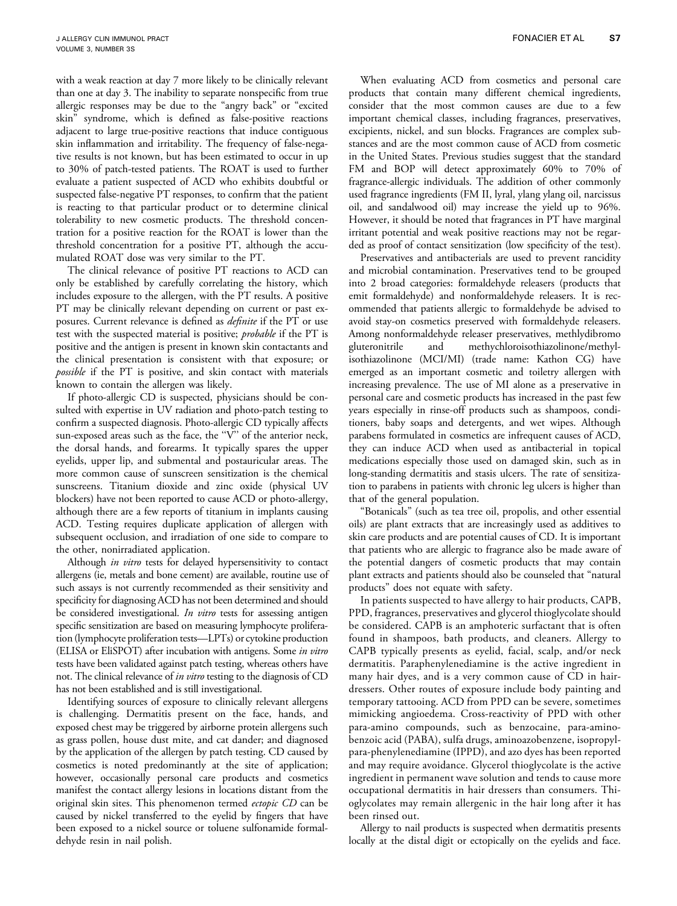with a weak reaction at day 7 more likely to be clinically relevant than one at day 3. The inability to separate nonspecific from true allergic responses may be due to the "angry back" or "excited skin" syndrome, which is defined as false-positive reactions adjacent to large true-positive reactions that induce contiguous skin inflammation and irritability. The frequency of false-negative results is not known, but has been estimated to occur in up to 30% of patch-tested patients. The ROAT is used to further evaluate a patient suspected of ACD who exhibits doubtful or suspected false-negative PT responses, to confirm that the patient is reacting to that particular product or to determine clinical tolerability to new cosmetic products. The threshold concentration for a positive reaction for the ROAT is lower than the threshold concentration for a positive PT, although the accumulated ROAT dose was very similar to the PT.

The clinical relevance of positive PT reactions to ACD can only be established by carefully correlating the history, which includes exposure to the allergen, with the PT results. A positive PT may be clinically relevant depending on current or past exposures. Current relevance is defined as *definite* if the PT or use test with the suspected material is positive; *probable* if the PT is positive and the antigen is present in known skin contactants and the clinical presentation is consistent with that exposure; or possible if the PT is positive, and skin contact with materials known to contain the allergen was likely.

If photo-allergic CD is suspected, physicians should be consulted with expertise in UV radiation and photo-patch testing to confirm a suspected diagnosis. Photo-allergic CD typically affects sun-exposed areas such as the face, the "V" of the anterior neck, the dorsal hands, and forearms. It typically spares the upper eyelids, upper lip, and submental and postauricular areas. The more common cause of sunscreen sensitization is the chemical sunscreens. Titanium dioxide and zinc oxide (physical UV blockers) have not been reported to cause ACD or photo-allergy, although there are a few reports of titanium in implants causing ACD. Testing requires duplicate application of allergen with subsequent occlusion, and irradiation of one side to compare to the other, nonirradiated application.

Although in vitro tests for delayed hypersensitivity to contact allergens (ie, metals and bone cement) are available, routine use of such assays is not currently recommended as their sensitivity and specificity for diagnosing ACD has not been determined and should be considered investigational. In vitro tests for assessing antigen specific sensitization are based on measuring lymphocyte proliferation (lymphocyte proliferation tests—LPTs) or cytokine production (ELISA or EliSPOT) after incubation with antigens. Some in vitro tests have been validated against patch testing, whereas others have not. The clinical relevance of in vitro testing to the diagnosis of CD has not been established and is still investigational.

Identifying sources of exposure to clinically relevant allergens is challenging. Dermatitis present on the face, hands, and exposed chest may be triggered by airborne protein allergens such as grass pollen, house dust mite, and cat dander; and diagnosed by the application of the allergen by patch testing. CD caused by cosmetics is noted predominantly at the site of application; however, occasionally personal care products and cosmetics manifest the contact allergy lesions in locations distant from the original skin sites. This phenomenon termed ectopic CD can be caused by nickel transferred to the eyelid by fingers that have been exposed to a nickel source or toluene sulfonamide formaldehyde resin in nail polish.

When evaluating ACD from cosmetics and personal care products that contain many different chemical ingredients, consider that the most common causes are due to a few important chemical classes, including fragrances, preservatives, excipients, nickel, and sun blocks. Fragrances are complex substances and are the most common cause of ACD from cosmetic in the United States. Previous studies suggest that the standard FM and BOP will detect approximately 60% to 70% of fragrance-allergic individuals. The addition of other commonly used fragrance ingredients (FM II, lyral, ylang ylang oil, narcissus oil, and sandalwood oil) may increase the yield up to 96%. However, it should be noted that fragrances in PT have marginal irritant potential and weak positive reactions may not be regarded as proof of contact sensitization (low specificity of the test).

Preservatives and antibacterials are used to prevent rancidity and microbial contamination. Preservatives tend to be grouped into 2 broad categories: formaldehyde releasers (products that emit formaldehyde) and nonformaldehyde releasers. It is recommended that patients allergic to formaldehyde be advised to avoid stay-on cosmetics preserved with formaldehyde releasers. Among nonformaldehyde releaser preservatives, methlydibromo gluteronitrile and methychloroisothiazolinone/methylisothiazolinone (MCI/MI) (trade name: Kathon CG) have emerged as an important cosmetic and toiletry allergen with increasing prevalence. The use of MI alone as a preservative in personal care and cosmetic products has increased in the past few years especially in rinse-off products such as shampoos, conditioners, baby soaps and detergents, and wet wipes. Although parabens formulated in cosmetics are infrequent causes of ACD, they can induce ACD when used as antibacterial in topical medications especially those used on damaged skin, such as in long-standing dermatitis and stasis ulcers. The rate of sensitization to parabens in patients with chronic leg ulcers is higher than that of the general population.

"Botanicals" (such as tea tree oil, propolis, and other essential oils) are plant extracts that are increasingly used as additives to skin care products and are potential causes of CD. It is important that patients who are allergic to fragrance also be made aware of the potential dangers of cosmetic products that may contain plant extracts and patients should also be counseled that "natural products" does not equate with safety.

In patients suspected to have allergy to hair products, CAPB, PPD, fragrances, preservatives and glycerol thioglycolate should be considered. CAPB is an amphoteric surfactant that is often found in shampoos, bath products, and cleaners. Allergy to CAPB typically presents as eyelid, facial, scalp, and/or neck dermatitis. Paraphenylenediamine is the active ingredient in many hair dyes, and is a very common cause of CD in hairdressers. Other routes of exposure include body painting and temporary tattooing. ACD from PPD can be severe, sometimes mimicking angioedema. Cross-reactivity of PPD with other para-amino compounds, such as benzocaine, para-aminobenzoic acid (PABA), sulfa drugs, aminoazobenzene, isopropylpara-phenylenediamine (IPPD), and azo dyes has been reported and may require avoidance. Glycerol thioglycolate is the active ingredient in permanent wave solution and tends to cause more occupational dermatitis in hair dressers than consumers. Thioglycolates may remain allergenic in the hair long after it has been rinsed out.

Allergy to nail products is suspected when dermatitis presents locally at the distal digit or ectopically on the eyelids and face.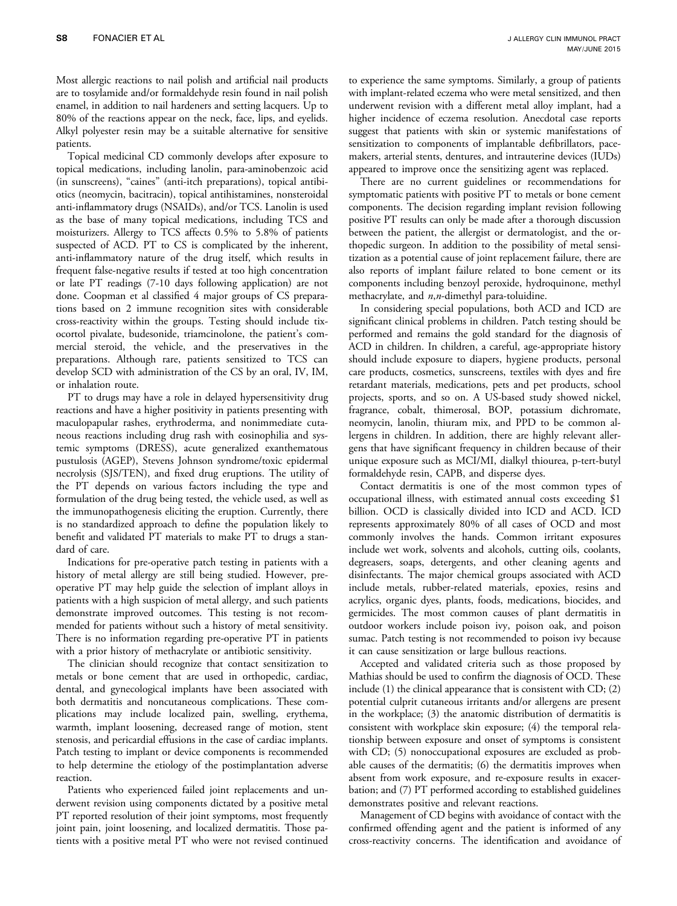Most allergic reactions to nail polish and artificial nail products are to tosylamide and/or formaldehyde resin found in nail polish enamel, in addition to nail hardeners and setting lacquers. Up to 80% of the reactions appear on the neck, face, lips, and eyelids. Alkyl polyester resin may be a suitable alternative for sensitive patients.

Topical medicinal CD commonly develops after exposure to topical medications, including lanolin, para-aminobenzoic acid (in sunscreens), "caines" (anti-itch preparations), topical antibiotics (neomycin, bacitracin), topical antihistamines, nonsteroidal anti-inflammatory drugs (NSAIDs), and/or TCS. Lanolin is used as the base of many topical medications, including TCS and moisturizers. Allergy to TCS affects 0.5% to 5.8% of patients suspected of ACD. PT to CS is complicated by the inherent, anti-inflammatory nature of the drug itself, which results in frequent false-negative results if tested at too high concentration or late PT readings (7-10 days following application) are not done. Coopman et al classified 4 major groups of CS preparations based on 2 immune recognition sites with considerable cross-reactivity within the groups. Testing should include tixocortol pivalate, budesonide, triamcinolone, the patient's commercial steroid, the vehicle, and the preservatives in the preparations. Although rare, patients sensitized to TCS can develop SCD with administration of the CS by an oral, IV, IM, or inhalation route.

PT to drugs may have a role in delayed hypersensitivity drug reactions and have a higher positivity in patients presenting with maculopapular rashes, erythroderma, and nonimmediate cutaneous reactions including drug rash with eosinophilia and systemic symptoms (DRESS), acute generalized exanthematous pustulosis (AGEP), Stevens Johnson syndrome/toxic epidermal necrolysis (SJS/TEN), and fixed drug eruptions. The utility of the PT depends on various factors including the type and formulation of the drug being tested, the vehicle used, as well as the immunopathogenesis eliciting the eruption. Currently, there is no standardized approach to define the population likely to benefit and validated PT materials to make PT to drugs a standard of care.

Indications for pre-operative patch testing in patients with a history of metal allergy are still being studied. However, preoperative PT may help guide the selection of implant alloys in patients with a high suspicion of metal allergy, and such patients demonstrate improved outcomes. This testing is not recommended for patients without such a history of metal sensitivity. There is no information regarding pre-operative PT in patients with a prior history of methacrylate or antibiotic sensitivity.

The clinician should recognize that contact sensitization to metals or bone cement that are used in orthopedic, cardiac, dental, and gynecological implants have been associated with both dermatitis and noncutaneous complications. These complications may include localized pain, swelling, erythema, warmth, implant loosening, decreased range of motion, stent stenosis, and pericardial effusions in the case of cardiac implants. Patch testing to implant or device components is recommended to help determine the etiology of the postimplantation adverse reaction.

Patients who experienced failed joint replacements and underwent revision using components dictated by a positive metal PT reported resolution of their joint symptoms, most frequently joint pain, joint loosening, and localized dermatitis. Those patients with a positive metal PT who were not revised continued

to experience the same symptoms. Similarly, a group of patients with implant-related eczema who were metal sensitized, and then underwent revision with a different metal alloy implant, had a higher incidence of eczema resolution. Anecdotal case reports suggest that patients with skin or systemic manifestations of sensitization to components of implantable defibrillators, pacemakers, arterial stents, dentures, and intrauterine devices (IUDs) appeared to improve once the sensitizing agent was replaced.

There are no current guidelines or recommendations for symptomatic patients with positive PT to metals or bone cement components. The decision regarding implant revision following positive PT results can only be made after a thorough discussion between the patient, the allergist or dermatologist, and the orthopedic surgeon. In addition to the possibility of metal sensitization as a potential cause of joint replacement failure, there are also reports of implant failure related to bone cement or its components including benzoyl peroxide, hydroquinone, methyl methacrylate, and  $n, n$ -dimethyl para-toluidine.

In considering special populations, both ACD and ICD are significant clinical problems in children. Patch testing should be performed and remains the gold standard for the diagnosis of ACD in children. In children, a careful, age-appropriate history should include exposure to diapers, hygiene products, personal care products, cosmetics, sunscreens, textiles with dyes and fire retardant materials, medications, pets and pet products, school projects, sports, and so on. A US-based study showed nickel, fragrance, cobalt, thimerosal, BOP, potassium dichromate, neomycin, lanolin, thiuram mix, and PPD to be common allergens in children. In addition, there are highly relevant allergens that have significant frequency in children because of their unique exposure such as MCI/MI, dialkyl thiourea, p-tert-butyl formaldehyde resin, CAPB, and disperse dyes.

Contact dermatitis is one of the most common types of occupational illness, with estimated annual costs exceeding \$1 billion. OCD is classically divided into ICD and ACD. ICD represents approximately 80% of all cases of OCD and most commonly involves the hands. Common irritant exposures include wet work, solvents and alcohols, cutting oils, coolants, degreasers, soaps, detergents, and other cleaning agents and disinfectants. The major chemical groups associated with ACD include metals, rubber-related materials, epoxies, resins and acrylics, organic dyes, plants, foods, medications, biocides, and germicides. The most common causes of plant dermatitis in outdoor workers include poison ivy, poison oak, and poison sumac. Patch testing is not recommended to poison ivy because it can cause sensitization or large bullous reactions.

Accepted and validated criteria such as those proposed by Mathias should be used to confirm the diagnosis of OCD. These include (1) the clinical appearance that is consistent with CD; (2) potential culprit cutaneous irritants and/or allergens are present in the workplace; (3) the anatomic distribution of dermatitis is consistent with workplace skin exposure; (4) the temporal relationship between exposure and onset of symptoms is consistent with CD; (5) nonoccupational exposures are excluded as probable causes of the dermatitis; (6) the dermatitis improves when absent from work exposure, and re-exposure results in exacerbation; and (7) PT performed according to established guidelines demonstrates positive and relevant reactions.

Management of CD begins with avoidance of contact with the confirmed offending agent and the patient is informed of any cross-reactivity concerns. The identification and avoidance of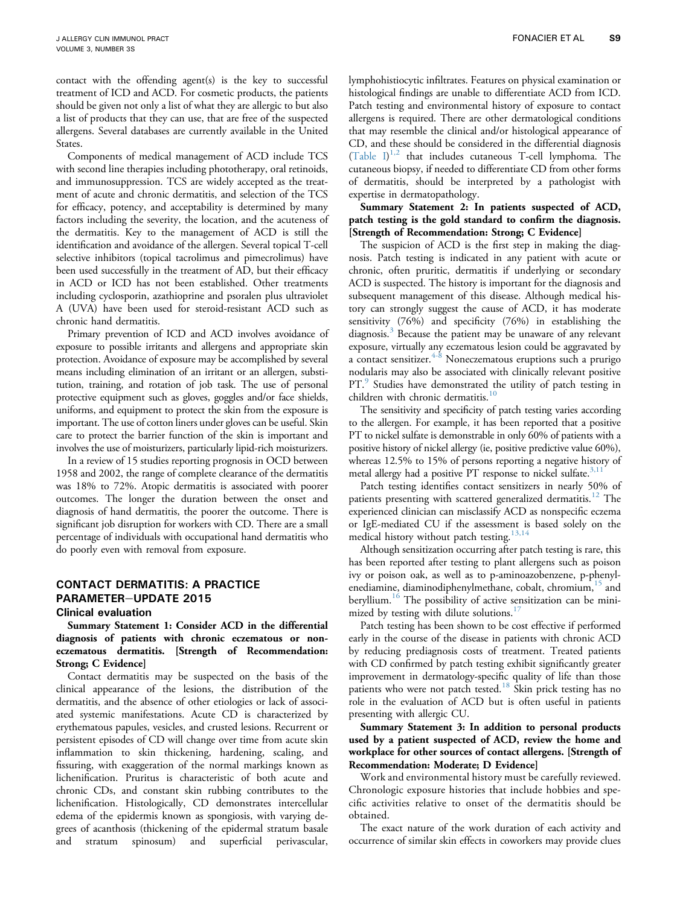contact with the offending agent(s) is the key to successful treatment of ICD and ACD. For cosmetic products, the patients should be given not only a list of what they are allergic to but also a list of products that they can use, that are free of the suspected allergens. Several databases are currently available in the United **States**.

Components of medical management of ACD include TCS with second line therapies including phototherapy, oral retinoids, and immunosuppression. TCS are widely accepted as the treatment of acute and chronic dermatitis, and selection of the TCS for efficacy, potency, and acceptability is determined by many factors including the severity, the location, and the acuteness of the dermatitis. Key to the management of ACD is still the identification and avoidance of the allergen. Several topical T-cell selective inhibitors (topical tacrolimus and pimecrolimus) have been used successfully in the treatment of AD, but their efficacy in ACD or ICD has not been established. Other treatments including cyclosporin, azathioprine and psoralen plus ultraviolet A (UVA) have been used for steroid-resistant ACD such as chronic hand dermatitis.

Primary prevention of ICD and ACD involves avoidance of exposure to possible irritants and allergens and appropriate skin protection. Avoidance of exposure may be accomplished by several means including elimination of an irritant or an allergen, substitution, training, and rotation of job task. The use of personal protective equipment such as gloves, goggles and/or face shields, uniforms, and equipment to protect the skin from the exposure is important. The use of cotton liners under gloves can be useful. Skin care to protect the barrier function of the skin is important and involves the use of moisturizers, particularly lipid-rich moisturizers.

In a review of 15 studies reporting prognosis in OCD between 1958 and 2002, the range of complete clearance of the dermatitis was 18% to 72%. Atopic dermatitis is associated with poorer outcomes. The longer the duration between the onset and diagnosis of hand dermatitis, the poorer the outcome. There is significant job disruption for workers with CD. There are a small percentage of individuals with occupational hand dermatitis who do poorly even with removal from exposure.

# CONTACT DERMATITIS: A PRACTICE PARAMETER-UPDATE 2015 Clinical evaluation

# Summary Statement 1: Consider ACD in the differential diagnosis of patients with chronic eczematous or noneczematous dermatitis. [Strength of Recommendation: Strong; C Evidence]

Contact dermatitis may be suspected on the basis of the clinical appearance of the lesions, the distribution of the dermatitis, and the absence of other etiologies or lack of associated systemic manifestations. Acute CD is characterized by erythematous papules, vesicles, and crusted lesions. Recurrent or persistent episodes of CD will change over time from acute skin inflammation to skin thickening, hardening, scaling, and fissuring, with exaggeration of the normal markings known as lichenification. Pruritus is characteristic of both acute and chronic CDs, and constant skin rubbing contributes to the lichenification. Histologically, CD demonstrates intercellular edema of the epidermis known as spongiosis, with varying degrees of acanthosis (thickening of the epidermal stratum basale and stratum spinosum) and superficial perivascular,

lymphohistiocytic infiltrates. Features on physical examination or histological findings are unable to differentiate ACD from ICD. Patch testing and environmental history of exposure to contact allergens is required. There are other dermatological conditions that may resemble the clinical and/or histological appearance of CD, and these should be considered in the differential diagnosis [\(Table I\)](#page-9-0) [1,2](#page-25-0) that includes cutaneous T-cell lymphoma. The cutaneous biopsy, if needed to differentiate CD from other forms of dermatitis, should be interpreted by a pathologist with expertise in dermatopathology.

# Summary Statement 2: In patients suspected of ACD, patch testing is the gold standard to confirm the diagnosis. [Strength of Recommendation: Strong; C Evidence]

The suspicion of ACD is the first step in making the diagnosis. Patch testing is indicated in any patient with acute or chronic, often pruritic, dermatitis if underlying or secondary ACD is suspected. The history is important for the diagnosis and subsequent management of this disease. Although medical history can strongly suggest the cause of ACD, it has moderate sensitivity (76%) and specificity (76%) in establishing the diagnosis.<sup>[3](#page-25-0)</sup> Because the patient may be unaware of any relevant exposure, virtually any eczematous lesion could be aggravated by a contact sensitizer.[4-8](#page-25-0) Noneczematous eruptions such a prurigo nodularis may also be associated with clinically relevant positive PT.<sup>[9](#page-25-0)</sup> Studies have demonstrated the utility of patch testing in children with chronic dermatitis.<sup>[10](#page-25-0)</sup>

The sensitivity and specificity of patch testing varies according to the allergen. For example, it has been reported that a positive PT to nickel sulfate is demonstrable in only 60% of patients with a positive history of nickel allergy (ie, positive predictive value 60%), whereas 12.5% to 15% of persons reporting a negative history of metal allergy had a positive PT response to nickel sulfate.<sup>3,1</sup>

Patch testing identifies contact sensitizers in nearly 50% of patients presenting with scattered generalized dermatitis.<sup>[12](#page-25-0)</sup> The experienced clinician can misclassify ACD as nonspecific eczema or IgE-mediated CU if the assessment is based solely on the medical history without patch testing.<sup>[13,14](#page-25-0)</sup>

Although sensitization occurring after patch testing is rare, this has been reported after testing to plant allergens such as poison ivy or poison oak, as well as to p-aminoazobenzene, p-phenylenediamine, diaminodiphenylmethane, cobalt, chromium,<sup>15</sup> and beryllium.<sup>[16](#page-25-0)</sup> The possibility of active sensitization can be mini-mized by testing with dilute solutions.<sup>[17](#page-25-0)</sup>

Patch testing has been shown to be cost effective if performed early in the course of the disease in patients with chronic ACD by reducing prediagnosis costs of treatment. Treated patients with CD confirmed by patch testing exhibit significantly greater improvement in dermatology-specific quality of life than those patients who were not patch tested.<sup>[18](#page-25-0)</sup> Skin prick testing has no role in the evaluation of ACD but is often useful in patients presenting with allergic CU.

Summary Statement 3: In addition to personal products used by a patient suspected of ACD, review the home and workplace for other sources of contact allergens. [Strength of Recommendation: Moderate; D Evidence]

Work and environmental history must be carefully reviewed. Chronologic exposure histories that include hobbies and specific activities relative to onset of the dermatitis should be obtained.

The exact nature of the work duration of each activity and occurrence of similar skin effects in coworkers may provide clues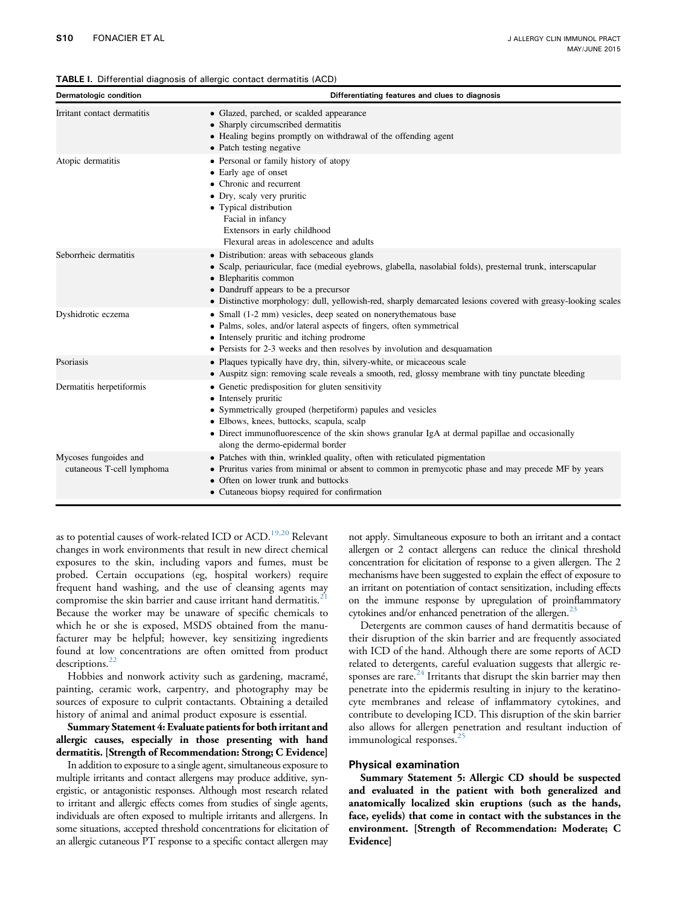<span id="page-9-0"></span>

|  |  | <b>TABLE I.</b> Differential diagnosis of allergic contact dermatitis (ACD) |  |  |  |  |  |
|--|--|-----------------------------------------------------------------------------|--|--|--|--|--|
|--|--|-----------------------------------------------------------------------------|--|--|--|--|--|

| Dermatologic condition                             | Differentiating features and clues to diagnosis                                                                                                                                                                                                                                                                                            |
|----------------------------------------------------|--------------------------------------------------------------------------------------------------------------------------------------------------------------------------------------------------------------------------------------------------------------------------------------------------------------------------------------------|
| Irritant contact dermatitis                        | • Glazed, parched, or scalded appearance<br>• Sharply circumscribed dermatitis<br>• Healing begins promptly on withdrawal of the offending agent<br>• Patch testing negative                                                                                                                                                               |
| Atopic dermatitis                                  | • Personal or family history of atopy<br>• Early age of onset<br>• Chronic and recurrent<br>• Dry, scaly very pruritic<br>• Typical distribution<br>Facial in infancy<br>Extensors in early childhood<br>Flexural areas in adolescence and adults                                                                                          |
| Seborrheic dermatitis                              | • Distribution: areas with sebaceous glands<br>· Scalp, periauricular, face (medial eyebrows, glabella, nasolabial folds), presternal trunk, interscapular<br>• Blepharitis common<br>• Dandruff appears to be a precursor<br>· Distinctive morphology: dull, yellowish-red, sharply demarcated lesions covered with greasy-looking scales |
| Dyshidrotic eczema                                 | • Small (1-2 mm) vesicles, deep seated on nonerythematous base<br>• Palms, soles, and/or lateral aspects of fingers, often symmetrical<br>• Intensely pruritic and itching prodrome<br>• Persists for 2-3 weeks and then resolves by involution and desquamation                                                                           |
| Psoriasis                                          | • Plaques typically have dry, thin, silvery-white, or micaceous scale<br>• Auspitz sign: removing scale reveals a smooth, red, glossy membrane with tiny punctate bleeding                                                                                                                                                                 |
| Dermatitis herpetiformis                           | • Genetic predisposition for gluten sensitivity<br>• Intensely pruritic<br>• Symmetrically grouped (herpetiform) papules and vesicles<br>• Elbows, knees, buttocks, scapula, scalp<br>• Direct immunofluorescence of the skin shows granular IgA at dermal papillae and occasionally<br>along the dermo-epidermal border                   |
| Mycoses fungoides and<br>cutaneous T-cell lymphoma | • Patches with thin, wrinkled quality, often with reticulated pigmentation<br>• Pruritus varies from minimal or absent to common in premycotic phase and may precede MF by years<br>• Often on lower trunk and buttocks<br>• Cutaneous biopsy required for confirmation                                                                    |

as to potential causes of work-related ICD or ACD.<sup>[19,20](#page-26-0)</sup> Relevant changes in work environments that result in new direct chemical exposures to the skin, including vapors and fumes, must be probed. Certain occupations (eg, hospital workers) require frequent hand washing, and the use of cleansing agents may compromise the skin barrier and cause irritant hand dermatitis.<sup>[21](#page-26-0)</sup> Because the worker may be unaware of specific chemicals to which he or she is exposed, MSDS obtained from the manufacturer may be helpful; however, key sensitizing ingredients found at low concentrations are often omitted from product  $descriptions<sup>2</sup>$ 

Hobbies and nonwork activity such as gardening, macramé, painting, ceramic work, carpentry, and photography may be sources of exposure to culprit contactants. Obtaining a detailed history of animal and animal product exposure is essential.

Summary Statement 4: Evaluate patients for both irritant and allergic causes, especially in those presenting with hand dermatitis. [Strength of Recommendation: Strong; C Evidence]

In addition to exposure to a single agent, simultaneous exposure to multiple irritants and contact allergens may produce additive, synergistic, or antagonistic responses. Although most research related to irritant and allergic effects comes from studies of single agents, individuals are often exposed to multiple irritants and allergens. In some situations, accepted threshold concentrations for elicitation of an allergic cutaneous PT response to a specific contact allergen may not apply. Simultaneous exposure to both an irritant and a contact allergen or 2 contact allergens can reduce the clinical threshold concentration for elicitation of response to a given allergen. The 2 mechanisms have been suggested to explain the effect of exposure to an irritant on potentiation of contact sensitization, including effects on the immune response by upregulation of proinflammatory cytokines and/or enhanced penetration of the allergen.<sup>23</sup>

Detergents are common causes of hand dermatitis because of their disruption of the skin barrier and are frequently associated with ICD of the hand. Although there are some reports of ACD related to detergents, careful evaluation suggests that allergic re-sponses are rare.<sup>[24](#page-26-0)</sup> Irritants that disrupt the skin barrier may then penetrate into the epidermis resulting in injury to the keratinocyte membranes and release of inflammatory cytokines, and contribute to developing ICD. This disruption of the skin barrier also allows for allergen penetration and resultant induction of immunological responses.<sup>[25](#page-26-0)</sup>

#### Physical examination

Summary Statement 5: Allergic CD should be suspected and evaluated in the patient with both generalized and anatomically localized skin eruptions (such as the hands, face, eyelids) that come in contact with the substances in the environment. [Strength of Recommendation: Moderate; C Evidence]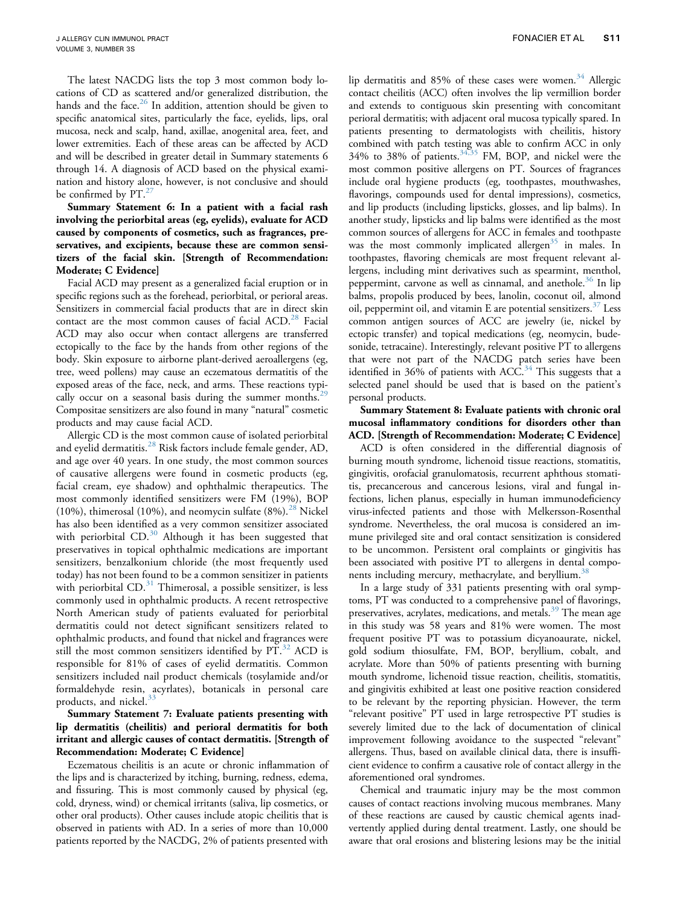The latest NACDG lists the top 3 most common body locations of CD as scattered and/or generalized distribution, the hands and the face. $^{26}$  $^{26}$  $^{26}$  In addition, attention should be given to specific anatomical sites, particularly the face, eyelids, lips, oral mucosa, neck and scalp, hand, axillae, anogenital area, feet, and lower extremities. Each of these areas can be affected by ACD and will be described in greater detail in Summary statements 6 through 14. A diagnosis of ACD based on the physical examination and history alone, however, is not conclusive and should be confirmed by  $PT<sup>27</sup>$  $PT<sup>27</sup>$  $PT<sup>27</sup>$ 

Summary Statement 6: In a patient with a facial rash involving the periorbital areas (eg, eyelids), evaluate for ACD caused by components of cosmetics, such as fragrances, preservatives, and excipients, because these are common sensitizers of the facial skin. [Strength of Recommendation: Moderate; C Evidence]

Facial ACD may present as a generalized facial eruption or in specific regions such as the forehead, periorbital, or perioral areas. Sensitizers in commercial facial products that are in direct skin contact are the most common causes of facial ACD.<sup>[28](#page-26-0)</sup> Facial ACD may also occur when contact allergens are transferred ectopically to the face by the hands from other regions of the body. Skin exposure to airborne plant-derived aeroallergens (eg, tree, weed pollens) may cause an eczematous dermatitis of the exposed areas of the face, neck, and arms. These reactions typically occur on a seasonal basis during the summer months.<sup>2</sup> Compositae sensitizers are also found in many "natural" cosmetic products and may cause facial ACD.

Allergic CD is the most common cause of isolated periorbital and eyelid dermatitis.<sup>[28](#page-26-0)</sup> Risk factors include female gender, AD, and age over 40 years. In one study, the most common sources of causative allergens were found in cosmetic products (eg, facial cream, eye shadow) and ophthalmic therapeutics. The most commonly identified sensitizers were FM (19%), BOP (10%), thimerosal (10%), and neomycin sulfate  $(8\%)$ .<sup>[28](#page-26-0)</sup> Nickel has also been identified as a very common sensitizer associated with periorbital  $CD.^{30}$  $CD.^{30}$  $CD.^{30}$  Although it has been suggested that preservatives in topical ophthalmic medications are important sensitizers, benzalkonium chloride (the most frequently used today) has not been found to be a common sensitizer in patients with periorbital  $CD.^{31}$  $CD.^{31}$  $CD.^{31}$  Thimerosal, a possible sensitizer, is less commonly used in ophthalmic products. A recent retrospective North American study of patients evaluated for periorbital dermatitis could not detect significant sensitizers related to ophthalmic products, and found that nickel and fragrances were still the most common sensitizers identified by  $PT.^{32}$  $PT.^{32}$  $PT.^{32}$  ACD is responsible for 81% of cases of eyelid dermatitis. Common sensitizers included nail product chemicals (tosylamide and/or formaldehyde resin, acyrlates), botanicals in personal care products, and nickel.<sup>3</sup>

# Summary Statement 7: Evaluate patients presenting with lip dermatitis (cheilitis) and perioral dermatitis for both irritant and allergic causes of contact dermatitis. [Strength of Recommendation: Moderate; C Evidence]

Eczematous cheilitis is an acute or chronic inflammation of the lips and is characterized by itching, burning, redness, edema, and fissuring. This is most commonly caused by physical (eg, cold, dryness, wind) or chemical irritants (saliva, lip cosmetics, or other oral products). Other causes include atopic cheilitis that is observed in patients with AD. In a series of more than 10,000 patients reported by the NACDG, 2% of patients presented with

lip dermatitis and 85% of these cases were women.<sup>[34](#page-26-0)</sup> Allergic contact cheilitis (ACC) often involves the lip vermillion border and extends to contiguous skin presenting with concomitant perioral dermatitis; with adjacent oral mucosa typically spared. In patients presenting to dermatologists with cheilitis, history combined with patch testing was able to confirm ACC in only 34% to 38% of patients[.34,35](#page-26-0) FM, BOP, and nickel were the most common positive allergens on PT. Sources of fragrances include oral hygiene products (eg, toothpastes, mouthwashes, flavorings, compounds used for dental impressions), cosmetics, and lip products (including lipsticks, glosses, and lip balms). In another study, lipsticks and lip balms were identified as the most common sources of allergens for ACC in females and toothpaste was the most commonly implicated allergen<sup>35</sup> in males. In toothpastes, flavoring chemicals are most frequent relevant allergens, including mint derivatives such as spearmint, menthol, peppermint, carvone as well as cinnamal, and anethole.<sup>[36](#page-26-0)</sup> In lip balms, propolis produced by bees, lanolin, coconut oil, almond oil, peppermint oil, and vitamin E are potential sensitizers. $37$  Less common antigen sources of ACC are jewelry (ie, nickel by ectopic transfer) and topical medications (eg, neomycin, budesonide, tetracaine). Interestingly, relevant positive PT to allergens that were not part of the NACDG patch series have been identified in 36% of patients with ACC.<sup>[34](#page-26-0)</sup> This suggests that a selected panel should be used that is based on the patient's personal products.

Summary Statement 8: Evaluate patients with chronic oral mucosal inflammatory conditions for disorders other than ACD. [Strength of Recommendation: Moderate; C Evidence]

ACD is often considered in the differential diagnosis of burning mouth syndrome, lichenoid tissue reactions, stomatitis, gingivitis, orofacial granulomatosis, recurrent aphthous stomatitis, precancerous and cancerous lesions, viral and fungal infections, lichen planus, especially in human immunodeficiency virus-infected patients and those with Melkersson-Rosenthal syndrome. Nevertheless, the oral mucosa is considered an immune privileged site and oral contact sensitization is considered to be uncommon. Persistent oral complaints or gingivitis has been associated with positive PT to allergens in dental compo-nents including mercury, methacrylate, and beryllium.<sup>[38](#page-26-0)</sup>

In a large study of 331 patients presenting with oral symptoms, PT was conducted to a comprehensive panel of flavorings, preservatives, acrylates, medications, and metals.<sup>[39](#page-26-0)</sup> The mean age in this study was 58 years and 81% were women. The most frequent positive PT was to potassium dicyanoaurate, nickel, gold sodium thiosulfate, FM, BOP, beryllium, cobalt, and acrylate. More than 50% of patients presenting with burning mouth syndrome, lichenoid tissue reaction, cheilitis, stomatitis, and gingivitis exhibited at least one positive reaction considered to be relevant by the reporting physician. However, the term "relevant positive" PT used in large retrospective PT studies is severely limited due to the lack of documentation of clinical improvement following avoidance to the suspected "relevant" allergens. Thus, based on available clinical data, there is insufficient evidence to confirm a causative role of contact allergy in the aforementioned oral syndromes.

Chemical and traumatic injury may be the most common causes of contact reactions involving mucous membranes. Many of these reactions are caused by caustic chemical agents inadvertently applied during dental treatment. Lastly, one should be aware that oral erosions and blistering lesions may be the initial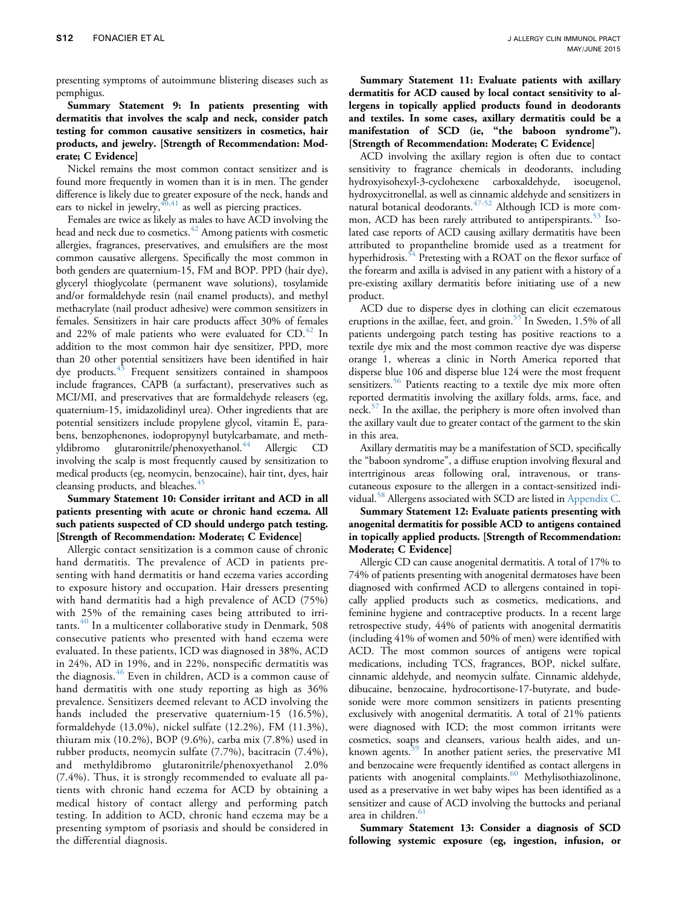presenting symptoms of autoimmune blistering diseases such as pemphigus.

# Summary Statement 9: In patients presenting with dermatitis that involves the scalp and neck, consider patch testing for common causative sensitizers in cosmetics, hair products, and jewelry. [Strength of Recommendation: Moderate; C Evidence]

Nickel remains the most common contact sensitizer and is found more frequently in women than it is in men. The gender difference is likely due to greater exposure of the neck, hands and ears to nickel in jewelry,  $40,41$  as well as piercing practices.

Females are twice as likely as males to have ACD involving the head and neck due to cosmetics. $42$  Among patients with cosmetic allergies, fragrances, preservatives, and emulsifiers are the most common causative allergens. Specifically the most common in both genders are quaternium-15, FM and BOP. PPD (hair dye), glyceryl thioglycolate (permanent wave solutions), tosylamide and/or formaldehyde resin (nail enamel products), and methyl methacrylate (nail product adhesive) were common sensitizers in females. Sensitizers in hair care products affect 30% of females and 22% of male patients who were evaluated for  $CD<sup>42</sup>$  $CD<sup>42</sup>$  $CD<sup>42</sup>$  In addition to the most common hair dye sensitizer, PPD, more than 20 other potential sensitizers have been identified in hair dye products.<sup>[43](#page-26-0)</sup> Frequent sensitizers contained in shampoos include fragrances, CAPB (a surfactant), preservatives such as MCI/MI, and preservatives that are formaldehyde releasers (eg, quaternium-15, imidazolidinyl urea). Other ingredients that are potential sensitizers include propylene glycol, vitamin E, parabens, benzophenones, iodopropynyl butylcarbamate, and meth-yldibromo glutaronitrile/phenoxyethanol.<sup>[44](#page-26-0)</sup> Allergic CD involving the scalp is most frequently caused by sensitization to medical products (eg, neomycin, benzocaine), hair tint, dyes, hair cleansing products, and bleaches.<sup>[45](#page-26-0)</sup>

# Summary Statement 10: Consider irritant and ACD in all patients presenting with acute or chronic hand eczema. All such patients suspected of CD should undergo patch testing. [Strength of Recommendation: Moderate; C Evidence]

Allergic contact sensitization is a common cause of chronic hand dermatitis. The prevalence of ACD in patients presenting with hand dermatitis or hand eczema varies according to exposure history and occupation. Hair dressers presenting with hand dermatitis had a high prevalence of ACD (75%) with 25% of the remaining cases being attributed to irri-tants.<sup>[40](#page-26-0)</sup> In a multicenter collaborative study in Denmark, 508 consecutive patients who presented with hand eczema were evaluated. In these patients, ICD was diagnosed in 38%, ACD in 24%, AD in 19%, and in 22%, nonspecific dermatitis was the diagnosis.<sup>[46](#page-26-0)</sup> Even in children, ACD is a common cause of hand dermatitis with one study reporting as high as 36% prevalence. Sensitizers deemed relevant to ACD involving the hands included the preservative quaternium-15 (16.5%), formaldehyde (13.0%), nickel sulfate (12.2%), FM (11.3%), thiuram mix (10.2%), BOP (9.6%), carba mix (7.8%) used in rubber products, neomycin sulfate (7.7%), bacitracin (7.4%), and methyldibromo glutaronitrile/phenoxyethanol 2.0% (7.4%). Thus, it is strongly recommended to evaluate all patients with chronic hand eczema for ACD by obtaining a medical history of contact allergy and performing patch testing. In addition to ACD, chronic hand eczema may be a presenting symptom of psoriasis and should be considered in the differential diagnosis.

Summary Statement 11: Evaluate patients with axillary dermatitis for ACD caused by local contact sensitivity to allergens in topically applied products found in deodorants and textiles. In some cases, axillary dermatitis could be a manifestation of SCD (ie, "the baboon syndrome"). [Strength of Recommendation: Moderate; C Evidence]

ACD involving the axillary region is often due to contact sensitivity to fragrance chemicals in deodorants, including hydroxyisohexyl-3-cyclohexene carboxaldehyde, isoeugenol, hydroxycitronellal, as well as cinnamic aldehyde and sensitizers in natural botanical deodorants.<sup>[47-52](#page-26-0)</sup> Although ICD is more com-mon, ACD has been rarely attributed to antiperspirants.<sup>[53](#page-26-0)</sup> Isolated case reports of ACD causing axillary dermatitis have been attributed to propantheline bromide used as a treatment for hyperhidrosis.<sup>[54](#page-26-0)</sup> Pretesting with a ROAT on the flexor surface of the forearm and axilla is advised in any patient with a history of a pre-existing axillary dermatitis before initiating use of a new product.

ACD due to disperse dyes in clothing can elicit eczematous eruptions in the axillae, feet, and groin. $55$  In Sweden, 1.5% of all patients undergoing patch testing has positive reactions to a textile dye mix and the most common reactive dye was disperse orange 1, whereas a clinic in North America reported that disperse blue 106 and disperse blue 124 were the most frequent sensitizers.<sup>[56](#page-26-0)</sup> Patients reacting to a textile dye mix more often reported dermatitis involving the axillary folds, arms, face, and neck.<sup>37</sup> In the axillae, the periphery is more often involved than the axillary vault due to greater contact of the garment to the skin in this area.

Axillary dermatitis may be a manifestation of SCD, specifically the "baboon syndrome", a diffuse eruption involving flexural and intertriginous areas following oral, intravenous, or transcutaneous exposure to the allergen in a contact-sensitized individual.[58](#page-26-0) Allergens associated with SCD are listed in [Appendix C](#page-32-0).

Summary Statement 12: Evaluate patients presenting with anogenital dermatitis for possible ACD to antigens contained in topically applied products. [Strength of Recommendation: Moderate; C Evidence]

Allergic CD can cause anogenital dermatitis. A total of 17% to 74% of patients presenting with anogenital dermatoses have been diagnosed with confirmed ACD to allergens contained in topically applied products such as cosmetics, medications, and feminine hygiene and contraceptive products. In a recent large retrospective study, 44% of patients with anogenital dermatitis (including 41% of women and 50% of men) were identified with ACD. The most common sources of antigens were topical medications, including TCS, fragrances, BOP, nickel sulfate, cinnamic aldehyde, and neomycin sulfate. Cinnamic aldehyde, dibucaine, benzocaine, hydrocortisone-17-butyrate, and budesonide were more common sensitizers in patients presenting exclusively with anogenital dermatitis. A total of 21% patients were diagnosed with ICD; the most common irritants were cosmetics, soaps and cleansers, various health aides, and un-known agents.<sup>[59](#page-26-0)</sup> In another patient series, the preservative MI and benzocaine were frequently identified as contact allergens in patients with anogenital complaints.<sup>[60](#page-26-0)</sup> Methylisothiazolinone, used as a preservative in wet baby wipes has been identified as a sensitizer and cause of ACD involving the buttocks and perianal area in children.<sup>[61](#page-26-0)</sup>

Summary Statement 13: Consider a diagnosis of SCD following systemic exposure (eg, ingestion, infusion, or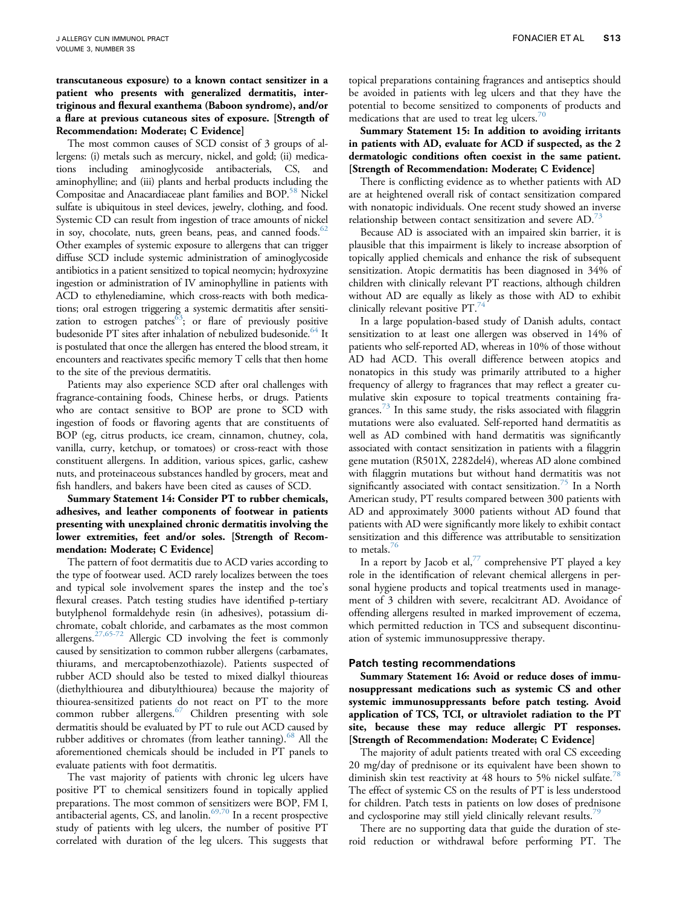transcutaneous exposure) to a known contact sensitizer in a patient who presents with generalized dermatitis, intertriginous and flexural exanthema (Baboon syndrome), and/or a flare at previous cutaneous sites of exposure. [Strength of Recommendation: Moderate; C Evidence]

The most common causes of SCD consist of 3 groups of allergens: (i) metals such as mercury, nickel, and gold; (ii) medications including aminoglycoside antibacterials, CS, and aminophylline; and (iii) plants and herbal products including the Compositae and Anacardiaceae plant families and BOP.<sup>58</sup> Nickel sulfate is ubiquitous in steel devices, jewelry, clothing, and food. Systemic CD can result from ingestion of trace amounts of nickel in soy, chocolate, nuts, green beans, peas, and canned foods. $62$ Other examples of systemic exposure to allergens that can trigger diffuse SCD include systemic administration of aminoglycoside antibiotics in a patient sensitized to topical neomycin; hydroxyzine ingestion or administration of IV aminophylline in patients with ACD to ethylenediamine, which cross-reacts with both medications; oral estrogen triggering a systemic dermatitis after sensitization to estrogen patches $63$ ; or flare of previously positive budesonide PT sites after inhalation of nebulized budesonide.<sup>64</sup> It is postulated that once the allergen has entered the blood stream, it encounters and reactivates specific memory T cells that then home to the site of the previous dermatitis.

Patients may also experience SCD after oral challenges with fragrance-containing foods, Chinese herbs, or drugs. Patients who are contact sensitive to BOP are prone to SCD with ingestion of foods or flavoring agents that are constituents of BOP (eg, citrus products, ice cream, cinnamon, chutney, cola, vanilla, curry, ketchup, or tomatoes) or cross-react with those constituent allergens. In addition, various spices, garlic, cashew nuts, and proteinaceous substances handled by grocers, meat and fish handlers, and bakers have been cited as causes of SCD.

Summary Statement 14: Consider PT to rubber chemicals, adhesives, and leather components of footwear in patients presenting with unexplained chronic dermatitis involving the lower extremities, feet and/or soles. [Strength of Recommendation: Moderate; C Evidence]

The pattern of foot dermatitis due to ACD varies according to the type of footwear used. ACD rarely localizes between the toes and typical sole involvement spares the instep and the toe's flexural creases. Patch testing studies have identified p-tertiary butylphenol formaldehyde resin (in adhesives), potassium dichromate, cobalt chloride, and carbamates as the most common allergens. $27,65-72$  Allergic CD involving the feet is commonly caused by sensitization to common rubber allergens (carbamates, thiurams, and mercaptobenzothiazole). Patients suspected of rubber ACD should also be tested to mixed dialkyl thioureas (diethylthiourea and dibutylthiourea) because the majority of thiourea-sensitized patients do not react on PT to the more common rubber allergens. $67$  Children presenting with sole dermatitis should be evaluated by PT to rule out ACD caused by rubber additives or chromates (from leather tanning).<sup>[68](#page-26-0)</sup> All the aforementioned chemicals should be included in PT panels to evaluate patients with foot dermatitis.

The vast majority of patients with chronic leg ulcers have positive PT to chemical sensitizers found in topically applied preparations. The most common of sensitizers were BOP, FM I, antibacterial agents, CS, and lanolin.<sup>[69,70](#page-26-0)</sup> In a recent prospective study of patients with leg ulcers, the number of positive PT correlated with duration of the leg ulcers. This suggests that

topical preparations containing fragrances and antiseptics should be avoided in patients with leg ulcers and that they have the potential to become sensitized to components of products and medications that are used to treat leg ulcers.<sup>[70](#page-26-0)</sup>

Summary Statement 15: In addition to avoiding irritants in patients with AD, evaluate for ACD if suspected, as the 2 dermatologic conditions often coexist in the same patient. [Strength of Recommendation: Moderate; C Evidence]

There is conflicting evidence as to whether patients with AD are at heightened overall risk of contact sensitization compared with nonatopic individuals. One recent study showed an inverse relationship between contact sensitization and severe AD.<sup>[73](#page-27-0)</sup>

Because AD is associated with an impaired skin barrier, it is plausible that this impairment is likely to increase absorption of topically applied chemicals and enhance the risk of subsequent sensitization. Atopic dermatitis has been diagnosed in 34% of children with clinically relevant PT reactions, although children without AD are equally as likely as those with AD to exhibit clinically relevant positive PT.<sup>[74](#page-27-0)</sup>

In a large population-based study of Danish adults, contact sensitization to at least one allergen was observed in 14% of patients who self-reported AD, whereas in 10% of those without AD had ACD. This overall difference between atopics and nonatopics in this study was primarily attributed to a higher frequency of allergy to fragrances that may reflect a greater cumulative skin exposure to topical treatments containing fra-grances.<sup>[73](#page-27-0)</sup> In this same study, the risks associated with filaggrin mutations were also evaluated. Self-reported hand dermatitis as well as AD combined with hand dermatitis was significantly associated with contact sensitization in patients with a filaggrin gene mutation (R501X, 2282del4), whereas AD alone combined with filaggrin mutations but without hand dermatitis was not significantly associated with contact sensitization.<sup>[75](#page-27-0)</sup> In a North American study, PT results compared between 300 patients with AD and approximately 3000 patients without AD found that patients with AD were significantly more likely to exhibit contact sensitization and this difference was attributable to sensitization to metals[.76](#page-27-0)

In a report by Jacob et al, $^{77}$  $^{77}$  $^{77}$  comprehensive PT played a key role in the identification of relevant chemical allergens in personal hygiene products and topical treatments used in management of 3 children with severe, recalcitrant AD. Avoidance of offending allergens resulted in marked improvement of eczema, which permitted reduction in TCS and subsequent discontinuation of systemic immunosuppressive therapy.

#### Patch testing recommendations

Summary Statement 16: Avoid or reduce doses of immunosuppressant medications such as systemic CS and other systemic immunosuppressants before patch testing. Avoid application of TCS, TCI, or ultraviolet radiation to the PT site, because these may reduce allergic PT responses. [Strength of Recommendation: Moderate; C Evidence]

The majority of adult patients treated with oral CS exceeding 20 mg/day of prednisone or its equivalent have been shown to diminish skin test reactivity at 48 hours to 5% nickel sulfate.<sup>[78](#page-27-0)</sup> The effect of systemic CS on the results of PT is less understood for children. Patch tests in patients on low doses of prednisone and cyclosporine may still yield clinically relevant results.<sup>[79](#page-27-0)</sup>

There are no supporting data that guide the duration of steroid reduction or withdrawal before performing PT. The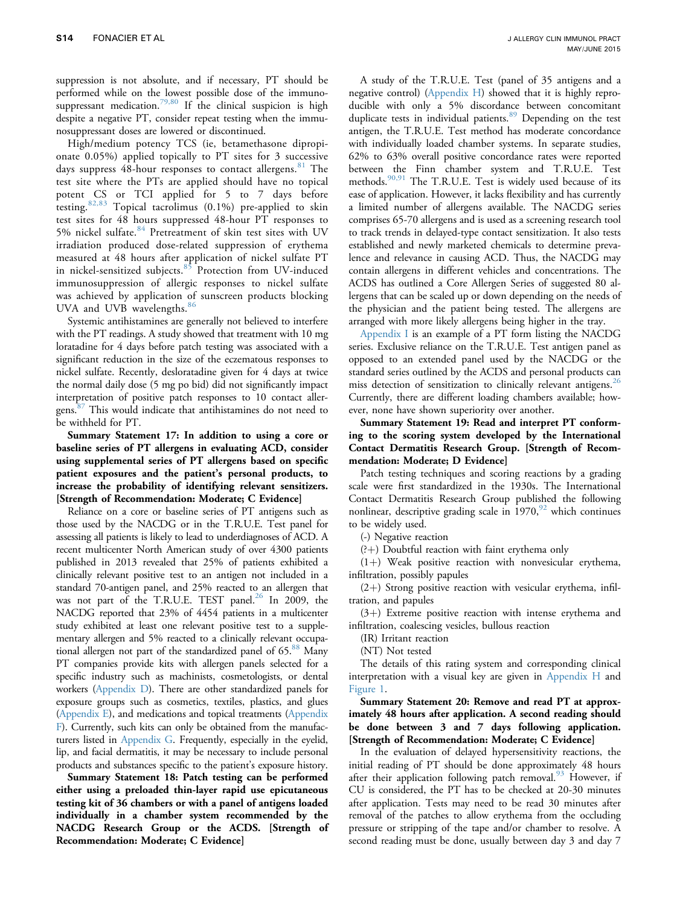suppression is not absolute, and if necessary, PT should be performed while on the lowest possible dose of the immuno-suppressant medication.<sup>[79,80](#page-27-0)</sup> If the clinical suspicion is high despite a negative PT, consider repeat testing when the immunosuppressant doses are lowered or discontinued.

High/medium potency TCS (ie, betamethasone dipropionate 0.05%) applied topically to PT sites for 3 successive days suppress 48-hour responses to contact allergens.<sup>[81](#page-27-0)</sup> The test site where the PTs are applied should have no topical potent CS or TCI applied for 5 to 7 days before testing.[82,83](#page-27-0) Topical tacrolimus (0.1%) pre-applied to skin test sites for 48 hours suppressed 48-hour PT responses to 5% nickel sulfate.<sup>[84](#page-27-0)</sup> Pretreatment of skin test sites with UV irradiation produced dose-related suppression of erythema measured at 48 hours after application of nickel sulfate PT in nickel-sensitized subjects.<sup>[85](#page-27-0)</sup> Protection from UV-induced immunosuppression of allergic responses to nickel sulfate was achieved by application of sunscreen products blocking UVA and UVB wavelengths.<sup>[86](#page-27-0)</sup>

Systemic antihistamines are generally not believed to interfere with the PT readings. A study showed that treatment with 10 mg loratadine for 4 days before patch testing was associated with a significant reduction in the size of the eczematous responses to nickel sulfate. Recently, desloratadine given for 4 days at twice the normal daily dose (5 mg po bid) did not significantly impact interpretation of positive patch responses to 10 contact aller-gens.<sup>[87](#page-27-0)</sup> This would indicate that antihistamines do not need to be withheld for PT.

Summary Statement 17: In addition to using a core or baseline series of PT allergens in evaluating ACD, consider using supplemental series of PT allergens based on specific patient exposures and the patient's personal products, to increase the probability of identifying relevant sensitizers. [Strength of Recommendation: Moderate; C Evidence]

Reliance on a core or baseline series of PT antigens such as those used by the NACDG or in the T.R.U.E. Test panel for assessing all patients is likely to lead to underdiagnoses of ACD. A recent multicenter North American study of over 4300 patients published in 2013 revealed that 25% of patients exhibited a clinically relevant positive test to an antigen not included in a standard 70-antigen panel, and 25% reacted to an allergen that was not part of the T.R.U.E. TEST panel. $^{26}$  In 2009, the NACDG reported that 23% of 4454 patients in a multicenter study exhibited at least one relevant positive test to a supplementary allergen and 5% reacted to a clinically relevant occupational allergen not part of the standardized panel of 65.<sup>88</sup> Many PT companies provide kits with allergen panels selected for a specific industry such as machinists, cosmetologists, or dental workers ([Appendix D](#page-32-0)). There are other standardized panels for exposure groups such as cosmetics, textiles, plastics, and glues [\(Appendix E\)](#page-33-0), and medications and topical treatments [\(Appendix](#page-33-0) [F](#page-33-0)). Currently, such kits can only be obtained from the manufacturers listed in [Appendix G](#page-33-0). Frequently, especially in the eyelid, lip, and facial dermatitis, it may be necessary to include personal products and substances specific to the patient's exposure history.

Summary Statement 18: Patch testing can be performed either using a preloaded thin-layer rapid use epicutaneous testing kit of 36 chambers or with a panel of antigens loaded individually in a chamber system recommended by the NACDG Research Group or the ACDS. [Strength of Recommendation: Moderate; C Evidence]

A study of the T.R.U.E. Test (panel of 35 antigens and a negative control) ([Appendix H](#page-33-0)) showed that it is highly reproducible with only a 5% discordance between concomitant duplicate tests in individual patients.<sup>[89](#page-27-0)</sup> Depending on the test antigen, the T.R.U.E. Test method has moderate concordance with individually loaded chamber systems. In separate studies, 62% to 63% overall positive concordance rates were reported between the Finn chamber system and T.R.U.E. Test methods.<sup>[90,91](#page-27-0)</sup> The T.R.U.E. Test is widely used because of its ease of application. However, it lacks flexibility and has currently a limited number of allergens available. The NACDG series comprises 65-70 allergens and is used as a screening research tool to track trends in delayed-type contact sensitization. It also tests established and newly marketed chemicals to determine prevalence and relevance in causing ACD. Thus, the NACDG may contain allergens in different vehicles and concentrations. The ACDS has outlined a Core Allergen Series of suggested 80 allergens that can be scaled up or down depending on the needs of the physician and the patient being tested. The allergens are arranged with more likely allergens being higher in the tray.

[Appendix I](#page-34-0) is an example of a PT form listing the NACDG series. Exclusive reliance on the T.R.U.E. Test antigen panel as opposed to an extended panel used by the NACDG or the standard series outlined by the ACDS and personal products can miss detection of sensitization to clinically relevant antigens.<sup>26</sup> Currently, there are different loading chambers available; however, none have shown superiority over another.

# Summary Statement 19: Read and interpret PT conforming to the scoring system developed by the International Contact Dermatitis Research Group. [Strength of Recommendation: Moderate; D Evidence]

Patch testing techniques and scoring reactions by a grading scale were first standardized in the 1930s. The International Contact Dermatitis Research Group published the following nonlinear, descriptive grading scale in  $1970$ ,  $92$  which continues to be widely used.

(-) Negative reaction

 $(?+)$  Doubtful reaction with faint erythema only

 $(1+)$  Weak positive reaction with nonvesicular erythema, infiltration, possibly papules

 $(2+)$  Strong positive reaction with vesicular erythema, infiltration, and papules

 $(3+)$  Extreme positive reaction with intense erythema and infiltration, coalescing vesicles, bullous reaction

(IR) Irritant reaction

(NT) Not tested

The details of this rating system and corresponding clinical interpretation with a visual key are given in [Appendix H](#page-33-0) and [Figure 1](#page-14-0).

Summary Statement 20: Remove and read PT at approximately 48 hours after application. A second reading should be done between 3 and 7 days following application. [Strength of Recommendation: Moderate; C Evidence]

In the evaluation of delayed hypersensitivity reactions, the initial reading of PT should be done approximately 48 hours after their application following patch removal.<sup>[93](#page-27-0)</sup> However, if CU is considered, the PT has to be checked at 20-30 minutes after application. Tests may need to be read 30 minutes after removal of the patches to allow erythema from the occluding pressure or stripping of the tape and/or chamber to resolve. A second reading must be done, usually between day 3 and day 7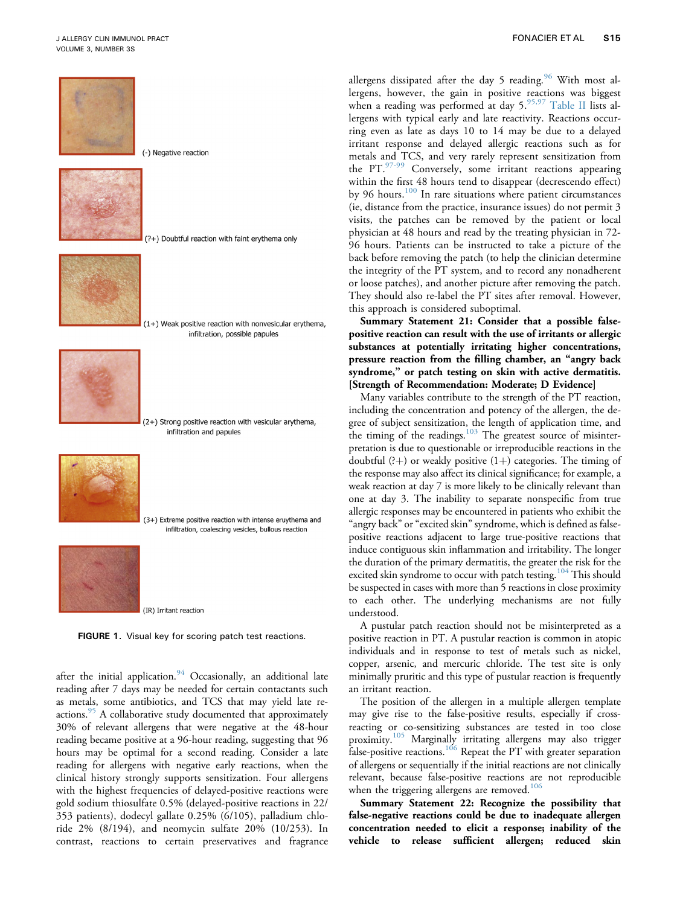<span id="page-14-0"></span>

after the initial application. $94$  Occasionally, an additional late reading after 7 days may be needed for certain contactants such as metals, some antibiotics, and TCS that may yield late reactions. $95$  A collaborative study documented that approximately 30% of relevant allergens that were negative at the 48-hour reading became positive at a 96-hour reading, suggesting that 96 hours may be optimal for a second reading. Consider a late reading for allergens with negative early reactions, when the clinical history strongly supports sensitization. Four allergens with the highest frequencies of delayed-positive reactions were gold sodium thiosulfate 0.5% (delayed-positive reactions in 22/ 353 patients), dodecyl gallate 0.25% (6/105), palladium chloride 2% (8/194), and neomycin sulfate 20% (10/253). In contrast, reactions to certain preservatives and fragrance

allergens dissipated after the day 5 reading. $96$  With most allergens, however, the gain in positive reactions was biggest when a reading was performed at day  $5.95,97$  $5.95,97$  [Table II](#page-15-0) lists allergens with typical early and late reactivity. Reactions occurring even as late as days 10 to 14 may be due to a delayed irritant response and delayed allergic reactions such as for metals and TCS, and very rarely represent sensitization from the PT.<sup>[97-99](#page-27-0)</sup> Conversely, some irritant reactions appearing within the first 48 hours tend to disappear (decrescendo effect) by 96 hours.<sup>[100](#page-27-0)</sup> In rare situations where patient circumstances (ie, distance from the practice, insurance issues) do not permit 3 visits, the patches can be removed by the patient or local physician at 48 hours and read by the treating physician in 72- 96 hours. Patients can be instructed to take a picture of the back before removing the patch (to help the clinician determine the integrity of the PT system, and to record any nonadherent or loose patches), and another picture after removing the patch. They should also re-label the PT sites after removal. However, this approach is considered suboptimal.

Summary Statement 21: Consider that a possible falsepositive reaction can result with the use of irritants or allergic substances at potentially irritating higher concentrations, pressure reaction from the filling chamber, an "angry back syndrome," or patch testing on skin with active dermatitis. [Strength of Recommendation: Moderate; D Evidence]

Many variables contribute to the strength of the PT reaction, including the concentration and potency of the allergen, the degree of subject sensitization, the length of application time, and the timing of the readings. $103$  The greatest source of misinterpretation is due to questionable or irreproducible reactions in the doubtful  $(?+)$  or weakly positive  $(1+)$  categories. The timing of the response may also affect its clinical significance; for example, a weak reaction at day 7 is more likely to be clinically relevant than one at day 3. The inability to separate nonspecific from true allergic responses may be encountered in patients who exhibit the "angry back" or "excited skin" syndrome, which is defined as falsepositive reactions adjacent to large true-positive reactions that induce contiguous skin inflammation and irritability. The longer the duration of the primary dermatitis, the greater the risk for the excited skin syndrome to occur with patch testing.<sup>[104](#page-27-0)</sup> This should be suspected in cases with more than 5 reactions in close proximity to each other. The underlying mechanisms are not fully understood.

A pustular patch reaction should not be misinterpreted as a positive reaction in PT. A pustular reaction is common in atopic individuals and in response to test of metals such as nickel, copper, arsenic, and mercuric chloride. The test site is only minimally pruritic and this type of pustular reaction is frequently an irritant reaction.

The position of the allergen in a multiple allergen template may give rise to the false-positive results, especially if crossreacting or co-sensitizing substances are tested in too close proximity.[105](#page-27-0) Marginally irritating allergens may also trigger false-positive reactions.<sup>[106](#page-27-0)</sup> Repeat the PT with greater separation of allergens or sequentially if the initial reactions are not clinically relevant, because false-positive reactions are not reproducible when the triggering allergens are removed.<sup>[106](#page-27-0)</sup>

Summary Statement 22: Recognize the possibility that false-negative reactions could be due to inadequate allergen concentration needed to elicit a response; inability of the vehicle to release sufficient allergen; reduced skin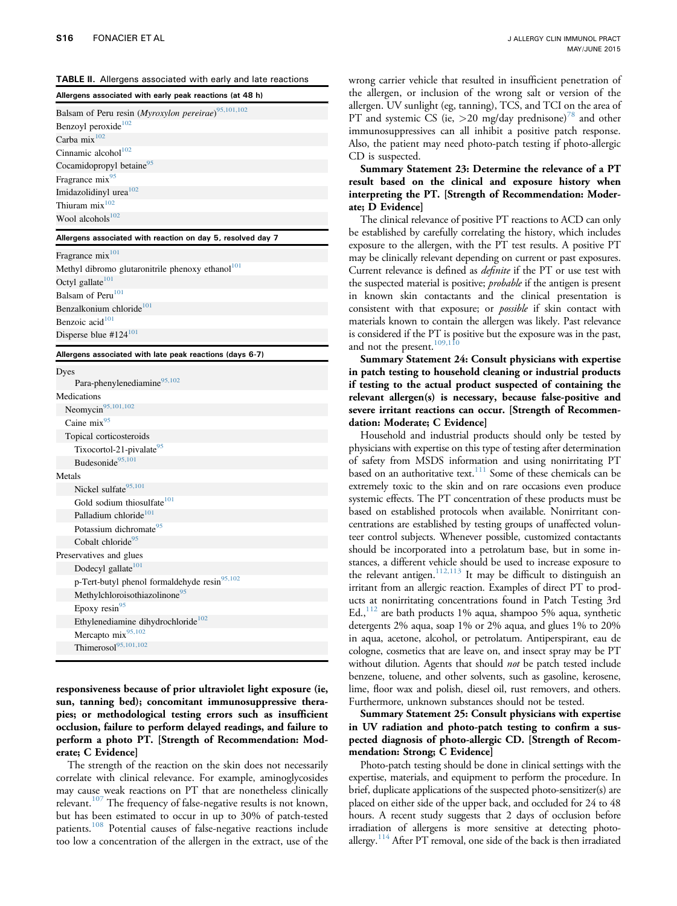<span id="page-15-0"></span>TABLE II. Allergens associated with early and late reactions

| Allergens associated with early peak reactions (at 48 h)        |
|-----------------------------------------------------------------|
| Balsam of Peru resin (Myroxylon pereirae) <sup>95,101,102</sup> |
| Benzoyl peroxide <sup>102</sup>                                 |
| Carba mix <sup>102</sup>                                        |
| Cinnamic alcohol <sup>102</sup>                                 |
| Cocamidopropyl betaine <sup>95</sup>                            |
| Fragrance mix <sup>95</sup>                                     |
| Imidazolidinyl urea <sup>102</sup>                              |
| Thiuram $mix^{102}$                                             |
| Wool alcohols <sup>102</sup>                                    |
|                                                                 |

### Allergens associated with reaction on day 5, resolved day 7

Fragrance mix<sup>[101](#page-27-0)</sup>

Methyl dibromo glutaronitrile phenoxy ethanol $101$ Octyl gallate<sup>101</sup> Balsam of Peru<sup>101</sup> Benzalkonium chloride<sup>[101](#page-27-0)</sup> Benzoic acid<sup>[101](#page-27-0)</sup> Disperse blue #124<sup>[101](#page-27-0)</sup>

#### Allergens associated with late peak reactions (days 6-7)

| Dyes                                                     |
|----------------------------------------------------------|
| Para-phenylenediamine95,102                              |
| Medications                                              |
| Neomycin <sup>95,101,102</sup>                           |
| Caine $mix^{95}$                                         |
| Topical corticosteroids                                  |
| Tixocortol-21-pivalate <sup>95</sup>                     |
| Budesonide <sup>95,101</sup>                             |
| Metals                                                   |
| Nickel sulfate <sup>95,101</sup>                         |
| Gold sodium thiosulfate <sup>101</sup>                   |
| Palladium chloride <sup>101</sup>                        |
| Potassium dichromate <sup>95</sup>                       |
| Cobalt chloride <sup>95</sup>                            |
| Preservatives and glues                                  |
| Dodecyl gallate <sup>101</sup>                           |
| p-Tert-butyl phenol formaldehyde resin <sup>95,102</sup> |
| Methylchloroisothiazolinone <sup>95</sup>                |
| Epoxy resin $95$                                         |
| Ethylenediamine dihydrochloride <sup>102</sup>           |
| Mercapto $mix^{95,102}$                                  |
| Thimerosol $95,101,102$                                  |
|                                                          |

responsiveness because of prior ultraviolet light exposure (ie, sun, tanning bed); concomitant immunosuppressive therapies; or methodological testing errors such as insufficient occlusion, failure to perform delayed readings, and failure to perform a photo PT. [Strength of Recommendation: Moderate; C Evidence]

The strength of the reaction on the skin does not necessarily correlate with clinical relevance. For example, aminoglycosides may cause weak reactions on PT that are nonetheless clinically relevant.<sup>[107](#page-27-0)</sup> The frequency of false-negative results is not known, but has been estimated to occur in up to 30% of patch-tested patients.<sup>108</sup> Potential causes of false-negative reactions include too low a concentration of the allergen in the extract, use of the

wrong carrier vehicle that resulted in insufficient penetration of the allergen, or inclusion of the wrong salt or version of the allergen. UV sunlight (eg, tanning), TCS, and TCI on the area of PT and systemic CS (ie,  $>$  20 mg/day prednisone)<sup>[78](#page-27-0)</sup> and other immunosuppressives can all inhibit a positive patch response. Also, the patient may need photo-patch testing if photo-allergic CD is suspected.

# Summary Statement 23: Determine the relevance of a PT result based on the clinical and exposure history when interpreting the PT. [Strength of Recommendation: Moderate; D Evidence]

The clinical relevance of positive PT reactions to ACD can only be established by carefully correlating the history, which includes exposure to the allergen, with the PT test results. A positive PT may be clinically relevant depending on current or past exposures. Current relevance is defined as *definite* if the PT or use test with the suspected material is positive; *probable* if the antigen is present in known skin contactants and the clinical presentation is consistent with that exposure; or *possible* if skin contact with materials known to contain the allergen was likely. Past relevance is considered if the PT is positive but the exposure was in the past, and not the present.<sup>[109,110](#page-27-0)</sup>

Summary Statement 24: Consult physicians with expertise in patch testing to household cleaning or industrial products if testing to the actual product suspected of containing the relevant allergen(s) is necessary, because false-positive and severe irritant reactions can occur. [Strength of Recommendation: Moderate; C Evidence]

Household and industrial products should only be tested by physicians with expertise on this type of testing after determination of safety from MSDS information and using nonirritating PT based on an authoritative text. $111$  Some of these chemicals can be extremely toxic to the skin and on rare occasions even produce systemic effects. The PT concentration of these products must be based on established protocols when available. Nonirritant concentrations are established by testing groups of unaffected volunteer control subjects. Whenever possible, customized contactants should be incorporated into a petrolatum base, but in some instances, a different vehicle should be used to increase exposure to the relevant antigen. $112,113$  It may be difficult to distinguish an irritant from an allergic reaction. Examples of direct PT to products at nonirritating concentrations found in Patch Testing 3rd Ed.,<sup>112</sup> are bath products 1% aqua, shampoo 5% aqua, synthetic detergents 2% aqua, soap 1% or 2% aqua, and glues 1% to 20% in aqua, acetone, alcohol, or petrolatum. Antiperspirant, eau de cologne, cosmetics that are leave on, and insect spray may be PT without dilution. Agents that should *not* be patch tested include benzene, toluene, and other solvents, such as gasoline, kerosene, lime, floor wax and polish, diesel oil, rust removers, and others. Furthermore, unknown substances should not be tested.

Summary Statement 25: Consult physicians with expertise in UV radiation and photo-patch testing to confirm a suspected diagnosis of photo-allergic CD. [Strength of Recommendation: Strong; C Evidence]

Photo-patch testing should be done in clinical settings with the expertise, materials, and equipment to perform the procedure. In brief, duplicate applications of the suspected photo-sensitizer(s) are placed on either side of the upper back, and occluded for 24 to 48 hours. A recent study suggests that 2 days of occlusion before irradiation of allergens is more sensitive at detecting photoallergy.<sup>114</sup> After PT removal, one side of the back is then irradiated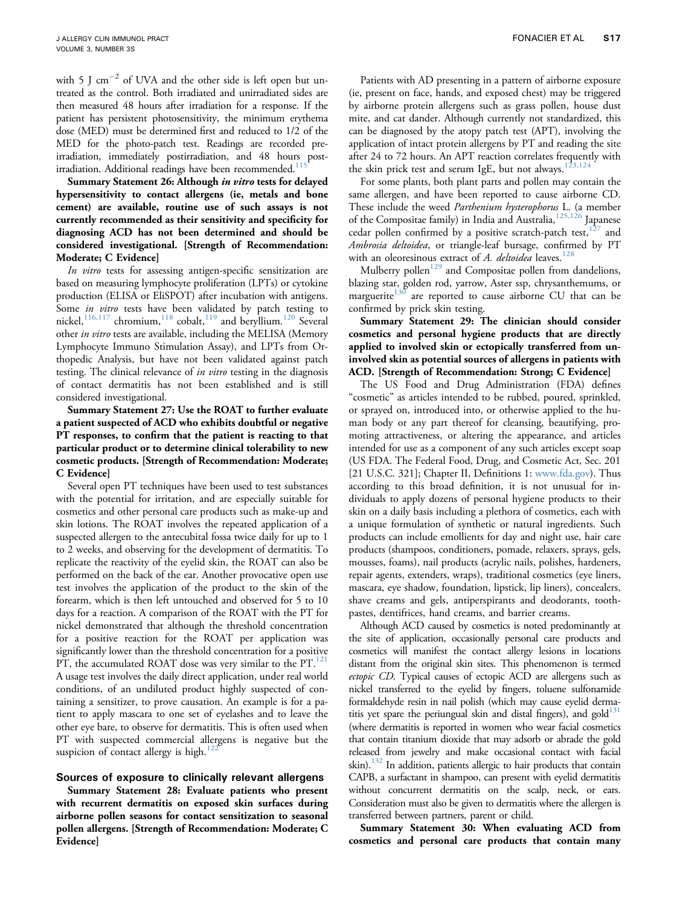with 5 J cm<sup> $-2$ </sup> of UVA and the other side is left open but untreated as the control. Both irradiated and unirradiated sides are then measured 48 hours after irradiation for a response. If the patient has persistent photosensitivity, the minimum erythema dose (MED) must be determined first and reduced to 1/2 of the MED for the photo-patch test. Readings are recorded preirradiation, immediately postirradiation, and 48 hours postirradiation. Additional readings have been recommended.<sup>11</sup>

Summary Statement 26: Although in vitro tests for delayed hypersensitivity to contact allergens (ie, metals and bone cement) are available, routine use of such assays is not currently recommended as their sensitivity and specificity for diagnosing ACD has not been determined and should be considered investigational. [Strength of Recommendation: Moderate; C Evidence]

In vitro tests for assessing antigen-specific sensitization are based on measuring lymphocyte proliferation (LPTs) or cytokine production (ELISA or EliSPOT) after incubation with antigens. Some *in vitro* tests have been validated by patch testing to nickel,<sup>116,117</sup> chromium,<sup>118</sup> cobalt,<sup>[119](#page-27-0)</sup> and beryllium.<sup>[120](#page-27-0)</sup> Several other in vitro tests are available, including the MELISA (Memory Lymphocyte Immuno Stimulation Assay), and LPTs from Orthopedic Analysis, but have not been validated against patch testing. The clinical relevance of in vitro testing in the diagnosis of contact dermatitis has not been established and is still considered investigational.

Summary Statement 27: Use the ROAT to further evaluate a patient suspected of ACD who exhibits doubtful or negative PT responses, to confirm that the patient is reacting to that particular product or to determine clinical tolerability to new cosmetic products. [Strength of Recommendation: Moderate; C Evidence]

Several open PT techniques have been used to test substances with the potential for irritation, and are especially suitable for cosmetics and other personal care products such as make-up and skin lotions. The ROAT involves the repeated application of a suspected allergen to the antecubital fossa twice daily for up to 1 to 2 weeks, and observing for the development of dermatitis. To replicate the reactivity of the eyelid skin, the ROAT can also be performed on the back of the ear. Another provocative open use test involves the application of the product to the skin of the forearm, which is then left untouched and observed for 5 to 10 days for a reaction. A comparison of the ROAT with the PT for nickel demonstrated that although the threshold concentration for a positive reaction for the ROAT per application was significantly lower than the threshold concentration for a positive PT, the accumulated ROAT dose was very similar to the  $PT<sup>121</sup>$  $PT<sup>121</sup>$  $PT<sup>121</sup>$ A usage test involves the daily direct application, under real world conditions, of an undiluted product highly suspected of containing a sensitizer, to prove causation. An example is for a patient to apply mascara to one set of eyelashes and to leave the other eye bare, to observe for dermatitis. This is often used when PT with suspected commercial allergens is negative but the suspicion of contact allergy is high.<sup>[122](#page-27-0)</sup>

# Sources of exposure to clinically relevant allergens

Summary Statement 28: Evaluate patients who present with recurrent dermatitis on exposed skin surfaces during airborne pollen seasons for contact sensitization to seasonal pollen allergens. [Strength of Recommendation: Moderate; C Evidence]

Patients with AD presenting in a pattern of airborne exposure (ie, present on face, hands, and exposed chest) may be triggered by airborne protein allergens such as grass pollen, house dust mite, and cat dander. Although currently not standardized, this can be diagnosed by the atopy patch test (APT), involving the application of intact protein allergens by PT and reading the site after 24 to 72 hours. An APT reaction correlates frequently with the skin prick test and serum IgE, but not always.<sup>1</sup>

For some plants, both plant parts and pollen may contain the same allergen, and have been reported to cause airborne CD. These include the weed Parthenium hysterophorus L. (a member of the Compositae family) in India and Australia,<sup>[125,126](#page-28-0)</sup> Japanese cedar pollen confirmed by a positive scratch-patch test, $127$  and Ambrosia deltoidea, or triangle-leaf bursage, confirmed by PT with an oleoresinous extract of  $A$ . deltoidea leaves.<sup>[128](#page-28-0)</sup>

Mulberry pollen<sup>[129](#page-28-0)</sup> and Compositae pollen from dandelions, blazing star, golden rod, yarrow, Aster ssp, chrysanthemums, or marguerite<sup>[130](#page-28-0)</sup> are reported to cause airborne CU that can be confirmed by prick skin testing.

Summary Statement 29: The clinician should consider cosmetics and personal hygiene products that are directly applied to involved skin or ectopically transferred from uninvolved skin as potential sources of allergens in patients with ACD. [Strength of Recommendation: Strong; C Evidence]

The US Food and Drug Administration (FDA) defines "cosmetic" as articles intended to be rubbed, poured, sprinkled, or sprayed on, introduced into, or otherwise applied to the human body or any part thereof for cleansing, beautifying, promoting attractiveness, or altering the appearance, and articles intended for use as a component of any such articles except soap (US FDA. The Federal Food, Drug, and Cosmetic Act, Sec. 201 [21 U.S.C. 321]; Chapter II, Definitions 1: [www.fda.gov\)](http://www.fda.gov). Thus according to this broad definition, it is not unusual for individuals to apply dozens of personal hygiene products to their skin on a daily basis including a plethora of cosmetics, each with a unique formulation of synthetic or natural ingredients. Such products can include emollients for day and night use, hair care products (shampoos, conditioners, pomade, relaxers, sprays, gels, mousses, foams), nail products (acrylic nails, polishes, hardeners, repair agents, extenders, wraps), traditional cosmetics (eye liners, mascara, eye shadow, foundation, lipstick, lip liners), concealers, shave creams and gels, antiperspirants and deodorants, toothpastes, dentifrices, hand creams, and barrier creams.

Although ACD caused by cosmetics is noted predominantly at the site of application, occasionally personal care products and cosmetics will manifest the contact allergy lesions in locations distant from the original skin sites. This phenomenon is termed ectopic CD. Typical causes of ectopic ACD are allergens such as nickel transferred to the eyelid by fingers, toluene sulfonamide formaldehyde resin in nail polish (which may cause eyelid dermatitis yet spare the periungual skin and distal fingers), and  $gold<sup>131</sup>$ (where dermatitis is reported in women who wear facial cosmetics that contain titanium dioxide that may adsorb or abrade the gold released from jewelry and make occasional contact with facial skin). $132$  In addition, patients allergic to hair products that contain CAPB, a surfactant in shampoo, can present with eyelid dermatitis without concurrent dermatitis on the scalp, neck, or ears. Consideration must also be given to dermatitis where the allergen is transferred between partners, parent or child.

Summary Statement 30: When evaluating ACD from cosmetics and personal care products that contain many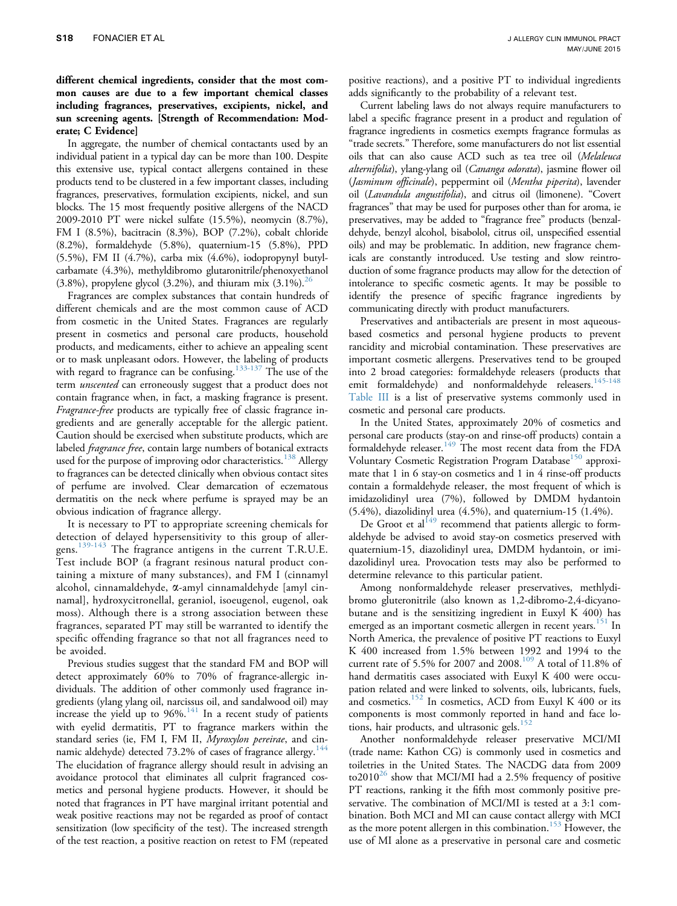# different chemical ingredients, consider that the most common causes are due to a few important chemical classes including fragrances, preservatives, excipients, nickel, and sun screening agents. [Strength of Recommendation: Moderate; C Evidence]

In aggregate, the number of chemical contactants used by an individual patient in a typical day can be more than 100. Despite this extensive use, typical contact allergens contained in these products tend to be clustered in a few important classes, including fragrances, preservatives, formulation excipients, nickel, and sun blocks. The 15 most frequently positive allergens of the NACD 2009-2010 PT were nickel sulfate (15.5%), neomycin (8.7%), FM I (8.5%), bacitracin (8.3%), BOP (7.2%), cobalt chloride (8.2%), formaldehyde (5.8%), quaternium-15 (5.8%), PPD (5.5%), FM II (4.7%), carba mix (4.6%), iodopropynyl butylcarbamate (4.3%), methyldibromo glutaronitrile/phenoxyethanol  $(3.8\%)$ , propylene glycol  $(3.2\%)$ , and thiuram mix  $(3.1\%)$ .<sup>26</sup>

Fragrances are complex substances that contain hundreds of different chemicals and are the most common cause of ACD from cosmetic in the United States. Fragrances are regularly present in cosmetics and personal care products, household products, and medicaments, either to achieve an appealing scent or to mask unpleasant odors. However, the labeling of products with regard to fragrance can be confusing.<sup>[133-137](#page-28-0)</sup> The use of the term *unscented* can erroneously suggest that a product does not contain fragrance when, in fact, a masking fragrance is present. Fragrance-free products are typically free of classic fragrance ingredients and are generally acceptable for the allergic patient. Caution should be exercised when substitute products, which are labeled fragrance free, contain large numbers of botanical extracts used for the purpose of improving odor characteristics.<sup>[138](#page-28-0)</sup> Allergy to fragrances can be detected clinically when obvious contact sites of perfume are involved. Clear demarcation of eczematous dermatitis on the neck where perfume is sprayed may be an obvious indication of fragrance allergy.

It is necessary to PT to appropriate screening chemicals for detection of delayed hypersensitivity to this group of aller-gens.<sup>[139-143](#page-28-0)</sup> The fragrance antigens in the current T.R.U.E. Test include BOP (a fragrant resinous natural product containing a mixture of many substances), and FM I (cinnamyl alcohol, cinnamaldehyde,  $\alpha$ -amyl cinnamaldehyde [amyl cinnamal], hydroxycitronellal, geraniol, isoeugenol, eugenol, oak moss). Although there is a strong association between these fragrances, separated PT may still be warranted to identify the specific offending fragrance so that not all fragrances need to be avoided.

Previous studies suggest that the standard FM and BOP will detect approximately 60% to 70% of fragrance-allergic individuals. The addition of other commonly used fragrance ingredients (ylang ylang oil, narcissus oil, and sandalwood oil) may increase the yield up to  $96\%$ .<sup>[141](#page-28-0)</sup> In a recent study of patients with eyelid dermatitis, PT to fragrance markers within the standard series (ie, FM I, FM II, Myroxylon pereirae, and cin-namic aldehyde) detected 73.2% of cases of fragrance allergy.<sup>[144](#page-28-0)</sup> The elucidation of fragrance allergy should result in advising an avoidance protocol that eliminates all culprit fragranced cosmetics and personal hygiene products. However, it should be noted that fragrances in PT have marginal irritant potential and weak positive reactions may not be regarded as proof of contact sensitization (low specificity of the test). The increased strength of the test reaction, a positive reaction on retest to FM (repeated positive reactions), and a positive PT to individual ingredients adds significantly to the probability of a relevant test.

Current labeling laws do not always require manufacturers to label a specific fragrance present in a product and regulation of fragrance ingredients in cosmetics exempts fragrance formulas as "trade secrets." Therefore, some manufacturers do not list essential oils that can also cause ACD such as tea tree oil (Melaleuca alternifolia), ylang-ylang oil (Cananga odorata), jasmine flower oil (Jasminum officinale), peppermint oil (Mentha piperita), lavender oil (Lavandula angustifolia), and citrus oil (limonene). "Covert fragrances" that may be used for purposes other than for aroma, ie preservatives, may be added to "fragrance free" products (benzaldehyde, benzyl alcohol, bisabolol, citrus oil, unspecified essential oils) and may be problematic. In addition, new fragrance chemicals are constantly introduced. Use testing and slow reintroduction of some fragrance products may allow for the detection of intolerance to specific cosmetic agents. It may be possible to identify the presence of specific fragrance ingredients by communicating directly with product manufacturers.

Preservatives and antibacterials are present in most aqueousbased cosmetics and personal hygiene products to prevent rancidity and microbial contamination. These preservatives are important cosmetic allergens. Preservatives tend to be grouped into 2 broad categories: formaldehyde releasers (products that emit formaldehyde) and nonformaldehyde releasers.<sup>[145-148](#page-28-0)</sup> [Table III](#page-18-0) is a list of preservative systems commonly used in cosmetic and personal care products.

In the United States, approximately 20% of cosmetics and personal care products (stay-on and rinse-off products) contain a formaldehyde releaser.<sup>[149](#page-28-0)</sup> The most recent data from the FDA Voluntary Cosmetic Registration Program Database<sup>[150](#page-28-0)</sup> approximate that 1 in 6 stay-on cosmetics and 1 in 4 rinse-off products contain a formaldehyde releaser, the most frequent of which is imidazolidinyl urea (7%), followed by DMDM hydantoin (5.4%), diazolidinyl urea (4.5%), and quaternium-15 (1.4%).

De Groot et al<sup>[149](#page-28-0)</sup> recommend that patients allergic to formaldehyde be advised to avoid stay-on cosmetics preserved with quaternium-15, diazolidinyl urea, DMDM hydantoin, or imidazolidinyl urea. Provocation tests may also be performed to determine relevance to this particular patient.

Among nonformaldehyde releaser preservatives, methlydibromo gluteronitrile (also known as 1,2-dibromo-2,4-dicyanobutane and is the sensitizing ingredient in Euxyl K 400) has emerged as an important cosmetic allergen in recent years.<sup>151</sup> In North America, the prevalence of positive PT reactions to Euxyl K 400 increased from 1.5% between 1992 and 1994 to the current rate of 5.5% for 2007 and 2008.<sup>109</sup> A total of 11.8% of hand dermatitis cases associated with Euxyl K 400 were occupation related and were linked to solvents, oils, lubricants, fuels, and cosmetics.<sup>[152](#page-28-0)</sup> In cosmetics, ACD from Euxyl K 400 or its components is most commonly reported in hand and face lotions, hair products, and ultrasonic gels. $152$ 

Another nonformaldehyde releaser preservative MCI/MI (trade name: Kathon CG) is commonly used in cosmetics and toiletries in the United States. The NACDG data from 2009 to2010<sup>[26](#page-26-0)</sup> show that MCI/MI had a 2.5% frequency of positive PT reactions, ranking it the fifth most commonly positive preservative. The combination of MCI/MI is tested at a 3:1 combination. Both MCI and MI can cause contact allergy with MCI as the more potent allergen in this combination.<sup>[153](#page-28-0)</sup> However, the use of MI alone as a preservative in personal care and cosmetic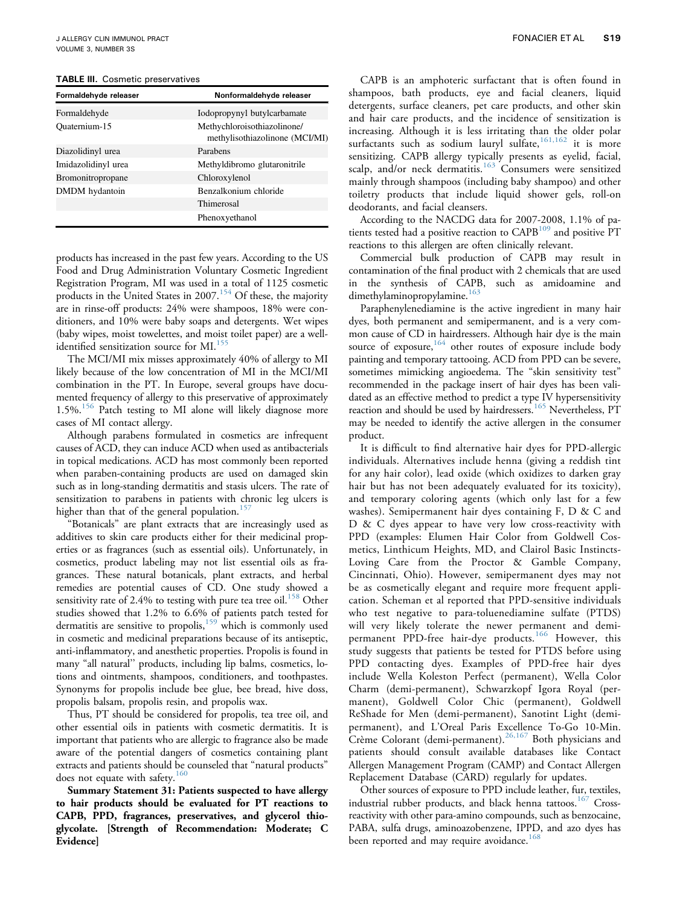#### <span id="page-18-0"></span>TABLE III. Cosmetic preservatives

| Formaldehyde releaser    | Nonformaldehyde releaser                                      |
|--------------------------|---------------------------------------------------------------|
| Formaldehyde             | Iodopropynyl butylcarbamate                                   |
| Ouaternium-15            | Methychloroisothiazolinone/<br>methylisothiazolinone (MCI/MI) |
| Diazolidinyl urea        | Parabens                                                      |
| Imidazolidinyl urea      | Methyldibromo glutaronitrile                                  |
| <b>Bromonitropropane</b> | Chloroxylenol                                                 |
| DMDM hydantoin           | Benzalkonium chloride                                         |
|                          | Thimerosal                                                    |
|                          | Phenoxyethanol                                                |

products has increased in the past few years. According to the US Food and Drug Administration Voluntary Cosmetic Ingredient Registration Program, MI was used in a total of 1125 cosmetic products in the United States in 2007.<sup>[154](#page-28-0)</sup> Of these, the majority are in rinse-off products: 24% were shampoos, 18% were conditioners, and 10% were baby soaps and detergents. Wet wipes (baby wipes, moist towelettes, and moist toilet paper) are a wellidentified sensitization source for  $ML^{15}$ 

The MCI/MI mix misses approximately 40% of allergy to MI likely because of the low concentration of MI in the MCI/MI combination in the PT. In Europe, several groups have documented frequency of allergy to this preservative of approximately 1.5%.<sup>[156](#page-28-0)</sup> Patch testing to MI alone will likely diagnose more cases of MI contact allergy.

Although parabens formulated in cosmetics are infrequent causes of ACD, they can induce ACD when used as antibacterials in topical medications. ACD has most commonly been reported when paraben-containing products are used on damaged skin such as in long-standing dermatitis and stasis ulcers. The rate of sensitization to parabens in patients with chronic leg ulcers is higher than that of the general population.<sup>[157](#page-28-0)</sup>

"Botanicals" are plant extracts that are increasingly used as additives to skin care products either for their medicinal properties or as fragrances (such as essential oils). Unfortunately, in cosmetics, product labeling may not list essential oils as fragrances. These natural botanicals, plant extracts, and herbal remedies are potential causes of CD. One study showed a sensitivity rate of 2.4% to testing with pure tea tree oil.<sup>158</sup> Other studies showed that 1.2% to 6.6% of patients patch tested for dermatitis are sensitive to propolis, $159$  which is commonly used in cosmetic and medicinal preparations because of its antiseptic, anti-inflammatory, and anesthetic properties. Propolis is found in many "all natural'' products, including lip balms, cosmetics, lotions and ointments, shampoos, conditioners, and toothpastes. Synonyms for propolis include bee glue, bee bread, hive doss, propolis balsam, propolis resin, and propolis wax.

Thus, PT should be considered for propolis, tea tree oil, and other essential oils in patients with cosmetic dermatitis. It is important that patients who are allergic to fragrance also be made aware of the potential dangers of cosmetics containing plant extracts and patients should be counseled that "natural products" does not equate with safety.<sup>[160](#page-28-0)</sup>

Summary Statement 31: Patients suspected to have allergy to hair products should be evaluated for PT reactions to CAPB, PPD, fragrances, preservatives, and glycerol thioglycolate. [Strength of Recommendation: Moderate; C Evidence]

CAPB is an amphoteric surfactant that is often found in shampoos, bath products, eye and facial cleaners, liquid detergents, surface cleaners, pet care products, and other skin and hair care products, and the incidence of sensitization is increasing. Although it is less irritating than the older polar surfactants such as sodium lauryl sulfate,  $161,162$  it is more sensitizing. CAPB allergy typically presents as eyelid, facial, scalp, and/or neck dermatitis.[163](#page-28-0) Consumers were sensitized mainly through shampoos (including baby shampoo) and other toiletry products that include liquid shower gels, roll-on deodorants, and facial cleansers.

According to the NACDG data for 2007-2008, 1.1% of patients tested had a positive reaction to  $CAPB<sup>109</sup>$  and positive  $\overline{PT}$ reactions to this allergen are often clinically relevant.

Commercial bulk production of CAPB may result in contamination of the final product with 2 chemicals that are used in the synthesis of CAPB, such as amidoamine and dimethylaminopropylamine.<sup>[163](#page-28-0)</sup>

Paraphenylenediamine is the active ingredient in many hair dyes, both permanent and semipermanent, and is a very common cause of CD in hairdressers. Although hair dye is the main source of exposure,<sup>[164](#page-28-0)</sup> other routes of exposure include body painting and temporary tattooing. ACD from PPD can be severe, sometimes mimicking angioedema. The "skin sensitivity test" recommended in the package insert of hair dyes has been validated as an effective method to predict a type IV hypersensitivity reaction and should be used by hairdressers.<sup>[165](#page-28-0)</sup> Nevertheless, PT may be needed to identify the active allergen in the consumer product.

It is difficult to find alternative hair dyes for PPD-allergic individuals. Alternatives include henna (giving a reddish tint for any hair color), lead oxide (which oxidizes to darken gray hair but has not been adequately evaluated for its toxicity), and temporary coloring agents (which only last for a few washes). Semipermanent hair dyes containing F, D & C and D & C dyes appear to have very low cross-reactivity with PPD (examples: Elumen Hair Color from Goldwell Cosmetics, Linthicum Heights, MD, and Clairol Basic Instincts-Loving Care from the Proctor & Gamble Company, Cincinnati, Ohio). However, semipermanent dyes may not be as cosmetically elegant and require more frequent application. Scheman et al reported that PPD-sensitive individuals who test negative to para-toluenediamine sulfate (PTDS) will very likely tolerate the newer permanent and demi-permanent PPD-free hair-dye products.<sup>[166](#page-28-0)</sup> However, this study suggests that patients be tested for PTDS before using PPD contacting dyes. Examples of PPD-free hair dyes include Wella Koleston Perfect (permanent), Wella Color Charm (demi-permanent), Schwarzkopf Igora Royal (permanent), Goldwell Color Chic (permanent), Goldwell ReShade for Men (demi-permanent), Sanotint Light (demipermanent), and L'Oreal Paris Excellence To-Go 10-Min. Crème Colorant (demi-permanent).[26,167](#page-26-0) Both physicians and patients should consult available databases like Contact Allergen Management Program (CAMP) and Contact Allergen Replacement Database (CARD) regularly for updates.

Other sources of exposure to PPD include leather, fur, textiles, industrial rubber products, and black henna tattoos.<sup>[167](#page-28-0)</sup> Crossreactivity with other para-amino compounds, such as benzocaine, PABA, sulfa drugs, aminoazobenzene, IPPD, and azo dyes has been reported and may require avoidance.<sup>[168](#page-28-0)</sup>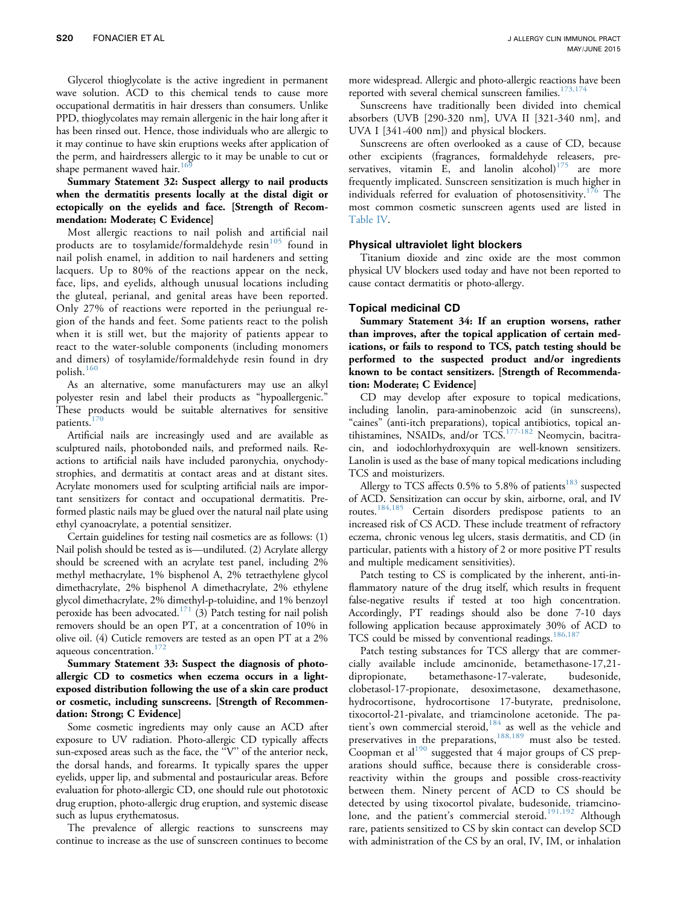Glycerol thioglycolate is the active ingredient in permanent wave solution. ACD to this chemical tends to cause more occupational dermatitis in hair dressers than consumers. Unlike PPD, thioglycolates may remain allergenic in the hair long after it has been rinsed out. Hence, those individuals who are allergic to it may continue to have skin eruptions weeks after application of the perm, and hairdressers allergic to it may be unable to cut or shape permanent waved hair. $1$ 

# Summary Statement 32: Suspect allergy to nail products when the dermatitis presents locally at the distal digit or ectopically on the eyelids and face. [Strength of Recommendation: Moderate; C Evidence]

Most allergic reactions to nail polish and artificial nail products are to tosylamide/formaldehyde resin<sup>[105](#page-27-0)</sup> found in nail polish enamel, in addition to nail hardeners and setting lacquers. Up to 80% of the reactions appear on the neck, face, lips, and eyelids, although unusual locations including the gluteal, perianal, and genital areas have been reported. Only 27% of reactions were reported in the periungual region of the hands and feet. Some patients react to the polish when it is still wet, but the majority of patients appear to react to the water-soluble components (including monomers and dimers) of tosylamide/formaldehyde resin found in dry polish. $160$ 

As an alternative, some manufacturers may use an alkyl polyester resin and label their products as "hypoallergenic." These products would be suitable alternatives for sensitive patients.<sup>170</sup>

Artificial nails are increasingly used and are available as sculptured nails, photobonded nails, and preformed nails. Reactions to artificial nails have included paronychia, onychodystrophies, and dermatitis at contact areas and at distant sites. Acrylate monomers used for sculpting artificial nails are important sensitizers for contact and occupational dermatitis. Preformed plastic nails may be glued over the natural nail plate using ethyl cyanoacrylate, a potential sensitizer.

Certain guidelines for testing nail cosmetics are as follows: (1) Nail polish should be tested as is—undiluted. (2) Acrylate allergy should be screened with an acrylate test panel, including 2% methyl methacrylate, 1% bisphenol A, 2% tetraethylene glycol dimethacrylate, 2% bisphenol A dimethacrylate, 2% ethylene glycol dimethacrylate, 2% dimethyl-p-toluidine, and 1% benzoyl peroxide has been advocated.<sup>171</sup> (3) Patch testing for nail polish removers should be an open PT, at a concentration of 10% in olive oil. (4) Cuticle removers are tested as an open PT at a 2% aqueous concentration.<sup>[172](#page-28-0)</sup>

# Summary Statement 33: Suspect the diagnosis of photoallergic CD to cosmetics when eczema occurs in a lightexposed distribution following the use of a skin care product or cosmetic, including sunscreens. [Strength of Recommendation: Strong; C Evidence]

Some cosmetic ingredients may only cause an ACD after exposure to UV radiation. Photo-allergic CD typically affects sun-exposed areas such as the face, the ''V'' of the anterior neck, the dorsal hands, and forearms. It typically spares the upper eyelids, upper lip, and submental and postauricular areas. Before evaluation for photo-allergic CD, one should rule out phototoxic drug eruption, photo-allergic drug eruption, and systemic disease such as lupus erythematosus.

The prevalence of allergic reactions to sunscreens may continue to increase as the use of sunscreen continues to become

more widespread. Allergic and photo-allergic reactions have been reported with several chemical sunscreen families. $173,174$ 

Sunscreens have traditionally been divided into chemical absorbers (UVB [290-320 nm], UVA II [321-340 nm], and UVA I [341-400 nm]) and physical blockers.

Sunscreens are often overlooked as a cause of CD, because other excipients (fragrances, formaldehyde releasers, preservatives, vitamin E, and lanolin alcohol) $175$  are more frequently implicated. Sunscreen sensitization is much higher in individuals referred for evaluation of photosensitivity.<sup>[176](#page-28-0)</sup> The most common cosmetic sunscreen agents used are listed in [Table IV](#page-20-0).

### Physical ultraviolet light blockers

Titanium dioxide and zinc oxide are the most common physical UV blockers used today and have not been reported to cause contact dermatitis or photo-allergy.

### Topical medicinal CD

Summary Statement 34: If an eruption worsens, rather than improves, after the topical application of certain medications, or fails to respond to TCS, patch testing should be performed to the suspected product and/or ingredients known to be contact sensitizers. [Strength of Recommendation: Moderate; C Evidence]

CD may develop after exposure to topical medications, including lanolin, para-aminobenzoic acid (in sunscreens), "caines" (anti-itch preparations), topical antibiotics, topical antihistamines, NSAIDs, and/or TCS.[177-182](#page-28-0) Neomycin, bacitracin, and iodochlorhydroxyquin are well-known sensitizers. Lanolin is used as the base of many topical medications including TCS and moisturizers.

Allergy to TCS affects  $0.5\%$  to 5.8% of patients<sup>[183](#page-29-0)</sup> suspected of ACD. Sensitization can occur by skin, airborne, oral, and IV routes.[184,185](#page-29-0) Certain disorders predispose patients to an increased risk of CS ACD. These include treatment of refractory eczema, chronic venous leg ulcers, stasis dermatitis, and CD (in particular, patients with a history of 2 or more positive PT results and multiple medicament sensitivities).

Patch testing to CS is complicated by the inherent, anti-inflammatory nature of the drug itself, which results in frequent false-negative results if tested at too high concentration. Accordingly, PT readings should also be done 7-10 days following application because approximately 30% of ACD to TCS could be missed by conventional readings.<sup>186,18</sup>

Patch testing substances for TCS allergy that are commercially available include amcinonide, betamethasone-17,21 dipropionate, betamethasone-17-valerate, budesonide, clobetasol-17-propionate, desoximetasone, dexamethasone, hydrocortisone, hydrocortisone 17-butyrate, prednisolone, tixocortol-21-pivalate, and triamcinolone acetonide. The pa-tient's own commercial steroid,<sup>[184](#page-29-0)</sup> as well as the vehicle and preservatives in the preparations,<sup>[188,189](#page-29-0)</sup> must also be tested. Coopman et al $190$  suggested that 4 major groups of CS preparations should suffice, because there is considerable crossreactivity within the groups and possible cross-reactivity between them. Ninety percent of ACD to CS should be detected by using tixocortol pivalate, budesonide, triamcino-lone, and the patient's commercial steroid.<sup>[191,192](#page-29-0)</sup> Although rare, patients sensitized to CS by skin contact can develop SCD with administration of the CS by an oral, IV, IM, or inhalation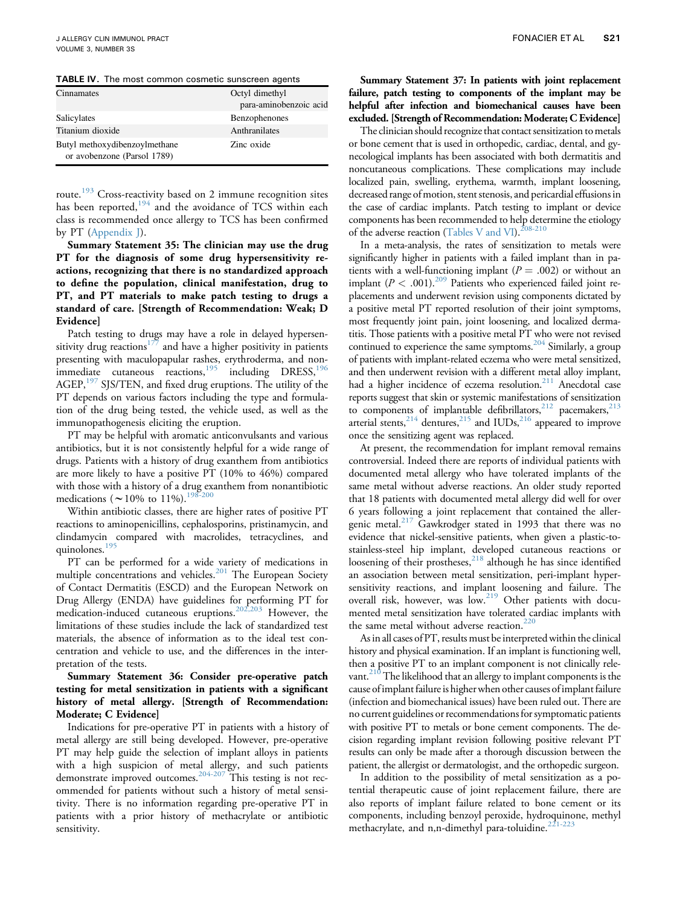<span id="page-20-0"></span>TABLE IV. The most common cosmetic sunscreen agents

| Cinnamates                                                   | Octyl dimethyl         |
|--------------------------------------------------------------|------------------------|
|                                                              | para-aminobenzoic acid |
| Salicylates                                                  | Benzophenones          |
| Titanium dioxide                                             | Anthranilates          |
| Butyl methoxydibenzoylmethane<br>or avobenzone (Parsol 1789) | Zinc oxide             |

route.<sup>[193](#page-29-0)</sup> Cross-reactivity based on 2 immune recognition sites has been reported,<sup>[194](#page-29-0)</sup> and the avoidance of TCS within each class is recommended once allergy to TCS has been confirmed by PT ([Appendix J](#page-36-0)).

Summary Statement 35: The clinician may use the drug PT for the diagnosis of some drug hypersensitivity reactions, recognizing that there is no standardized approach to define the population, clinical manifestation, drug to PT, and PT materials to make patch testing to drugs a standard of care. [Strength of Recommendation: Weak; D Evidence]

Patch testing to drugs may have a role in delayed hypersensitivity drug reactions<sup> $177$ </sup> and have a higher positivity in patients presenting with maculopapular rashes, erythroderma, and nonimmediate cutaneous reactions,  $195$  including DRESS,  $196$ AGEP,  $197$  SJS/TEN, and fixed drug eruptions. The utility of the PT depends on various factors including the type and formulation of the drug being tested, the vehicle used, as well as the immunopathogenesis eliciting the eruption.

PT may be helpful with aromatic anticonvulsants and various antibiotics, but it is not consistently helpful for a wide range of drugs. Patients with a history of drug exanthem from antibiotics are more likely to have a positive PT (10% to 46%) compared with those with a history of a drug exanthem from nonantibiotic medications ( $\sim$  10% to 11%).<sup>198</sup>

Within antibiotic classes, there are higher rates of positive PT reactions to aminopenicillins, cephalosporins, pristinamycin, and clindamycin compared with macrolides, tetracyclines, and quinolones.[195](#page-29-0)

PT can be performed for a wide variety of medications in multiple concentrations and vehicles.<sup>[201](#page-29-0)</sup> The European Society of Contact Dermatitis (ESCD) and the European Network on Drug Allergy (ENDA) have guidelines for performing PT for medication-induced cutaneous eruptions.<sup>[202,203](#page-29-0)</sup> However, the limitations of these studies include the lack of standardized test materials, the absence of information as to the ideal test concentration and vehicle to use, and the differences in the interpretation of the tests.

Summary Statement 36: Consider pre-operative patch testing for metal sensitization in patients with a significant history of metal allergy. [Strength of Recommendation: Moderate; C Evidence]

Indications for pre-operative PT in patients with a history of metal allergy are still being developed. However, pre-operative PT may help guide the selection of implant alloys in patients with a high suspicion of metal allergy, and such patients demonstrate improved outcomes.<sup>204-207</sup> This testing is not recommended for patients without such a history of metal sensitivity. There is no information regarding pre-operative PT in patients with a prior history of methacrylate or antibiotic sensitivity.

Summary Statement 37: In patients with joint replacement failure, patch testing to components of the implant may be helpful after infection and biomechanical causes have been excluded. [Strength of Recommendation: Moderate; C Evidence]

The clinician should recognize that contact sensitization to metals or bone cement that is used in orthopedic, cardiac, dental, and gynecological implants has been associated with both dermatitis and noncutaneous complications. These complications may include localized pain, swelling, erythema, warmth, implant loosening, decreased range of motion, stent stenosis, and pericardial effusions in the case of cardiac implants. Patch testing to implant or device components has been recommended to help determine the etiology of the adverse reaction ([Tables V and VI](#page-21-0)).<sup>[208-210](#page-29-0)</sup>

In a meta-analysis, the rates of sensitization to metals were significantly higher in patients with a failed implant than in patients with a well-functioning implant ( $P = .002$ ) or without an implant ( $P < .001$ ).<sup>[209](#page-29-0)</sup> Patients who experienced failed joint replacements and underwent revision using components dictated by a positive metal PT reported resolution of their joint symptoms, most frequently joint pain, joint loosening, and localized dermatitis. Those patients with a positive metal PT who were not revised continued to experience the same symptoms.<sup>[204](#page-29-0)</sup> Similarly, a group of patients with implant-related eczema who were metal sensitized, and then underwent revision with a different metal alloy implant, had a higher incidence of eczema resolution.<sup>211</sup> Anecdotal case reports suggest that skin or systemic manifestations of sensitization to components of implantable defibrillators, $212$  pacemakers, $213$ arterial stents,<sup>214</sup> dentures,<sup>[215](#page-29-0)</sup> and  $IUDs$ ,<sup>[216](#page-29-0)</sup> appeared to improve once the sensitizing agent was replaced.

At present, the recommendation for implant removal remains controversial. Indeed there are reports of individual patients with documented metal allergy who have tolerated implants of the same metal without adverse reactions. An older study reported that 18 patients with documented metal allergy did well for over 6 years following a joint replacement that contained the aller-genic metal.<sup>[217](#page-29-0)</sup> Gawkrodger stated in 1993 that there was no evidence that nickel-sensitive patients, when given a plastic-tostainless-steel hip implant, developed cutaneous reactions or loosening of their prostheses,  $^{218}$  $^{218}$  $^{218}$  although he has since identified an association between metal sensitization, peri-implant hypersensitivity reactions, and implant loosening and failure. The overall risk, however, was low.<sup>[219](#page-29-0)</sup> Other patients with documented metal sensitization have tolerated cardiac implants with the same metal without adverse reaction. $220$ 

As in all cases of PT, results must be interpreted within the clinical history and physical examination. If an implant is functioning well, then a positive PT to an implant component is not clinically rele-vant.<sup>[210](#page-29-0)</sup> The likelihood that an allergy to implant components is the cause of implant failure is higher when other causes of implant failure (infection and biomechanical issues) have been ruled out. There are no current guidelines or recommendations for symptomatic patients with positive PT to metals or bone cement components. The decision regarding implant revision following positive relevant PT results can only be made after a thorough discussion between the patient, the allergist or dermatologist, and the orthopedic surgeon.

In addition to the possibility of metal sensitization as a potential therapeutic cause of joint replacement failure, there are also reports of implant failure related to bone cement or its components, including benzoyl peroxide, hydroquinone, methyl methacrylate, and n,n-dimethyl para-toluidine.<sup>[221-223](#page-29-0)</sup>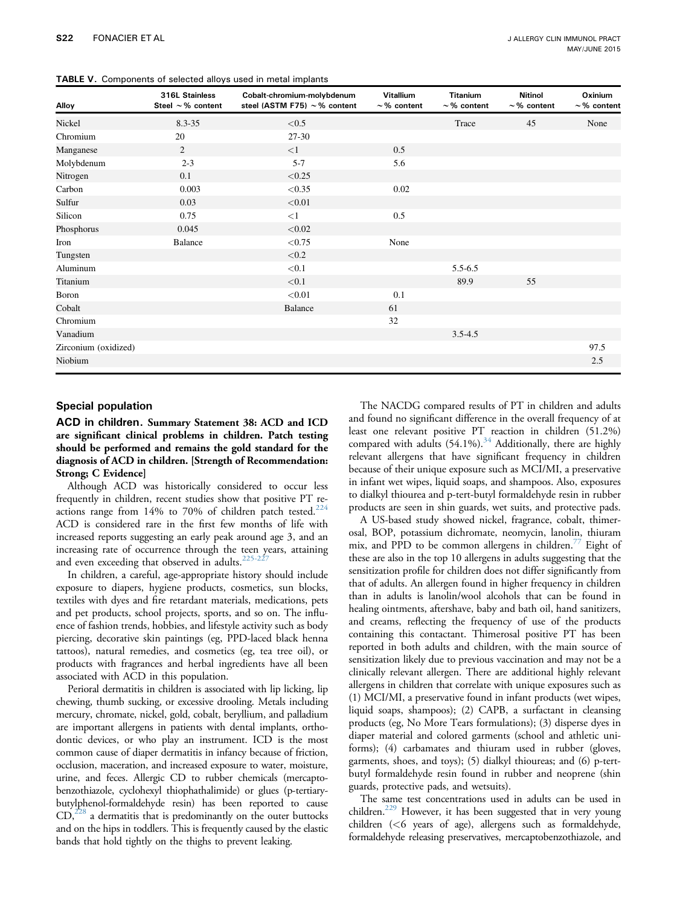<span id="page-21-0"></span>TABLE V. Components of selected alloys used in metal implants

| Alloy                | 316L Stainless<br>Steel $\sim$ % content | Cobalt-chromium-molybdenum<br>steel (ASTM F75) $\sim$ % content | <b>Vitallium</b><br>$\sim$ % content | <b>Titanium</b><br>$\sim$ % content | <b>Nitinol</b><br>$\sim$ % content | Oxinium<br>$\sim$ % content |
|----------------------|------------------------------------------|-----------------------------------------------------------------|--------------------------------------|-------------------------------------|------------------------------------|-----------------------------|
| Nickel               | $8.3 - 35$                               | < 0.5                                                           |                                      | Trace                               | 45                                 | None                        |
| Chromium             | 20                                       | 27-30                                                           |                                      |                                     |                                    |                             |
| Manganese            | $\overline{c}$                           | $<$ 1                                                           | 0.5                                  |                                     |                                    |                             |
| Molybdenum           | $2 - 3$                                  | $5 - 7$                                                         | 5.6                                  |                                     |                                    |                             |
| Nitrogen             | 0.1                                      | < 0.25                                                          |                                      |                                     |                                    |                             |
| Carbon               | 0.003                                    | < 0.35                                                          | 0.02                                 |                                     |                                    |                             |
| Sulfur               | 0.03                                     | < 0.01                                                          |                                      |                                     |                                    |                             |
| Silicon              | 0.75                                     | <1                                                              | 0.5                                  |                                     |                                    |                             |
| Phosphorus           | 0.045                                    | < 0.02                                                          |                                      |                                     |                                    |                             |
| Iron                 | Balance                                  | < 0.75                                                          | None                                 |                                     |                                    |                             |
| Tungsten             |                                          | < 0.2                                                           |                                      |                                     |                                    |                             |
| Aluminum             |                                          | < 0.1                                                           |                                      | $5.5 - 6.5$                         |                                    |                             |
| Titanium             |                                          | < 0.1                                                           |                                      | 89.9                                | 55                                 |                             |
| Boron                |                                          | < 0.01                                                          | 0.1                                  |                                     |                                    |                             |
| Cobalt               |                                          | <b>Balance</b>                                                  | 61                                   |                                     |                                    |                             |
| Chromium             |                                          |                                                                 | 32                                   |                                     |                                    |                             |
| Vanadium             |                                          |                                                                 |                                      | $3.5 - 4.5$                         |                                    |                             |
| Zirconium (oxidized) |                                          |                                                                 |                                      |                                     |                                    | 97.5                        |
| Niobium              |                                          |                                                                 |                                      |                                     |                                    | 2.5                         |

# Special population

ACD in children. Summary Statement 38: ACD and ICD are significant clinical problems in children. Patch testing should be performed and remains the gold standard for the diagnosis of ACD in children. [Strength of Recommendation: Strong; C Evidence]

Although ACD was historically considered to occur less frequently in children, recent studies show that positive PT re-actions range from 14% to 70% of children patch tested.<sup>[224](#page-29-0)</sup> ACD is considered rare in the first few months of life with increased reports suggesting an early peak around age 3, and an increasing rate of occurrence through the teen years, attaining and even exceeding that observed in adults. $^{225-227}$  $^{225-227}$  $^{225-227}$ 

In children, a careful, age-appropriate history should include exposure to diapers, hygiene products, cosmetics, sun blocks, textiles with dyes and fire retardant materials, medications, pets and pet products, school projects, sports, and so on. The influence of fashion trends, hobbies, and lifestyle activity such as body piercing, decorative skin paintings (eg, PPD-laced black henna tattoos), natural remedies, and cosmetics (eg, tea tree oil), or products with fragrances and herbal ingredients have all been associated with ACD in this population.

Perioral dermatitis in children is associated with lip licking, lip chewing, thumb sucking, or excessive drooling. Metals including mercury, chromate, nickel, gold, cobalt, beryllium, and palladium are important allergens in patients with dental implants, orthodontic devices, or who play an instrument. ICD is the most common cause of diaper dermatitis in infancy because of friction, occlusion, maceration, and increased exposure to water, moisture, urine, and feces. Allergic CD to rubber chemicals (mercaptobenzothiazole, cyclohexyl thiophathalimide) or glues (p-tertiarybutylphenol-formaldehyde resin) has been reported to cause  $CD<sub>z</sub><sup>228</sup>$  a dermatitis that is predominantly on the outer buttocks and on the hips in toddlers. This is frequently caused by the elastic bands that hold tightly on the thighs to prevent leaking.

The NACDG compared results of PT in children and adults and found no significant difference in the overall frequency of at least one relevant positive PT reaction in children (51.2%) compared with adults  $(54.1\%)$ .<sup>[34](#page-26-0)</sup> Additionally, there are highly relevant allergens that have significant frequency in children because of their unique exposure such as MCI/MI, a preservative in infant wet wipes, liquid soaps, and shampoos. Also, exposures to dialkyl thiourea and p-tert-butyl formaldehyde resin in rubber products are seen in shin guards, wet suits, and protective pads.

A US-based study showed nickel, fragrance, cobalt, thimerosal, BOP, potassium dichromate, neomycin, lanolin, thiuram mix, and PPD to be common allergens in children.<sup>[77](#page-27-0)</sup> Eight of these are also in the top 10 allergens in adults suggesting that the sensitization profile for children does not differ significantly from that of adults. An allergen found in higher frequency in children than in adults is lanolin/wool alcohols that can be found in healing ointments, aftershave, baby and bath oil, hand sanitizers, and creams, reflecting the frequency of use of the products containing this contactant. Thimerosal positive PT has been reported in both adults and children, with the main source of sensitization likely due to previous vaccination and may not be a clinically relevant allergen. There are additional highly relevant allergens in children that correlate with unique exposures such as (1) MCI/MI, a preservative found in infant products (wet wipes, liquid soaps, shampoos); (2) CAPB, a surfactant in cleansing products (eg, No More Tears formulations); (3) disperse dyes in diaper material and colored garments (school and athletic uniforms); (4) carbamates and thiuram used in rubber (gloves, garments, shoes, and toys); (5) dialkyl thioureas; and (6) p-tertbutyl formaldehyde resin found in rubber and neoprene (shin guards, protective pads, and wetsuits).

The same test concentrations used in adults can be used in children.<sup>[229](#page-29-0)</sup> However, it has been suggested that in very young children (<6 years of age), allergens such as formaldehyde, formaldehyde releasing preservatives, mercaptobenzothiazole, and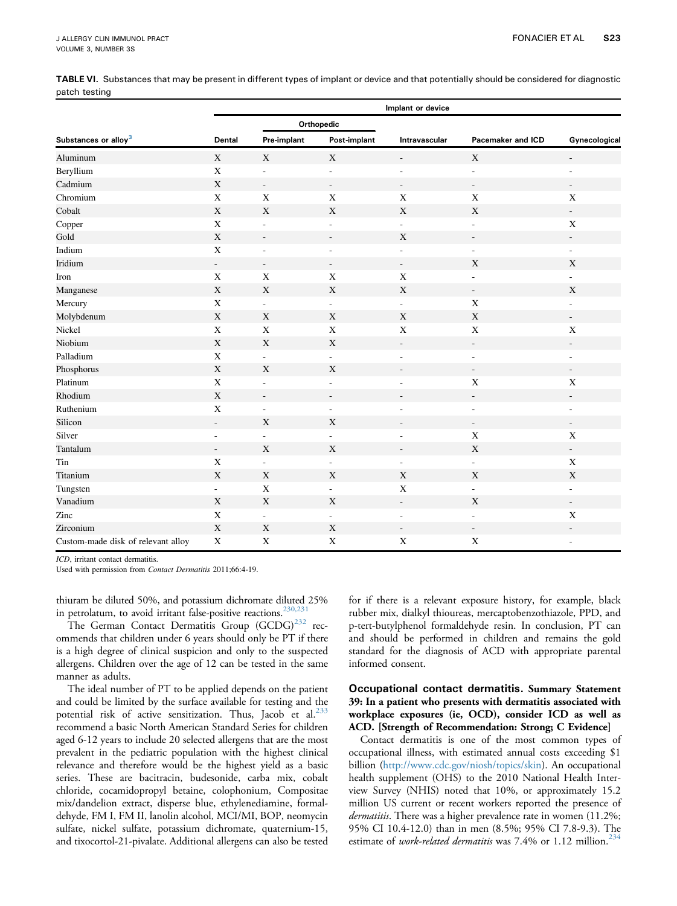TABLE VI. Substances that may be present in different types of implant or device and that potentially should be considered for diagnostic patch testing

|                                    | Implant or device        |                          |                          |                          |                          |                          |  |  |  |
|------------------------------------|--------------------------|--------------------------|--------------------------|--------------------------|--------------------------|--------------------------|--|--|--|
|                                    |                          |                          | Orthopedic               |                          |                          |                          |  |  |  |
| Substances or alloy <sup>3</sup>   | Dental                   | Pre-implant              | Post-implant             | Intravascular            | Pacemaker and ICD        | Gynecological            |  |  |  |
| Aluminum                           | $\mathbf X$              | X                        | $\mathbf X$              | $\overline{\phantom{a}}$ | $\mathbf X$              | $\qquad \qquad -$        |  |  |  |
| Beryllium                          | $\mathbf X$              | $\overline{a}$           | $\overline{a}$           | L,                       | $\overline{\phantom{a}}$ | L,                       |  |  |  |
| Cadmium                            | $\mathbf X$              | $\overline{\phantom{a}}$ | $\qquad \qquad -$        | $\overline{\phantom{a}}$ | $\Box$                   | $\overline{\phantom{a}}$ |  |  |  |
| Chromium                           | $\mathbf X$              | X                        | $\mathbf X$              | X                        | X                        | X                        |  |  |  |
| Cobalt                             | $\mathbf X$              | $\mathbf X$              | $\mathbf X$              | $\mathbf X$              | $\mathbf X$              | $\overline{\phantom{a}}$ |  |  |  |
| Copper                             | $\mathbf X$              | $\sim$                   | $\overline{\phantom{a}}$ | $\mathbf{r}$             | $\overline{\phantom{a}}$ | X                        |  |  |  |
| Gold                               | $\mathbf X$              | $\overline{\phantom{a}}$ | $\overline{\phantom{a}}$ | $\mathbf X$              | $\mathbb{L}$             | $\overline{\phantom{a}}$ |  |  |  |
| Indium                             | $\mathbf X$              | $\overline{\phantom{a}}$ | $\overline{\phantom{a}}$ | $\overline{\phantom{a}}$ | $\overline{\phantom{a}}$ | $\overline{\phantom{a}}$ |  |  |  |
| Iridium                            | $\overline{\phantom{a}}$ | $\overline{\phantom{a}}$ | $\overline{\phantom{a}}$ | $\overline{\phantom{a}}$ | X                        | $\mathbf X$              |  |  |  |
| Iron                               | $\mathbf X$              | $\mathbf X$              | $\mathbf X$              | $\mathbf X$              | ÷,                       | $\overline{a}$           |  |  |  |
| Manganese                          | $\mathbf X$              | X                        | $\mathbf X$              | $\mathbf X$              | $\overline{\phantom{a}}$ | $\mathbf X$              |  |  |  |
| Mercury                            | $\mathbf X$              | $\sim$                   | $\overline{\phantom{a}}$ | $\overline{\phantom{a}}$ | $\mathbf X$              | $\overline{\phantom{a}}$ |  |  |  |
| Molybdenum                         | $\mathbf X$              | $\mathbf X$              | X                        | X                        | $\mathbf X$              | $\overline{\phantom{a}}$ |  |  |  |
| Nickel                             | $\mathbf X$              | $\mathbf X$              | $\mathbf X$              | $\mathbf X$              | $\mathbf X$              | $\mathbf X$              |  |  |  |
| Niobium                            | $\mathbf X$              | $\mathbf X$              | $\mathbf X$              | $\overline{\phantom{a}}$ | $\overline{\phantom{0}}$ |                          |  |  |  |
| Palladium                          | $\mathbf X$              | $\mathbb{L}$             | $\Box$                   | L,                       | $\overline{\phantom{a}}$ | $\overline{a}$           |  |  |  |
| Phosphorus                         | $\mathbf X$              | X                        | $\mathbf X$              |                          | $\overline{\phantom{a}}$ | $\overline{a}$           |  |  |  |
| Platinum                           | $\mathbf X$              | $\overline{\phantom{a}}$ | L,                       |                          | $\mathbf X$              | $\mathbf X$              |  |  |  |
| Rhodium                            | $\mathbf X$              | $\overline{\phantom{a}}$ | $\overline{\phantom{a}}$ | $\overline{a}$           | $\overline{\phantom{a}}$ | $\overline{\phantom{a}}$ |  |  |  |
| Ruthenium                          | $\mathbf X$              | $\sim$                   | $\overline{\phantom{a}}$ | ÷,                       | $\overline{\phantom{a}}$ | $\overline{\phantom{a}}$ |  |  |  |
| Silicon                            | $\overline{\phantom{a}}$ | X                        | X                        | $\overline{a}$           | $\Box$                   | $\overline{\phantom{a}}$ |  |  |  |
| Silver                             | $\overline{\phantom{a}}$ | $\overline{\phantom{a}}$ | $\overline{a}$           | L,                       | $\mathbf X$              | $\mathbf X$              |  |  |  |
| Tantalum                           | $\overline{\phantom{a}}$ | X                        | $\mathbf X$              | $\overline{\phantom{a}}$ | $\mathbf X$              | $\blacksquare$           |  |  |  |
| Tin                                | $\mathbf X$              | $\mathcal{L}$            | $\overline{\phantom{a}}$ | $\overline{\phantom{a}}$ | L.                       | $\mathbf X$              |  |  |  |
| Titanium                           | $\mathbf X$              | $\mathbf X$              | $\mathbf X$              | $\mathbf X$              | $\mathbf X$              | $\mathbf X$              |  |  |  |
| Tungsten                           | $\overline{a}$           | $\mathbf X$              | $\overline{\phantom{a}}$ | $\mathbf X$              | $\overline{a}$           | $\overline{a}$           |  |  |  |
| Vanadium                           | $\mathbf X$              | $\mathbf X$              | $\mathbf X$              | $\overline{\phantom{a}}$ | $\mathbf X$              | $\overline{\phantom{a}}$ |  |  |  |
| Zinc                               | $\mathbf X$              | $\sim$                   | $\overline{\phantom{a}}$ | L,                       | ÷.                       | X                        |  |  |  |
| Zirconium                          | $\mathbf X$              | X                        | X                        | ÷.                       | $\overline{\phantom{a}}$ | $\overline{\phantom{a}}$ |  |  |  |
| Custom-made disk of relevant alloy | X                        | $\mathbf X$              | X                        | $\mathbf X$              | $\mathbf X$              | $\overline{\phantom{a}}$ |  |  |  |

ICD, irritant contact dermatitis.

Used with permission from Contact Dermatitis 2011;66:4-19.

thiuram be diluted 50%, and potassium dichromate diluted 25% in petrolatum, to avoid irritant false-positive reactions.<sup>230,231</sup>

The German Contact Dermatitis Group  $(GCDG)^{232}$  recommends that children under 6 years should only be PT if there is a high degree of clinical suspicion and only to the suspected allergens. Children over the age of 12 can be tested in the same manner as adults.

The ideal number of PT to be applied depends on the patient and could be limited by the surface available for testing and the potential risk of active sensitization. Thus, Jacob et al.<sup>23</sup> recommend a basic North American Standard Series for children aged 6-12 years to include 20 selected allergens that are the most prevalent in the pediatric population with the highest clinical relevance and therefore would be the highest yield as a basic series. These are bacitracin, budesonide, carba mix, cobalt chloride, cocamidopropyl betaine, colophonium, Compositae mix/dandelion extract, disperse blue, ethylenediamine, formaldehyde, FM I, FM II, lanolin alcohol, MCI/MI, BOP, neomycin sulfate, nickel sulfate, potassium dichromate, quaternium-15, and tixocortol-21-pivalate. Additional allergens can also be tested

for if there is a relevant exposure history, for example, black rubber mix, dialkyl thioureas, mercaptobenzothiazole, PPD, and p-tert-butylphenol formaldehyde resin. In conclusion, PT can and should be performed in children and remains the gold standard for the diagnosis of ACD with appropriate parental informed consent.

# Occupational contact dermatitis. Summary Statement 39: In a patient who presents with dermatitis associated with workplace exposures (ie, OCD), consider ICD as well as ACD. [Strength of Recommendation: Strong; C Evidence]

Contact dermatitis is one of the most common types of occupational illness, with estimated annual costs exceeding \$1 billion [\(http://www.cdc.gov/niosh/topics/skin](http://www.cdc.gov/niosh/topics/skin)). An occupational health supplement (OHS) to the 2010 National Health Interview Survey (NHIS) noted that 10%, or approximately 15.2 million US current or recent workers reported the presence of dermatitis. There was a higher prevalence rate in women (11.2%; 95% CI 10.4-12.0) than in men (8.5%; 95% CI 7.8-9.3). The estimate of *work-related dermatitis* was 7.4% or 1.12 million.<sup>23</sup>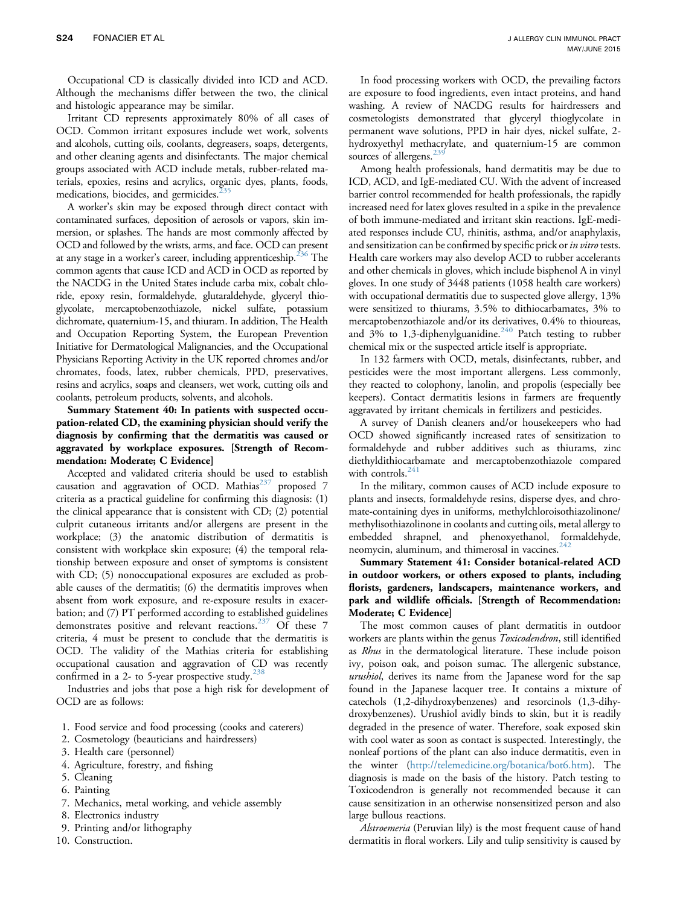Occupational CD is classically divided into ICD and ACD. Although the mechanisms differ between the two, the clinical and histologic appearance may be similar.

Irritant CD represents approximately 80% of all cases of OCD. Common irritant exposures include wet work, solvents and alcohols, cutting oils, coolants, degreasers, soaps, detergents, and other cleaning agents and disinfectants. The major chemical groups associated with ACD include metals, rubber-related materials, epoxies, resins and acrylics, organic dyes, plants, foods, medications, biocides, and germicides.<sup>2</sup>

A worker's skin may be exposed through direct contact with contaminated surfaces, deposition of aerosols or vapors, skin immersion, or splashes. The hands are most commonly affected by OCD and followed by the wrists, arms, and face. OCD can present at any stage in a worker's career, including apprenticeship.<sup>236</sup> The common agents that cause ICD and ACD in OCD as reported by the NACDG in the United States include carba mix, cobalt chloride, epoxy resin, formaldehyde, glutaraldehyde, glyceryl thioglycolate, mercaptobenzothiazole, nickel sulfate, potassium dichromate, quaternium-15, and thiuram. In addition, The Health and Occupation Reporting System, the European Prevention Initiative for Dermatological Malignancies, and the Occupational Physicians Reporting Activity in the UK reported chromes and/or chromates, foods, latex, rubber chemicals, PPD, preservatives, resins and acrylics, soaps and cleansers, wet work, cutting oils and coolants, petroleum products, solvents, and alcohols.

Summary Statement 40: In patients with suspected occupation-related CD, the examining physician should verify the diagnosis by confirming that the dermatitis was caused or aggravated by workplace exposures. [Strength of Recommendation: Moderate; C Evidence]

Accepted and validated criteria should be used to establish causation and aggravation of OCD. Mathias<sup>[237](#page-29-0)</sup> proposed 7 criteria as a practical guideline for confirming this diagnosis: (1) the clinical appearance that is consistent with CD; (2) potential culprit cutaneous irritants and/or allergens are present in the workplace; (3) the anatomic distribution of dermatitis is consistent with workplace skin exposure; (4) the temporal relationship between exposure and onset of symptoms is consistent with CD; (5) nonoccupational exposures are excluded as probable causes of the dermatitis; (6) the dermatitis improves when absent from work exposure, and re-exposure results in exacerbation; and (7) PT performed according to established guidelines demonstrates positive and relevant reactions.<sup>[237](#page-29-0)</sup> Of these 7 criteria, 4 must be present to conclude that the dermatitis is OCD. The validity of the Mathias criteria for establishing occupational causation and aggravation of CD was recently confirmed in a 2- to 5-year prospective study.<sup>[238](#page-29-0)</sup>

Industries and jobs that pose a high risk for development of OCD are as follows:

- 1. Food service and food processing (cooks and caterers)
- 2. Cosmetology (beauticians and hairdressers)
- 3. Health care (personnel)
- 4. Agriculture, forestry, and fishing
- 5. Cleaning
- 6. Painting
- 7. Mechanics, metal working, and vehicle assembly
- 8. Electronics industry
- 9. Printing and/or lithography
- 10. Construction.

In food processing workers with OCD, the prevailing factors are exposure to food ingredients, even intact proteins, and hand washing. A review of NACDG results for hairdressers and cosmetologists demonstrated that glyceryl thioglycolate in permanent wave solutions, PPD in hair dyes, nickel sulfate, 2 hydroxyethyl methacrylate, and quaternium-15 are common sources of allergens.<sup>23</sup>

Among health professionals, hand dermatitis may be due to ICD, ACD, and IgE-mediated CU. With the advent of increased barrier control recommended for health professionals, the rapidly increased need for latex gloves resulted in a spike in the prevalence of both immune-mediated and irritant skin reactions. IgE-mediated responses include CU, rhinitis, asthma, and/or anaphylaxis, and sensitization can be confirmed by specific prick or in vitro tests. Health care workers may also develop ACD to rubber accelerants and other chemicals in gloves, which include bisphenol A in vinyl gloves. In one study of 3448 patients (1058 health care workers) with occupational dermatitis due to suspected glove allergy, 13% were sensitized to thiurams, 3.5% to dithiocarbamates, 3% to mercaptobenzothiazole and/or its derivatives, 0.4% to thioureas, and 3% to 1,3-diphenylguanidine. $^{240}$  $^{240}$  $^{240}$  Patch testing to rubber chemical mix or the suspected article itself is appropriate.

In 132 farmers with OCD, metals, disinfectants, rubber, and pesticides were the most important allergens. Less commonly, they reacted to colophony, lanolin, and propolis (especially bee keepers). Contact dermatitis lesions in farmers are frequently aggravated by irritant chemicals in fertilizers and pesticides.

A survey of Danish cleaners and/or housekeepers who had OCD showed significantly increased rates of sensitization to formaldehyde and rubber additives such as thiurams, zinc diethyldithiocarbamate and mercaptobenzothiazole compared with controls. $^{241}$  $^{241}$  $^{241}$ 

In the military, common causes of ACD include exposure to plants and insects, formaldehyde resins, disperse dyes, and chromate-containing dyes in uniforms, methylchloroisothiazolinone/ methylisothiazolinone in coolants and cutting oils, metal allergy to embedded shrapnel, and phenoxyethanol, formaldehyde, neomycin, aluminum, and thimerosal in vaccines.<sup>242</sup>

# Summary Statement 41: Consider botanical-related ACD in outdoor workers, or others exposed to plants, including florists, gardeners, landscapers, maintenance workers, and park and wildlife officials. [Strength of Recommendation: Moderate; C Evidence]

The most common causes of plant dermatitis in outdoor workers are plants within the genus Toxicodendron, still identified as Rhus in the dermatological literature. These include poison ivy, poison oak, and poison sumac. The allergenic substance, urushiol, derives its name from the Japanese word for the sap found in the Japanese lacquer tree. It contains a mixture of catechols (1,2-dihydroxybenzenes) and resorcinols (1,3-dihydroxybenzenes). Urushiol avidly binds to skin, but it is readily degraded in the presence of water. Therefore, soak exposed skin with cool water as soon as contact is suspected. Interestingly, the nonleaf portions of the plant can also induce dermatitis, even in the winter [\(http://telemedicine.org/botanica/bot6.htm\)](http://telemedicine.org/botanica/bot6.htm). The diagnosis is made on the basis of the history. Patch testing to Toxicodendron is generally not recommended because it can cause sensitization in an otherwise nonsensitized person and also large bullous reactions.

Alstroemeria (Peruvian lily) is the most frequent cause of hand dermatitis in floral workers. Lily and tulip sensitivity is caused by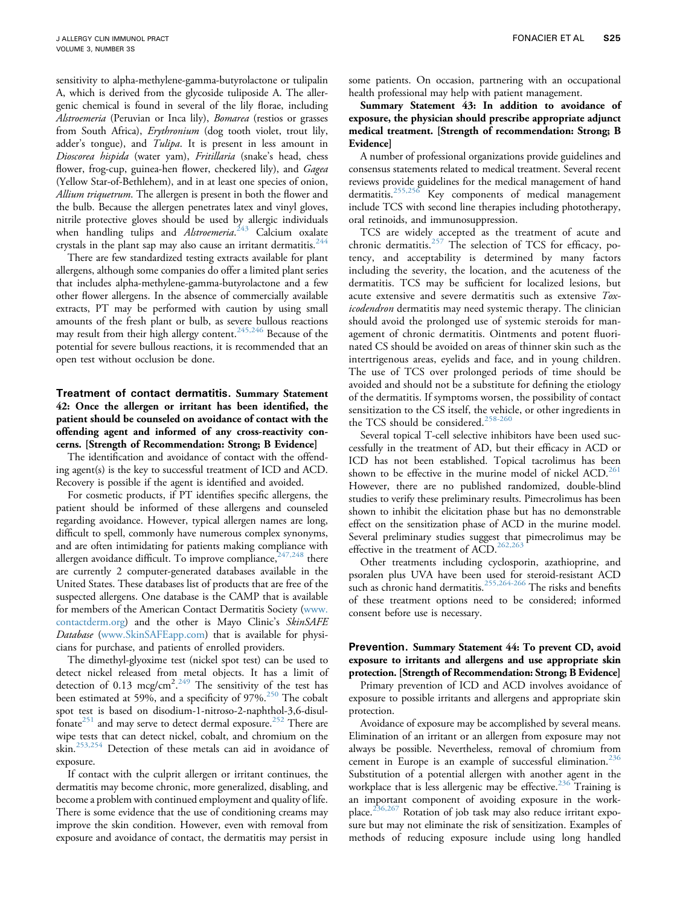sensitivity to alpha-methylene-gamma-butyrolactone or tulipalin A, which is derived from the glycoside tuliposide A. The allergenic chemical is found in several of the lily florae, including Alstroemeria (Peruvian or Inca lily), Bomarea (restios or grasses from South Africa), Erythronium (dog tooth violet, trout lily, adder's tongue), and Tulipa. It is present in less amount in Dioscorea hispida (water yam), Fritillaria (snake's head, chess flower, frog-cup, guinea-hen flower, checkered lily), and Gagea (Yellow Star-of-Bethlehem), and in at least one species of onion, Allium triquetrum. The allergen is present in both the flower and the bulb. Because the allergen penetrates latex and vinyl gloves, nitrile protective gloves should be used by allergic individuals when handling tulips and Alstroemeria.<sup>[243](#page-30-0)</sup> Calcium oxalate crystals in the plant sap may also cause an irritant dermatitis.<sup>[244](#page-30-0)</sup>

There are few standardized testing extracts available for plant allergens, although some companies do offer a limited plant series that includes alpha-methylene-gamma-butyrolactone and a few other flower allergens. In the absence of commercially available extracts, PT may be performed with caution by using small amounts of the fresh plant or bulb, as severe bullous reactions may result from their high allergy content.<sup>[245,246](#page-30-0)</sup> Because of the potential for severe bullous reactions, it is recommended that an open test without occlusion be done.

# Treatment of contact dermatitis. Summary Statement 42: Once the allergen or irritant has been identified, the patient should be counseled on avoidance of contact with the offending agent and informed of any cross-reactivity concerns. [Strength of Recommendation: Strong; B Evidence]

The identification and avoidance of contact with the offending agent(s) is the key to successful treatment of ICD and ACD. Recovery is possible if the agent is identified and avoided.

For cosmetic products, if PT identifies specific allergens, the patient should be informed of these allergens and counseled regarding avoidance. However, typical allergen names are long, difficult to spell, commonly have numerous complex synonyms, and are often intimidating for patients making compliance with allergen avoidance difficult. To improve compliance,  $247,248$  there are currently 2 computer-generated databases available in the United States. These databases list of products that are free of the suspected allergens. One database is the CAMP that is available for members of the American Contact Dermatitis Society ([www.](http://www.contactderm.org) [contactderm.org\)](http://www.contactderm.org) and the other is Mayo Clinic's SkinSAFE Database ([www.SkinSAFEapp.com](http://www.SkinSAFEapp.com)) that is available for physicians for purchase, and patients of enrolled providers.

The dimethyl-glyoxime test (nickel spot test) can be used to detect nickel released from metal objects. It has a limit of detection of 0.13 mcg/cm<sup>2</sup>.<sup>[249](#page-30-0)</sup> The sensitivity of the test has been estimated at 59%, and a specificity of 97%.<sup>250</sup> The cobalt spot test is based on disodium-1-nitroso-2-naphthol-3,6-disulfonate $^{251}$  $^{251}$  $^{251}$  and may serve to detect dermal exposure.<sup>[252](#page-30-0)</sup> There are wipe tests that can detect nickel, cobalt, and chromium on the skin.<sup>[253,254](#page-30-0)</sup> Detection of these metals can aid in avoidance of exposure.

If contact with the culprit allergen or irritant continues, the dermatitis may become chronic, more generalized, disabling, and become a problem with continued employment and quality of life. There is some evidence that the use of conditioning creams may improve the skin condition. However, even with removal from exposure and avoidance of contact, the dermatitis may persist in some patients. On occasion, partnering with an occupational health professional may help with patient management.

# Summary Statement 43: In addition to avoidance of exposure, the physician should prescribe appropriate adjunct medical treatment. [Strength of recommendation: Strong; B Evidence]

A number of professional organizations provide guidelines and consensus statements related to medical treatment. Several recent reviews provide guidelines for the medical management of hand dermatitis.<sup>[255,256](#page-30-0)</sup> Key components of medical management include TCS with second line therapies including phototherapy, oral retinoids, and immunosuppression.

TCS are widely accepted as the treatment of acute and chronic dermatitis.<sup>[257](#page-30-0)</sup> The selection of TCS for efficacy, potency, and acceptability is determined by many factors including the severity, the location, and the acuteness of the dermatitis. TCS may be sufficient for localized lesions, but acute extensive and severe dermatitis such as extensive Toxicodendron dermatitis may need systemic therapy. The clinician should avoid the prolonged use of systemic steroids for management of chronic dermatitis. Ointments and potent fluorinated CS should be avoided on areas of thinner skin such as the intertrigenous areas, eyelids and face, and in young children. The use of TCS over prolonged periods of time should be avoided and should not be a substitute for defining the etiology of the dermatitis. If symptoms worsen, the possibility of contact sensitization to the CS itself, the vehicle, or other ingredients in the TCS should be considered.<sup>[258-260](#page-30-0)</sup>

Several topical T-cell selective inhibitors have been used successfully in the treatment of AD, but their efficacy in ACD or ICD has not been established. Topical tacrolimus has been shown to be effective in the murine model of nickel  $ACD$ .<sup>[261](#page-30-0)</sup> However, there are no published randomized, double-blind studies to verify these preliminary results. Pimecrolimus has been shown to inhibit the elicitation phase but has no demonstrable effect on the sensitization phase of ACD in the murine model. Several preliminary studies suggest that pimecrolimus may be effective in the treatment of ACD.<sup>[262,263](#page-30-0)</sup>

Other treatments including cyclosporin, azathioprine, and psoralen plus UVA have been used for steroid-resistant ACD such as chronic hand dermatitis.<sup>[255,264-266](#page-30-0)</sup> The risks and benefits of these treatment options need to be considered; informed consent before use is necessary.

# Prevention. Summary Statement 44: To prevent CD, avoid exposure to irritants and allergens and use appropriate skin protection. [Strength of Recommendation: Strong; B Evidence]

Primary prevention of ICD and ACD involves avoidance of exposure to possible irritants and allergens and appropriate skin protection.

Avoidance of exposure may be accomplished by several means. Elimination of an irritant or an allergen from exposure may not always be possible. Nevertheless, removal of chromium from cement in Europe is an example of successful elimination.<sup>[236](#page-29-0)</sup> Substitution of a potential allergen with another agent in the workplace that is less allergenic may be effective.<sup>[236](#page-29-0)</sup> Training is an important component of avoiding exposure in the workplace. $^{236,267}$  $^{236,267}$  $^{236,267}$  Rotation of job task may also reduce irritant exposure but may not eliminate the risk of sensitization. Examples of methods of reducing exposure include using long handled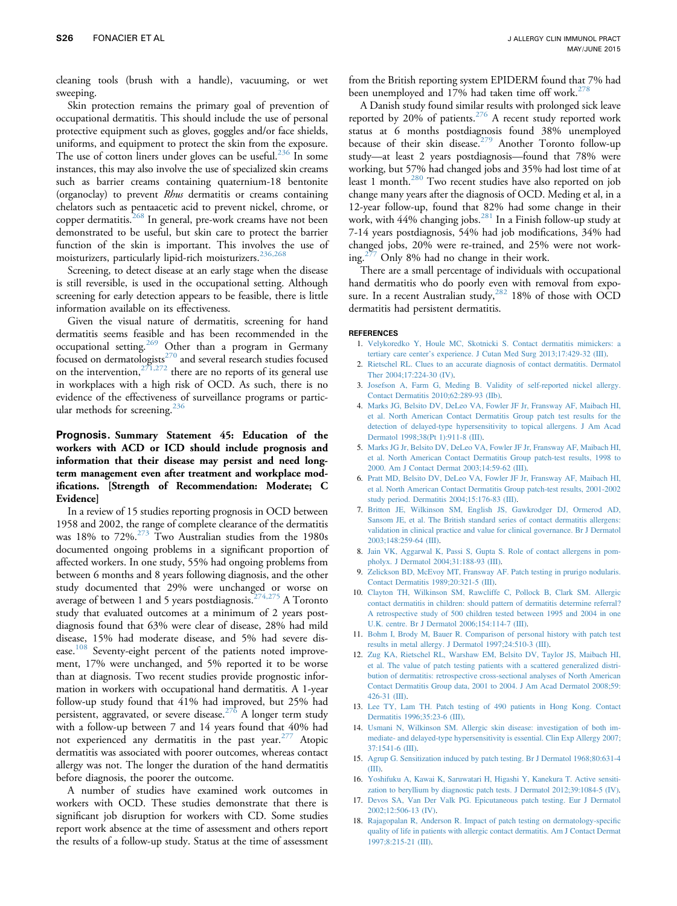<span id="page-25-0"></span>cleaning tools (brush with a handle), vacuuming, or wet sweeping.

Skin protection remains the primary goal of prevention of occupational dermatitis. This should include the use of personal protective equipment such as gloves, goggles and/or face shields, uniforms, and equipment to protect the skin from the exposure. The use of cotton liners under gloves can be useful.<sup>[236](#page-29-0)</sup> In some instances, this may also involve the use of specialized skin creams such as barrier creams containing quaternium-18 bentonite (organoclay) to prevent Rhus dermatitis or creams containing chelators such as pentaacetic acid to prevent nickel, chrome, or copper dermatitis.<sup>[268](#page-30-0)</sup> In general, pre-work creams have not been demonstrated to be useful, but skin care to protect the barrier function of the skin is important. This involves the use of moisturizers, particularly lipid-rich moisturizers.[236,268](#page-29-0)

Screening, to detect disease at an early stage when the disease is still reversible, is used in the occupational setting. Although screening for early detection appears to be feasible, there is little information available on its effectiveness.

Given the visual nature of dermatitis, screening for hand dermatitis seems feasible and has been recommended in the occupational setting.<sup>[269](#page-30-0)</sup> Other than a program in Germany focused on dermatologists<sup>[270](#page-30-0)</sup> and several research studies focused on the intervention,  $271,272$  there are no reports of its general use in workplaces with a high risk of OCD. As such, there is no evidence of the effectiveness of surveillance programs or particular methods for screening. $236$ 

# Prognosis. Summary Statement 45: Education of the workers with ACD or ICD should include prognosis and information that their disease may persist and need longterm management even after treatment and workplace modifications. [Strength of Recommendation: Moderate; C Evidence]

In a review of 15 studies reporting prognosis in OCD between 1958 and 2002, the range of complete clearance of the dermatitis was 18% to 72%.<sup>[273](#page-30-0)</sup> Two Australian studies from the 1980s documented ongoing problems in a significant proportion of affected workers. In one study, 55% had ongoing problems from between 6 months and 8 years following diagnosis, and the other study documented that 29% were unchanged or worse on average of between 1 and 5 years postdiagnosis.<sup>[274,275](#page-30-0)</sup> A Toronto study that evaluated outcomes at a minimum of 2 years postdiagnosis found that 63% were clear of disease, 28% had mild disease, 15% had moderate disease, and 5% had severe dis-ease.<sup>[108](#page-27-0)</sup> Seventy-eight percent of the patients noted improvement, 17% were unchanged, and 5% reported it to be worse than at diagnosis. Two recent studies provide prognostic information in workers with occupational hand dermatitis. A 1-year follow-up study found that 41% had improved, but 25% had persistent, aggravated, or severe disease.<sup>[276](#page-30-0)</sup> A longer term study with a follow-up between 7 and 14 years found that 40% had not experienced any dermatitis in the past year. $277$  Atopic dermatitis was associated with poorer outcomes, whereas contact allergy was not. The longer the duration of the hand dermatitis before diagnosis, the poorer the outcome.

A number of studies have examined work outcomes in workers with OCD. These studies demonstrate that there is significant job disruption for workers with CD. Some studies report work absence at the time of assessment and others report the results of a follow-up study. Status at the time of assessment

from the British reporting system EPIDERM found that 7% had been unemployed and 17% had taken time off work. $278$ 

A Danish study found similar results with prolonged sick leave reported by 20% of patients. $276$  A recent study reported work status at 6 months postdiagnosis found 38% unemployed because of their skin disease.<sup>[279](#page-30-0)</sup> Another Toronto follow-up study—at least 2 years postdiagnosis—found that 78% were working, but 57% had changed jobs and 35% had lost time of at least 1 month.<sup>[280](#page-30-0)</sup> Two recent studies have also reported on job change many years after the diagnosis of OCD. Meding et al, in a 12-year follow-up, found that 82% had some change in their work, with 44% changing jobs.<sup>[281](#page-30-0)</sup> In a Finish follow-up study at 7-14 years postdiagnosis, 54% had job modifications, 34% had changed jobs, 20% were re-trained, and 25% were not working.[277](#page-30-0) Only 8% had no change in their work.

There are a small percentage of individuals with occupational hand dermatitis who do poorly even with removal from expo-sure. In a recent Australian study,<sup>[282](#page-30-0)</sup> 18% of those with OCD dermatitis had persistent dermatitis.

#### **REFERENCES**

- 1. [Velykoredko Y, Houle MC, Skotnicki S. Contact dermatitis mimickers: a](http://refhub.elsevier.com/S2213-2198(15)00116-6/sref1) tertiary care center'[s experience. J Cutan Med Surg 2013;17:429-32 \(III\)](http://refhub.elsevier.com/S2213-2198(15)00116-6/sref1).
- 2. [Rietschel RL. Clues to an accurate diagnosis of contact dermatitis. Dermatol](http://refhub.elsevier.com/S2213-2198(15)00116-6/sref2) [Ther 2004;17:224-30 \(IV\).](http://refhub.elsevier.com/S2213-2198(15)00116-6/sref2)
- 3. [Josefson A, Farm G, Meding B. Validity of self-reported nickel allergy.](http://refhub.elsevier.com/S2213-2198(15)00116-6/sref3) [Contact Dermatitis 2010;62:289-93 \(IIb\)](http://refhub.elsevier.com/S2213-2198(15)00116-6/sref3).
- 4. [Marks JG, Belsito DV, DeLeo VA, Fowler JF Jr, Fransway AF, Maibach HI,](http://refhub.elsevier.com/S2213-2198(15)00116-6/sref4) [et al. North American Contact Dermatitis Group patch test results for the](http://refhub.elsevier.com/S2213-2198(15)00116-6/sref4) [detection of delayed-type hypersensitivity to topical allergens. J Am Acad](http://refhub.elsevier.com/S2213-2198(15)00116-6/sref4) [Dermatol 1998;38\(Pt 1\):911-8 \(III\).](http://refhub.elsevier.com/S2213-2198(15)00116-6/sref4)
- 5. [Marks JG Jr, Belsito DV, DeLeo VA, Fowler JF Jr, Fransway AF, Maibach HI,](http://refhub.elsevier.com/S2213-2198(15)00116-6/sref5) [et al. North American Contact Dermatitis Group patch-test results, 1998 to](http://refhub.elsevier.com/S2213-2198(15)00116-6/sref5) [2000. Am J Contact Dermat 2003;14:59-62 \(III\).](http://refhub.elsevier.com/S2213-2198(15)00116-6/sref5)
- 6. [Pratt MD, Belsito DV, DeLeo VA, Fowler JF Jr, Fransway AF, Maibach HI,](http://refhub.elsevier.com/S2213-2198(15)00116-6/sref6) [et al. North American Contact Dermatitis Group patch-test results, 2001-2002](http://refhub.elsevier.com/S2213-2198(15)00116-6/sref6) [study period. Dermatitis 2004;15:176-83 \(III\)](http://refhub.elsevier.com/S2213-2198(15)00116-6/sref6).
- 7. [Britton JE, Wilkinson SM, English JS, Gawkrodger DJ, Ormerod AD,](http://refhub.elsevier.com/S2213-2198(15)00116-6/sref7) [Sansom JE, et al. The British standard series of contact dermatitis allergens:](http://refhub.elsevier.com/S2213-2198(15)00116-6/sref7) [validation in clinical practice and value for clinical governance. Br J Dermatol](http://refhub.elsevier.com/S2213-2198(15)00116-6/sref7) [2003;148:259-64 \(III\)](http://refhub.elsevier.com/S2213-2198(15)00116-6/sref7).
- 8. [Jain VK, Aggarwal K, Passi S, Gupta S. Role of contact allergens in pom](http://refhub.elsevier.com/S2213-2198(15)00116-6/sref8)[pholyx. J Dermatol 2004;31:188-93 \(III\).](http://refhub.elsevier.com/S2213-2198(15)00116-6/sref8)
- 9. [Zelickson BD, McEvoy MT, Fransway AF. Patch testing in prurigo nodularis.](http://refhub.elsevier.com/S2213-2198(15)00116-6/sref9) [Contact Dermatitis 1989;20:321-5 \(III\).](http://refhub.elsevier.com/S2213-2198(15)00116-6/sref9)
- 10. [Clayton TH, Wilkinson SM, Rawcliffe C, Pollock B, Clark SM. Allergic](http://refhub.elsevier.com/S2213-2198(15)00116-6/sref10) [contact dermatitis in children: should pattern of dermatitis determine referral?](http://refhub.elsevier.com/S2213-2198(15)00116-6/sref10) [A retrospective study of 500 children tested between 1995 and 2004 in one](http://refhub.elsevier.com/S2213-2198(15)00116-6/sref10) [U.K. centre. Br J Dermatol 2006;154:114-7 \(III\)](http://refhub.elsevier.com/S2213-2198(15)00116-6/sref10).
- 11. [Bohm I, Brody M, Bauer R. Comparison of personal history with patch test](http://refhub.elsevier.com/S2213-2198(15)00116-6/sref11) [results in metal allergy. J Dermatol 1997;24:510-3 \(III\)](http://refhub.elsevier.com/S2213-2198(15)00116-6/sref11).
- 12. [Zug KA, Rietschel RL, Warshaw EM, Belsito DV, Taylor JS, Maibach HI,](http://refhub.elsevier.com/S2213-2198(15)00116-6/sref12) [et al. The value of patch testing patients with a scattered generalized distri](http://refhub.elsevier.com/S2213-2198(15)00116-6/sref12)[bution of dermatitis: retrospective cross-sectional analyses of North American](http://refhub.elsevier.com/S2213-2198(15)00116-6/sref12) [Contact Dermatitis Group data, 2001 to 2004. J Am Acad Dermatol 2008;59:](http://refhub.elsevier.com/S2213-2198(15)00116-6/sref12) [426-31 \(III\)](http://refhub.elsevier.com/S2213-2198(15)00116-6/sref12).
- 13. [Lee TY, Lam TH. Patch testing of 490 patients in Hong Kong. Contact](http://refhub.elsevier.com/S2213-2198(15)00116-6/sref13) [Dermatitis 1996;35:23-6 \(III\)](http://refhub.elsevier.com/S2213-2198(15)00116-6/sref13).
- 14. [Usmani N, Wilkinson SM. Allergic skin disease: investigation of both im](http://refhub.elsevier.com/S2213-2198(15)00116-6/sref14)[mediate- and delayed-type hypersensitivity is essential. Clin Exp Allergy 2007;](http://refhub.elsevier.com/S2213-2198(15)00116-6/sref14) [37:1541-6 \(III\)](http://refhub.elsevier.com/S2213-2198(15)00116-6/sref14).
- 15. [Agrup G. Sensitization induced by patch testing. Br J Dermatol 1968;80:631-4](http://refhub.elsevier.com/S2213-2198(15)00116-6/sref15) [\(III\)](http://refhub.elsevier.com/S2213-2198(15)00116-6/sref15).
- 16. [Yoshifuku A, Kawai K, Saruwatari H, Higashi Y, Kanekura T. Active sensiti](http://refhub.elsevier.com/S2213-2198(15)00116-6/sref16)[zation to beryllium by diagnostic patch tests. J Dermatol 2012;39:1084-5 \(IV\).](http://refhub.elsevier.com/S2213-2198(15)00116-6/sref16)
- 17. [Devos SA, Van Der Valk PG. Epicutaneous patch testing. Eur J Dermatol](http://refhub.elsevier.com/S2213-2198(15)00116-6/sref17) [2002;12:506-13 \(IV\)](http://refhub.elsevier.com/S2213-2198(15)00116-6/sref17).
- 18. [Rajagopalan R, Anderson R. Impact of patch testing on dermatology-speci](http://refhub.elsevier.com/S2213-2198(15)00116-6/sref18)fic [quality of life in patients with allergic contact dermatitis. Am J Contact Dermat](http://refhub.elsevier.com/S2213-2198(15)00116-6/sref18) [1997;8:215-21 \(III\)](http://refhub.elsevier.com/S2213-2198(15)00116-6/sref18).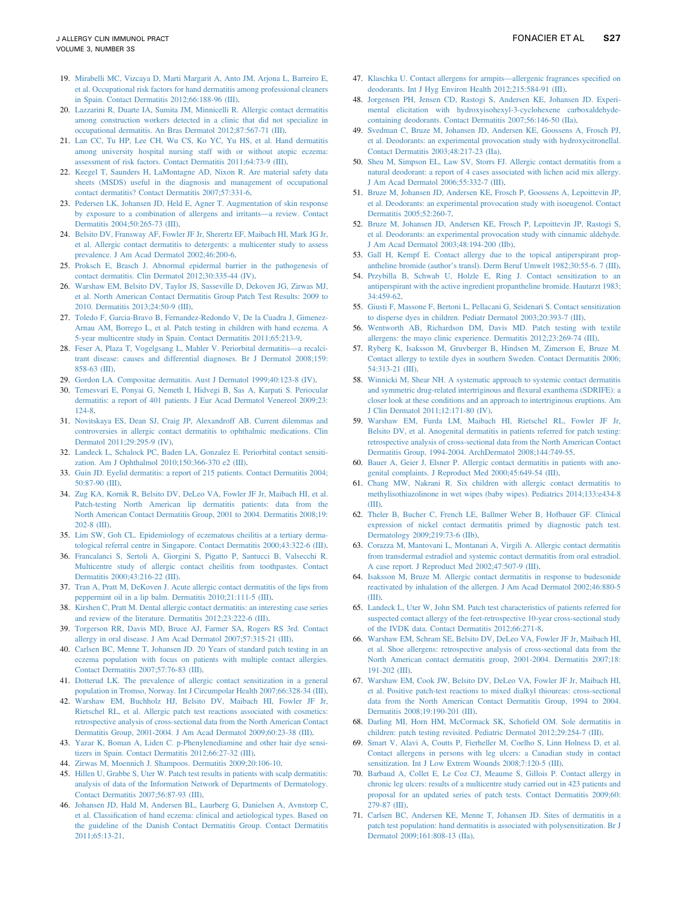- <span id="page-26-0"></span>19. [Mirabelli MC, Vizcaya D, Marti Margarit A, Anto JM, Arjona L, Barreiro E,](http://refhub.elsevier.com/S2213-2198(15)00116-6/sref19) [et al. Occupational risk factors for hand dermatitis among professional cleaners](http://refhub.elsevier.com/S2213-2198(15)00116-6/sref19) [in Spain. Contact Dermatitis 2012;66:188-96 \(III\).](http://refhub.elsevier.com/S2213-2198(15)00116-6/sref19)
- 20. [Lazzarini R, Duarte IA, Sumita JM, Minnicelli R. Allergic contact dermatitis](http://refhub.elsevier.com/S2213-2198(15)00116-6/sref20) [among construction workers detected in a clinic that did not specialize in](http://refhub.elsevier.com/S2213-2198(15)00116-6/sref20) [occupational dermatitis. An Bras Dermatol 2012;87:567-71 \(III\)](http://refhub.elsevier.com/S2213-2198(15)00116-6/sref20).
- 21. [Lan CC, Tu HP, Lee CH, Wu CS, Ko YC, Yu HS, et al. Hand dermatitis](http://refhub.elsevier.com/S2213-2198(15)00116-6/sref21) [among university hospital nursing staff with or without atopic eczema:](http://refhub.elsevier.com/S2213-2198(15)00116-6/sref21) ssessment of risk factors. Contact Dermatitis 2011;64:73-9 (III).
- 22. [Keegel T, Saunders H, LaMontagne AD, Nixon R. Are material safety data](http://refhub.elsevier.com/S2213-2198(15)00116-6/sref22) [sheets \(MSDS\) useful in the diagnosis and management of occupational](http://refhub.elsevier.com/S2213-2198(15)00116-6/sref22) [contact dermatitis? Contact Dermatitis 2007;57:331-6.](http://refhub.elsevier.com/S2213-2198(15)00116-6/sref22)
- 23. [Pedersen LK, Johansen JD, Held E, Agner T. Augmentation of skin response](http://refhub.elsevier.com/S2213-2198(15)00116-6/sref23) [by exposure to a combination of allergens and irritants](http://refhub.elsevier.com/S2213-2198(15)00116-6/sref23)—a review. Contact [Dermatitis 2004;50:265-73 \(III\)](http://refhub.elsevier.com/S2213-2198(15)00116-6/sref23).
- 24. [Belsito DV, Fransway AF, Fowler JF Jr, Sherertz EF, Maibach HI, Mark JG Jr,](http://refhub.elsevier.com/S2213-2198(15)00116-6/sref24) [et al. Allergic contact dermatitis to detergents: a multicenter study to assess](http://refhub.elsevier.com/S2213-2198(15)00116-6/sref24) [prevalence. J Am Acad Dermatol 2002;46:200-6.](http://refhub.elsevier.com/S2213-2198(15)00116-6/sref24)
- 25. [Proksch E, Brasch J. Abnormal epidermal barrier in the pathogenesis of](http://refhub.elsevier.com/S2213-2198(15)00116-6/sref25) [contact dermatitis. Clin Dermatol 2012;30:335-44 \(IV\).](http://refhub.elsevier.com/S2213-2198(15)00116-6/sref25)
- 26. [Warshaw EM, Belsito DV, Taylor JS, Sasseville D, Dekoven JG, Zirwas MJ,](http://refhub.elsevier.com/S2213-2198(15)00116-6/sref26) [et al. North American Contact Dermatitis Group Patch Test Results: 2009 to](http://refhub.elsevier.com/S2213-2198(15)00116-6/sref26) [2010. Dermatitis 2013;24:50-9 \(III\)](http://refhub.elsevier.com/S2213-2198(15)00116-6/sref26).
- 27. [Toledo F, Garcia-Bravo B, Fernandez-Redondo V, De la Cuadra J, Gimenez-](http://refhub.elsevier.com/S2213-2198(15)00116-6/sref27)[Arnau AM, Borrego L, et al. Patch testing in children with hand eczema. A](http://refhub.elsevier.com/S2213-2198(15)00116-6/sref27) [5-year multicentre study in Spain. Contact Dermatitis 2011;65:213-9](http://refhub.elsevier.com/S2213-2198(15)00116-6/sref27).
- 28. [Feser A, Plaza T, Vogelgsang L, Mahler V. Periorbital dermatitis](http://refhub.elsevier.com/S2213-2198(15)00116-6/sref28)—a recalci[trant disease: causes and differential diagnoses. Br J Dermatol 2008;159:](http://refhub.elsevier.com/S2213-2198(15)00116-6/sref28) [858-63 \(III\)](http://refhub.elsevier.com/S2213-2198(15)00116-6/sref28).
- 29. [Gordon LA. Compositae dermatitis. Aust J Dermatol 1999;40:123-8 \(IV\)](http://refhub.elsevier.com/S2213-2198(15)00116-6/sref29).
- 30. [Temesvari E, Ponyai G, Nemeth I, Hidvegi B, Sas A, Karpati S. Periocular](http://refhub.elsevier.com/S2213-2198(15)00116-6/sref30) [dermatitis: a report of 401 patients. J Eur Acad Dermatol Venereol 2009;23:](http://refhub.elsevier.com/S2213-2198(15)00116-6/sref30) [124-8](http://refhub.elsevier.com/S2213-2198(15)00116-6/sref30).
- 31. [Novitskaya ES, Dean SJ, Craig JP, Alexandroff AB. Current dilemmas and](http://refhub.elsevier.com/S2213-2198(15)00116-6/sref31) [controversies in allergic contact dermatitis to ophthalmic medications. Clin](http://refhub.elsevier.com/S2213-2198(15)00116-6/sref31) [Dermatol 2011;29:295-9 \(IV\)](http://refhub.elsevier.com/S2213-2198(15)00116-6/sref31).
- 32. [Landeck L, Schalock PC, Baden LA, Gonzalez E. Periorbital contact sensiti](http://refhub.elsevier.com/S2213-2198(15)00116-6/sref32)[zation. Am J Ophthalmol 2010;150:366-370 e2 \(III\).](http://refhub.elsevier.com/S2213-2198(15)00116-6/sref32)
- 33. [Guin JD. Eyelid dermatitis: a report of 215 patients. Contact Dermatitis 2004;](http://refhub.elsevier.com/S2213-2198(15)00116-6/sref33) [50:87-90 \(III\)](http://refhub.elsevier.com/S2213-2198(15)00116-6/sref33).
- 34. [Zug KA, Kornik R, Belsito DV, DeLeo VA, Fowler JF Jr, Maibach HI, et al.](http://refhub.elsevier.com/S2213-2198(15)00116-6/sref34) [Patch-testing North American lip dermatitis patients: data from the](http://refhub.elsevier.com/S2213-2198(15)00116-6/sref34) [North American Contact Dermatitis Group, 2001 to 2004. Dermatitis 2008;19:](http://refhub.elsevier.com/S2213-2198(15)00116-6/sref34) [202-8 \(III\).](http://refhub.elsevier.com/S2213-2198(15)00116-6/sref34)
- 35. [Lim SW, Goh CL. Epidemiology of eczematous cheilitis at a tertiary derma](http://refhub.elsevier.com/S2213-2198(15)00116-6/sref35)[tological referral centre in Singapore. Contact Dermatitis 2000;43:322-6 \(III\).](http://refhub.elsevier.com/S2213-2198(15)00116-6/sref35)
- 36. [Francalanci S, Sertoli A, Giorgini S, Pigatto P, Santucci B, Valsecchi R.](http://refhub.elsevier.com/S2213-2198(15)00116-6/sref36) [Multicentre study of allergic contact cheilitis from toothpastes. Contact](http://refhub.elsevier.com/S2213-2198(15)00116-6/sref36) [Dermatitis 2000;43:216-22 \(III\)](http://refhub.elsevier.com/S2213-2198(15)00116-6/sref36).
- 37. [Tran A, Pratt M, DeKoven J. Acute allergic contact dermatitis of the lips from](http://refhub.elsevier.com/S2213-2198(15)00116-6/sref37) [peppermint oil in a lip balm. Dermatitis 2010;21:111-5 \(III\)](http://refhub.elsevier.com/S2213-2198(15)00116-6/sref37).
- 38. [Kirshen C, Pratt M. Dental allergic contact dermatitis: an interesting case series](http://refhub.elsevier.com/S2213-2198(15)00116-6/sref38) [and review of the literature. Dermatitis 2012;23:222-6 \(III\).](http://refhub.elsevier.com/S2213-2198(15)00116-6/sref38)
- 39. [Torgerson RR, Davis MD, Bruce AJ, Farmer SA, Rogers RS 3rd. Contact](http://refhub.elsevier.com/S2213-2198(15)00116-6/sref39) [allergy in oral disease. J Am Acad Dermatol 2007;57:315-21 \(III\).](http://refhub.elsevier.com/S2213-2198(15)00116-6/sref39)
- 40. [Carlsen BC, Menne T, Johansen JD. 20 Years of standard patch testing in an](http://refhub.elsevier.com/S2213-2198(15)00116-6/sref40) [eczema population with focus on patients with multiple contact allergies.](http://refhub.elsevier.com/S2213-2198(15)00116-6/sref40) [Contact Dermatitis 2007;57:76-83 \(III\).](http://refhub.elsevier.com/S2213-2198(15)00116-6/sref40)
- 41. [Dotterud LK. The prevalence of allergic contact sensitization in a general](http://refhub.elsevier.com/S2213-2198(15)00116-6/sref41) [population in Tromso, Norway. Int J Circumpolar Health 2007;66:328-34 \(III\).](http://refhub.elsevier.com/S2213-2198(15)00116-6/sref41)
- 42. [Warshaw EM, Buchholz HJ, Belsito DV, Maibach HI, Fowler JF Jr,](http://refhub.elsevier.com/S2213-2198(15)00116-6/sref42) [Rietschel RL, et al. Allergic patch test reactions associated with cosmetics:](http://refhub.elsevier.com/S2213-2198(15)00116-6/sref42) [retrospective analysis of cross-sectional data from the North American Contact](http://refhub.elsevier.com/S2213-2198(15)00116-6/sref42) [Dermatitis Group, 2001-2004. J Am Acad Dermatol 2009;60:23-38 \(III\).](http://refhub.elsevier.com/S2213-2198(15)00116-6/sref42)
- 43. [Yazar K, Boman A, Liden C. p-Phenylenediamine and other hair dye sensi](http://refhub.elsevier.com/S2213-2198(15)00116-6/sref43)[tizers in Spain. Contact Dermatitis 2012;66:27-32 \(III\)](http://refhub.elsevier.com/S2213-2198(15)00116-6/sref43).
- 44. [Zirwas M, Moennich J. Shampoos. Dermatitis 2009;20:106-10](http://refhub.elsevier.com/S2213-2198(15)00116-6/sref44).
- 45. [Hillen U, Grabbe S, Uter W. Patch test results in patients with scalp dermatitis:](http://refhub.elsevier.com/S2213-2198(15)00116-6/sref45) [analysis of data of the Information Network of Departments of Dermatology.](http://refhub.elsevier.com/S2213-2198(15)00116-6/sref45) [Contact Dermatitis 2007;56:87-93 \(III\).](http://refhub.elsevier.com/S2213-2198(15)00116-6/sref45)
- 46. [Johansen JD, Hald M, Andersen BL, Laurberg G, Danielsen A, Avnstorp C,](http://refhub.elsevier.com/S2213-2198(15)00116-6/sref46) et al. Classifi[cation of hand eczema: clinical and aetiological types. Based on](http://refhub.elsevier.com/S2213-2198(15)00116-6/sref46) [the guideline of the Danish Contact Dermatitis Group. Contact Dermatitis](http://refhub.elsevier.com/S2213-2198(15)00116-6/sref46) [2011;65:13-21.](http://refhub.elsevier.com/S2213-2198(15)00116-6/sref46)
- 47. [Klaschka U. Contact allergens for armpits](http://refhub.elsevier.com/S2213-2198(15)00116-6/sref47)—allergenic fragrances specified on [deodorants. Int J Hyg Environ Health 2012;215:584-91 \(III\)](http://refhub.elsevier.com/S2213-2198(15)00116-6/sref47).
- 48. [Jorgensen PH, Jensen CD, Rastogi S, Andersen KE, Johansen JD. Experi](http://refhub.elsevier.com/S2213-2198(15)00116-6/sref48)[mental elicitation with hydroxyisohexyl-3-cyclohexene carboxaldehyde](http://refhub.elsevier.com/S2213-2198(15)00116-6/sref48)[containing deodorants. Contact Dermatitis 2007;56:146-50 \(IIa\).](http://refhub.elsevier.com/S2213-2198(15)00116-6/sref48)
- 49. [Svedman C, Bruze M, Johansen JD, Andersen KE, Goossens A, Frosch PJ,](http://refhub.elsevier.com/S2213-2198(15)00116-6/sref49) [et al. Deodorants: an experimental provocation study with hydroxycitronellal.](http://refhub.elsevier.com/S2213-2198(15)00116-6/sref49) [Contact Dermatitis 2003;48:217-23 \(IIa\).](http://refhub.elsevier.com/S2213-2198(15)00116-6/sref49)
- 50. [Sheu M, Simpson EL, Law SV, Storrs FJ. Allergic contact dermatitis from a](http://refhub.elsevier.com/S2213-2198(15)00116-6/sref50) [natural deodorant: a report of 4 cases associated with lichen acid mix allergy.](http://refhub.elsevier.com/S2213-2198(15)00116-6/sref50) [J Am Acad Dermatol 2006;55:332-7 \(III\)](http://refhub.elsevier.com/S2213-2198(15)00116-6/sref50).
- 51. [Bruze M, Johansen JD, Andersen KE, Frosch P, Goossens A, Lepoittevin JP,](http://refhub.elsevier.com/S2213-2198(15)00116-6/sref51) [et al. Deodorants: an experimental provocation study with isoeugenol. Contact](http://refhub.elsevier.com/S2213-2198(15)00116-6/sref51) [Dermatitis 2005;52:260-7](http://refhub.elsevier.com/S2213-2198(15)00116-6/sref51).
- 52. [Bruze M, Johansen JD, Andersen KE, Frosch P, Lepoittevin JP, Rastogi S,](http://refhub.elsevier.com/S2213-2198(15)00116-6/sref52) [et al. Deodorants: an experimental provocation study with cinnamic aldehyde.](http://refhub.elsevier.com/S2213-2198(15)00116-6/sref52) [J Am Acad Dermatol 2003;48:194-200 \(IIb\).](http://refhub.elsevier.com/S2213-2198(15)00116-6/sref52)
- 53. [Gall H, Kempf E. Contact allergy due to the topical antiperspirant prop](http://refhub.elsevier.com/S2213-2198(15)00116-6/sref53)antheline bromide (author'[s transl\). Derm Beruf Umwelt 1982;30:55-6. 7 \(III\).](http://refhub.elsevier.com/S2213-2198(15)00116-6/sref53)
- 54. [Przybilla B, Schwab U, Holzle E, Ring J. Contact sensitization to an](http://refhub.elsevier.com/S2213-2198(15)00116-6/sref54) [antiperspirant with the active ingredient propantheline bromide. Hautarzt 1983;](http://refhub.elsevier.com/S2213-2198(15)00116-6/sref54) [34:459-62](http://refhub.elsevier.com/S2213-2198(15)00116-6/sref54).
- 55. [Giusti F, Massone F, Bertoni L, Pellacani G, Seidenari S. Contact sensitization](http://refhub.elsevier.com/S2213-2198(15)00116-6/sref55) [to disperse dyes in children. Pediatr Dermatol 2003;20:393-7 \(III\).](http://refhub.elsevier.com/S2213-2198(15)00116-6/sref55)
- 56. [Wentworth AB, Richardson DM, Davis MD. Patch testing with textile](http://refhub.elsevier.com/S2213-2198(15)00116-6/sref56) [allergens: the mayo clinic experience. Dermatitis 2012;23:269-74 \(III\)](http://refhub.elsevier.com/S2213-2198(15)00116-6/sref56).
- 57. [Ryberg K, Isaksson M, Gruvberger B, Hindsen M, Zimerson E, Bruze M.](http://refhub.elsevier.com/S2213-2198(15)00116-6/sref57) [Contact allergy to textile dyes in southern Sweden. Contact Dermatitis 2006;](http://refhub.elsevier.com/S2213-2198(15)00116-6/sref57) [54:313-21 \(III\).](http://refhub.elsevier.com/S2213-2198(15)00116-6/sref57)
- 58. [Winnicki M, Shear NH. A systematic approach to systemic contact dermatitis](http://refhub.elsevier.com/S2213-2198(15)00116-6/sref58) [and symmetric drug-related intertriginous and](http://refhub.elsevier.com/S2213-2198(15)00116-6/sref58) flexural exanthema (SDRIFE): a [closer look at these conditions and an approach to intertriginous eruptions. Am](http://refhub.elsevier.com/S2213-2198(15)00116-6/sref58) [J Clin Dermatol 2011;12:171-80 \(IV\).](http://refhub.elsevier.com/S2213-2198(15)00116-6/sref58)
- 59. [Warshaw EM, Furda LM, Maibach HI, Rietschel RL, Fowler JF Jr,](http://refhub.elsevier.com/S2213-2198(15)00116-6/sref59) [Belsito DV, et al. Anogenital dermatitis in patients referred for patch testing:](http://refhub.elsevier.com/S2213-2198(15)00116-6/sref59) [retrospective analysis of cross-sectional data from the North American Contact](http://refhub.elsevier.com/S2213-2198(15)00116-6/sref59) [Dermatitis Group, 1994-2004. ArchDermatol 2008;144:749-55](http://refhub.elsevier.com/S2213-2198(15)00116-6/sref59).
- 60. [Bauer A, Geier J, Elsner P. Allergic contact dermatitis in patients with ano](http://refhub.elsevier.com/S2213-2198(15)00116-6/sref60)[genital complaints. J Reproduct Med 2000;45:649-54 \(III\).](http://refhub.elsevier.com/S2213-2198(15)00116-6/sref60)
- 61. [Chang MW, Nakrani R. Six children with allergic contact dermatitis to](http://refhub.elsevier.com/S2213-2198(15)00116-6/sref61) [methylisothiazolinone in wet wipes \(baby wipes\). Pediatrics 2014;133:e434-8](http://refhub.elsevier.com/S2213-2198(15)00116-6/sref61) [\(III\)](http://refhub.elsevier.com/S2213-2198(15)00116-6/sref61).
- 62. [Theler B, Bucher C, French LE, Ballmer Weber B, Hofbauer GF. Clinical](http://refhub.elsevier.com/S2213-2198(15)00116-6/sref62) [expression of nickel contact dermatitis primed by diagnostic patch test.](http://refhub.elsevier.com/S2213-2198(15)00116-6/sref62) [Dermatology 2009;219:73-6 \(IIb\)](http://refhub.elsevier.com/S2213-2198(15)00116-6/sref62).
- 63. [Corazza M, Mantovani L, Montanari A, Virgili A. Allergic contact dermatitis](http://refhub.elsevier.com/S2213-2198(15)00116-6/sref63) [from transdermal estradiol and systemic contact dermatitis from oral estradiol.](http://refhub.elsevier.com/S2213-2198(15)00116-6/sref63) [A case report. J Reproduct Med 2002;47:507-9 \(III\).](http://refhub.elsevier.com/S2213-2198(15)00116-6/sref63)
- 64. [Isaksson M, Bruze M. Allergic contact dermatitis in response to budesonide](http://refhub.elsevier.com/S2213-2198(15)00116-6/sref64) [reactivated by inhalation of the allergen. J Am Acad Dermatol 2002;46:880-5](http://refhub.elsevier.com/S2213-2198(15)00116-6/sref64) [\(III\)](http://refhub.elsevier.com/S2213-2198(15)00116-6/sref64).
- 65. [Landeck L, Uter W, John SM. Patch test characteristics of patients referred for](http://refhub.elsevier.com/S2213-2198(15)00116-6/sref65) [suspected contact allergy of the feet-retrospective 10-year cross-sectional study](http://refhub.elsevier.com/S2213-2198(15)00116-6/sref65) [of the IVDK data. Contact Dermatitis 2012;66:271-8.](http://refhub.elsevier.com/S2213-2198(15)00116-6/sref65)
- 66. [Warshaw EM, Schram SE, Belsito DV, DeLeo VA, Fowler JF Jr, Maibach HI,](http://refhub.elsevier.com/S2213-2198(15)00116-6/sref66) [et al. Shoe allergens: retrospective analysis of cross-sectional data from the](http://refhub.elsevier.com/S2213-2198(15)00116-6/sref66) [North American contact dermatitis group, 2001-2004. Dermatitis 2007;18:](http://refhub.elsevier.com/S2213-2198(15)00116-6/sref66) [191-202 \(III\).](http://refhub.elsevier.com/S2213-2198(15)00116-6/sref66)
- 67. [Warshaw EM, Cook JW, Belsito DV, DeLeo VA, Fowler JF Jr, Maibach HI,](http://refhub.elsevier.com/S2213-2198(15)00116-6/sref67) [et al. Positive patch-test reactions to mixed dialkyl thioureas: cross-sectional](http://refhub.elsevier.com/S2213-2198(15)00116-6/sref67) [data from the North American Contact Dermatitis Group, 1994 to 2004.](http://refhub.elsevier.com/S2213-2198(15)00116-6/sref67) [Dermatitis 2008;19:190-201 \(III\).](http://refhub.elsevier.com/S2213-2198(15)00116-6/sref67)
- 68. [Darling MI, Horn HM, McCormack SK, Scho](http://refhub.elsevier.com/S2213-2198(15)00116-6/sref68)field OM. Sole dermatitis in [children: patch testing revisited. Pediatric Dermatol 2012;29:254-7 \(III\)](http://refhub.elsevier.com/S2213-2198(15)00116-6/sref68).
- 69. [Smart V, Alavi A, Coutts P, Fierheller M, Coelho S, Linn Holness D, et al.](http://refhub.elsevier.com/S2213-2198(15)00116-6/sref69) [Contact allergens in persons with leg ulcers: a Canadian study in contact](http://refhub.elsevier.com/S2213-2198(15)00116-6/sref69) [sensitization. Int J Low Extrem Wounds 2008;7:120-5 \(III\)](http://refhub.elsevier.com/S2213-2198(15)00116-6/sref69).
- 70. [Barbaud A, Collet E, Le Coz CJ, Meaume S, Gillois P. Contact allergy in](http://refhub.elsevier.com/S2213-2198(15)00116-6/sref70) [chronic leg ulcers: results of a multicentre study carried out in 423 patients and](http://refhub.elsevier.com/S2213-2198(15)00116-6/sref70) [proposal for an updated series of patch tests. Contact Dermatitis 2009;60:](http://refhub.elsevier.com/S2213-2198(15)00116-6/sref70) [279-87 \(III\)](http://refhub.elsevier.com/S2213-2198(15)00116-6/sref70).
- 71. [Carlsen BC, Andersen KE, Menne T, Johansen JD. Sites of dermatitis in a](http://refhub.elsevier.com/S2213-2198(15)00116-6/sref71) [patch test population: hand dermatitis is associated with polysensitization. Br J](http://refhub.elsevier.com/S2213-2198(15)00116-6/sref71) [Dermatol 2009;161:808-13 \(IIa\)](http://refhub.elsevier.com/S2213-2198(15)00116-6/sref71).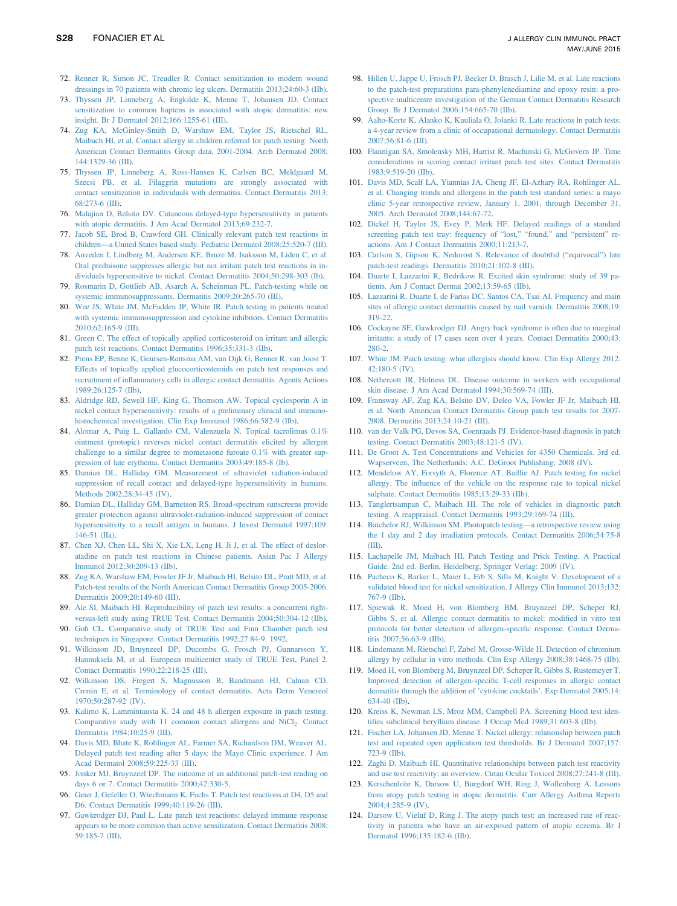- <span id="page-27-0"></span>72. [Renner R, Simon JC, Treudler R. Contact sensitization to modern wound](http://refhub.elsevier.com/S2213-2198(15)00116-6/sref72) [dressings in 70 patients with chronic leg ulcers. Dermatitis 2013;24:60-3 \(IIb\).](http://refhub.elsevier.com/S2213-2198(15)00116-6/sref72)
- 73. [Thyssen JP, Linneberg A, Engkilde K, Menne T, Johansen JD. Contact](http://refhub.elsevier.com/S2213-2198(15)00116-6/sref73) [sensitization to common haptens is associated with atopic dermatitis: new](http://refhub.elsevier.com/S2213-2198(15)00116-6/sref73) [insight. Br J Dermatol 2012;166:1255-61 \(III\)](http://refhub.elsevier.com/S2213-2198(15)00116-6/sref73).
- 74. [Zug KA, McGinley-Smith D, Warshaw EM, Taylor JS, Rietschel RL,](http://refhub.elsevier.com/S2213-2198(15)00116-6/sref74) [Maibach HI, et al. Contact allergy in children referred for patch testing: North](http://refhub.elsevier.com/S2213-2198(15)00116-6/sref74) [American Contact Dermatitis Group data, 2001-2004. Arch Dermatol 2008;](http://refhub.elsevier.com/S2213-2198(15)00116-6/sref74) [144:1329-36 \(III\).](http://refhub.elsevier.com/S2213-2198(15)00116-6/sref74)
- 75. [Thyssen JP, Linneberg A, Ross-Hansen K, Carlsen BC, Meldgaard M,](http://refhub.elsevier.com/S2213-2198(15)00116-6/sref75) [Szecsi PB, et al. Filaggrin mutations are strongly associated with](http://refhub.elsevier.com/S2213-2198(15)00116-6/sref75) [contact sensitization in individuals with dermatitis. Contact Dermatitis 2013;](http://refhub.elsevier.com/S2213-2198(15)00116-6/sref75) [68:273-6 \(III\)](http://refhub.elsevier.com/S2213-2198(15)00116-6/sref75).
- 76. [Malajian D, Belsito DV. Cutaneous delayed-type hypersensitivity in patients](http://refhub.elsevier.com/S2213-2198(15)00116-6/sref76) [with atopic dermatitis. J Am Acad Dermatol 2013;69:232-7](http://refhub.elsevier.com/S2213-2198(15)00116-6/sref76).
- 77. [Jacob SE, Brod B, Crawford GH. Clinically relevant patch test reactions in](http://refhub.elsevier.com/S2213-2198(15)00116-6/sref77) children—[a United States based study. Pediatric Dermatol 2008;25:520-7 \(III\).](http://refhub.elsevier.com/S2213-2198(15)00116-6/sref77)
- 78. [Anveden I, Lindberg M, Andersen KE, Bruze M, Isaksson M, Liden C, et al.](http://refhub.elsevier.com/S2213-2198(15)00116-6/sref78) [Oral prednisone suppresses allergic but not irritant patch test reactions in in](http://refhub.elsevier.com/S2213-2198(15)00116-6/sref78)[dividuals hypersensitive to nickel. Contact Dermatitis 2004;50:298-303 \(Ib\).](http://refhub.elsevier.com/S2213-2198(15)00116-6/sref78)
- 79. [Rosmarin D, Gottlieb AB, Asarch A, Scheinman PL. Patch-testing while on](http://refhub.elsevier.com/S2213-2198(15)00116-6/sref79) [systemic immunosuppressants. Dermatitis 2009;20:265-70 \(III\).](http://refhub.elsevier.com/S2213-2198(15)00116-6/sref79)
- 80. [Wee JS, White JM, McFadden JP, White IR. Patch testing in patients treated](http://refhub.elsevier.com/S2213-2198(15)00116-6/sref80) [with systemic immunosuppression and cytokine inhibitors. Contact Dermatitis](http://refhub.elsevier.com/S2213-2198(15)00116-6/sref80) [2010;62:165-9 \(III\)](http://refhub.elsevier.com/S2213-2198(15)00116-6/sref80).
- 81. [Green C. The effect of topically applied corticosteroid on irritant and allergic](http://refhub.elsevier.com/S2213-2198(15)00116-6/sref81) [patch test reactions. Contact Dermatitis 1996;35:331-3 \(IIb\).](http://refhub.elsevier.com/S2213-2198(15)00116-6/sref81)
- 82. [Prens EP, Benne K, Geursen-Reitsma AM, van Dijk G, Benner R, van Joost T.](http://refhub.elsevier.com/S2213-2198(15)00116-6/sref82) [Effects of topically applied glucocorticosteroids on patch test responses and](http://refhub.elsevier.com/S2213-2198(15)00116-6/sref82) recruitment of infl[ammatory cells in allergic contact dermatitis. Agents Actions](http://refhub.elsevier.com/S2213-2198(15)00116-6/sref82) [1989;26:125-7 \(IIb\).](http://refhub.elsevier.com/S2213-2198(15)00116-6/sref82)
- 83. [Aldridge RD, Sewell HF, King G, Thomson AW. Topical cyclosporin A in](http://refhub.elsevier.com/S2213-2198(15)00116-6/sref83) [nickel contact hypersensitivity: results of a preliminary clinical and immuno](http://refhub.elsevier.com/S2213-2198(15)00116-6/sref83)histochemical investigation. Clin Exp Immunol 1986:66:582-9 (IIb).
- 84. [Alomar A, Puig L, Gallardo CM, Valenzuela N. Topical tacrolimus 0.1%](http://refhub.elsevier.com/S2213-2198(15)00116-6/sref84) [ointment \(protopic\) reverses nickel contact dermatitis elicited by allergen](http://refhub.elsevier.com/S2213-2198(15)00116-6/sref84) [challenge to a similar degree to mometasone furoate 0.1% with greater sup](http://refhub.elsevier.com/S2213-2198(15)00116-6/sref84)[pression of late erythema. Contact Dermatitis 2003;49:185-8 \(Ib\).](http://refhub.elsevier.com/S2213-2198(15)00116-6/sref84)
- 85. [Damian DL, Halliday GM. Measurement of ultraviolet radiation-induced](http://refhub.elsevier.com/S2213-2198(15)00116-6/sref85) [suppression of recall contact and delayed-type hypersensitivity in humans.](http://refhub.elsevier.com/S2213-2198(15)00116-6/sref85) [Methods 2002;28:34-45 \(IV\)](http://refhub.elsevier.com/S2213-2198(15)00116-6/sref85).
- 86. [Damian DL, Halliday GM, Barnetson RS. Broad-spectrum sunscreens provide](http://refhub.elsevier.com/S2213-2198(15)00116-6/sref86) [greater protection against ultraviolet-radiation-induced suppression of contact](http://refhub.elsevier.com/S2213-2198(15)00116-6/sref86) [hypersensitivity to a recall antigen in humans. J Invest Dermatol 1997;109:](http://refhub.elsevier.com/S2213-2198(15)00116-6/sref86) [146-51 \(IIa\).](http://refhub.elsevier.com/S2213-2198(15)00116-6/sref86)
- 87. [Chen XJ, Chen LL, Shi X, Xie LX, Leng H, Ji J, et al. The effect of deslor](http://refhub.elsevier.com/S2213-2198(15)00116-6/sref87)[atadine on patch test reactions in Chinese patients. Asian Pac J Allergy](http://refhub.elsevier.com/S2213-2198(15)00116-6/sref87) [Immunol 2012;30:209-13 \(IIb\).](http://refhub.elsevier.com/S2213-2198(15)00116-6/sref87)
- 88. [Zug KA, Warshaw EM, Fowler JF Jr, Maibach HI, Belsito DL, Pratt MD, et al.](http://refhub.elsevier.com/S2213-2198(15)00116-6/sref88) [Patch-test results of the North American Contact Dermatitis Group 2005-2006.](http://refhub.elsevier.com/S2213-2198(15)00116-6/sref88) [Dermatitis 2009;20:149-60 \(III\)](http://refhub.elsevier.com/S2213-2198(15)00116-6/sref88).
- 89. [Ale SI, Maibach HI. Reproducibility of patch test results: a concurrent right](http://refhub.elsevier.com/S2213-2198(15)00116-6/sref89)[versus-left study using TRUE Test. Contact Dermatitis 2004;50:304-12 \(IIb\).](http://refhub.elsevier.com/S2213-2198(15)00116-6/sref89)
- 90. [Goh CL. Comparative study of TRUE Test and Finn Chamber patch test](http://refhub.elsevier.com/S2213-2198(15)00116-6/sref90) [techniques in Singapore. Contact Dermatitis 1992;27:84-9. 1992](http://refhub.elsevier.com/S2213-2198(15)00116-6/sref90).
- 91. [Wilkinson JD, Bruynzeel DP, Ducombs G, Frosch PJ, Gunnarsson Y,](http://refhub.elsevier.com/S2213-2198(15)00116-6/sref91) [Hannuksela M, et al. European multicenter study of TRUE Test, Panel 2.](http://refhub.elsevier.com/S2213-2198(15)00116-6/sref91) [Contact Dermatitis 1990;22:218-25 \(III\).](http://refhub.elsevier.com/S2213-2198(15)00116-6/sref91)
- 92. [Wilkinson DS, Fregert S, Magnusson B, Bandmann HJ, Calnan CD,](http://refhub.elsevier.com/S2213-2198(15)00116-6/sref92) [Cronin E, et al. Terminology of contact dermatitis. Acta Derm Venereol](http://refhub.elsevier.com/S2213-2198(15)00116-6/sref92) [1970;50:287-92 \(IV\).](http://refhub.elsevier.com/S2213-2198(15)00116-6/sref92)
- 93. [Kalimo K, Lammintausta K. 24 and 48 h allergen exposure in patch testing.](http://refhub.elsevier.com/S2213-2198(15)00116-6/sref93) Comparative study with 11 common contact allergens and NiCl<sub>2</sub>. Contact [Dermatitis 1984;10:25-9 \(III\)](http://refhub.elsevier.com/S2213-2198(15)00116-6/sref93).
- 94. [Davis MD, Bhate K, Rohlinger AL, Farmer SA, Richardson DM, Weaver AL.](http://refhub.elsevier.com/S2213-2198(15)00116-6/sref94) [Delayed patch test reading after 5 days: the Mayo Clinic experience. J Am](http://refhub.elsevier.com/S2213-2198(15)00116-6/sref94) [Acad Dermatol 2008;59:225-33 \(III\)](http://refhub.elsevier.com/S2213-2198(15)00116-6/sref94).
- 95. [Jonker MJ, Bruynzeel DP. The outcome of an additional patch-test reading on](http://refhub.elsevier.com/S2213-2198(15)00116-6/sref95) [days 6 or 7. Contact Dermatitis 2000;42:330-5](http://refhub.elsevier.com/S2213-2198(15)00116-6/sref95).
- 96. [Geier J, Gefeller O, Wiechmann K, Fuchs T. Patch test reactions at D4, D5 and](http://refhub.elsevier.com/S2213-2198(15)00116-6/sref96) [D6. Contact Dermatitis 1999;40:119-26 \(III\).](http://refhub.elsevier.com/S2213-2198(15)00116-6/sref96)
- 97. [Gawkrodger DJ, Paul L. Late patch test reactions: delayed immune response](http://refhub.elsevier.com/S2213-2198(15)00116-6/sref97) [appears to be more common than active sensitization. Contact Dermatitis 2008;](http://refhub.elsevier.com/S2213-2198(15)00116-6/sref97) [59:185-7 \(III\)](http://refhub.elsevier.com/S2213-2198(15)00116-6/sref97).
- 98. [Hillen U, Jappe U, Frosch PJ, Becker D, Brasch J, Lilie M, et al. Late reactions](http://refhub.elsevier.com/S2213-2198(15)00116-6/sref98) [to the patch-test preparations para-phenylenediamine and epoxy resin: a pro](http://refhub.elsevier.com/S2213-2198(15)00116-6/sref98)[spective multicentre investigation of the German Contact Dermatitis Research](http://refhub.elsevier.com/S2213-2198(15)00116-6/sref98) [Group. Br J Dermatol 2006;154:665-70 \(IIb\).](http://refhub.elsevier.com/S2213-2198(15)00116-6/sref98)
- 99. [Aalto-Korte K, Alanko K, Kuuliala O, Jolanki R. Late reactions in patch tests:](http://refhub.elsevier.com/S2213-2198(15)00116-6/sref99) [a 4-year review from a clinic of occupational dermatology. Contact Dermatitis](http://refhub.elsevier.com/S2213-2198(15)00116-6/sref99) [2007;56:81-6 \(III\).](http://refhub.elsevier.com/S2213-2198(15)00116-6/sref99)
- 100. [Flannigan SA, Smolensky MH, Harrist R, Machinski G, McGovern JP. Time](http://refhub.elsevier.com/S2213-2198(15)00116-6/sref100) [considerations in scoring contact irritant patch test sites. Contact Dermatitis](http://refhub.elsevier.com/S2213-2198(15)00116-6/sref100) [1983;9:519-20 \(IIb\).](http://refhub.elsevier.com/S2213-2198(15)00116-6/sref100)
- 101. [Davis MD, Scalf LA, Yiannias JA, Cheng JF, El-Azhary RA, Rohlinger AL,](http://refhub.elsevier.com/S2213-2198(15)00116-6/sref101) [et al. Changing trends and allergens in the patch test standard series: a mayo](http://refhub.elsevier.com/S2213-2198(15)00116-6/sref101) [clinic 5-year retrospective review, January 1, 2001, through December 31,](http://refhub.elsevier.com/S2213-2198(15)00116-6/sref101) [2005. Arch Dermatol 2008;144:67-72.](http://refhub.elsevier.com/S2213-2198(15)00116-6/sref101)
- 102. [Dickel H, Taylor JS, Evey P, Merk HF. Delayed readings of a standard](http://refhub.elsevier.com/S2213-2198(15)00116-6/sref102) [screening patch test tray: frequency of](http://refhub.elsevier.com/S2213-2198(15)00116-6/sref102) "lost," "found," and "persistent" re[actions. Am J Contact Dermatitis 2000;11:213-7](http://refhub.elsevier.com/S2213-2198(15)00116-6/sref102).
- 103. [Carlson S, Gipson K, Nedorost S. Relevance of doubtful \(](http://refhub.elsevier.com/S2213-2198(15)00116-6/sref103)"equivocal") late [patch-test readings. Dermatitis 2010;21:102-8 \(III\)](http://refhub.elsevier.com/S2213-2198(15)00116-6/sref103).
- 104. [Duarte I, Lazzarini R, Bedrikow R. Excited skin syndrome: study of 39 pa](http://refhub.elsevier.com/S2213-2198(15)00116-6/sref104)[tients. Am J Contact Dermat 2002;13:59-65 \(IIb\)](http://refhub.elsevier.com/S2213-2198(15)00116-6/sref104).
- 105. [Lazzarini R, Duarte I, de Farias DC, Santos CA, Tsai AI. Frequency and main](http://refhub.elsevier.com/S2213-2198(15)00116-6/sref105) [sites of allergic contact dermatitis caused by nail varnish. Dermatitis 2008;19:](http://refhub.elsevier.com/S2213-2198(15)00116-6/sref105) [319-22](http://refhub.elsevier.com/S2213-2198(15)00116-6/sref105).
- 106. [Cockayne SE, Gawkrodger DJ. Angry back syndrome is often due to marginal](http://refhub.elsevier.com/S2213-2198(15)00116-6/sref106) [irritants: a study of 17 cases seen over 4 years. Contact Dermatitis 2000;43:](http://refhub.elsevier.com/S2213-2198(15)00116-6/sref106) [280-2.](http://refhub.elsevier.com/S2213-2198(15)00116-6/sref106)
- 107. [White JM. Patch testing: what allergists should know. Clin Exp Allergy 2012;](http://refhub.elsevier.com/S2213-2198(15)00116-6/sref107) [42:180-5 \(IV\).](http://refhub.elsevier.com/S2213-2198(15)00116-6/sref107)
- 108. [Nethercott JR, Holness DL. Disease outcome in workers with occupational](http://refhub.elsevier.com/S2213-2198(15)00116-6/sref108) [skin disease. J Am Acad Dermatol 1994;30:569-74 \(III\).](http://refhub.elsevier.com/S2213-2198(15)00116-6/sref108)
- 109. [Fransway AF, Zug KA, Belsito DV, Deleo VA, Fowler JF Jr, Maibach HI,](http://refhub.elsevier.com/S2213-2198(15)00116-6/sref109) [et al. North American Contact Dermatitis Group patch test results for 2007-](http://refhub.elsevier.com/S2213-2198(15)00116-6/sref109) [2008. Dermatitis 2013;24:10-21 \(III\).](http://refhub.elsevier.com/S2213-2198(15)00116-6/sref109)
- 110. [van der Valk PG, Devos SA, Coenraads PJ. Evidence-based diagnosis in patch](http://refhub.elsevier.com/S2213-2198(15)00116-6/sref110) [testing. Contact Dermatitis 2003;48:121-5 \(IV\)](http://refhub.elsevier.com/S2213-2198(15)00116-6/sref110).
- 111. [De Groot A. Test Concentrations and Vehicles for 4350 Chemicals. 3rd ed.](http://refhub.elsevier.com/S2213-2198(15)00116-6/sref111) [Wapserveen, The Netherlands: A.C. DeGroot Publishing; 2008 \(IV\).](http://refhub.elsevier.com/S2213-2198(15)00116-6/sref111)
- 112. [Mendelow AY, Forsyth A, Florence AT, Baillie AJ. Patch testing for nickel](http://refhub.elsevier.com/S2213-2198(15)00116-6/sref112) allergy. The infl[uence of the vehicle on the response rate to topical nickel](http://refhub.elsevier.com/S2213-2198(15)00116-6/sref112) [sulphate. Contact Dermatitis 1985;13:29-33 \(IIb\).](http://refhub.elsevier.com/S2213-2198(15)00116-6/sref112)
- 113. [Tanglertsampan C, Maibach HI. The role of vehicles in diagnostic patch](http://refhub.elsevier.com/S2213-2198(15)00116-6/sref113) [testing. A reappraisal. Contact Dermatitis 1993;29:169-74 \(III\).](http://refhub.elsevier.com/S2213-2198(15)00116-6/sref113)
- 114. [Batchelor RJ, Wilkinson SM. Photopatch testing](http://refhub.elsevier.com/S2213-2198(15)00116-6/sref114)—a retrospective review using [the 1 day and 2 day irradiation protocols. Contact Dermatitis 2006;54:75-8](http://refhub.elsevier.com/S2213-2198(15)00116-6/sref114) [\(III\)](http://refhub.elsevier.com/S2213-2198(15)00116-6/sref114).
- 115. [Lachapelle JM, Maibach HI. Patch Testing and Prick Testing. A Practical](http://refhub.elsevier.com/S2213-2198(15)00116-6/sref115) [Guide. 2nd ed. Berlin, Heidelberg, Springer Verlag: 2009 \(IV\)](http://refhub.elsevier.com/S2213-2198(15)00116-6/sref115).
- 116. [Pacheco K, Barker L, Maier L, Erb S, Sills M, Knight V. Development of a](http://refhub.elsevier.com/S2213-2198(15)00116-6/sref116) [validated blood test for nickel sensitization. J Allergy Clin Immunol 2013;132:](http://refhub.elsevier.com/S2213-2198(15)00116-6/sref116) [767-9 \(IIb\).](http://refhub.elsevier.com/S2213-2198(15)00116-6/sref116)
- 117. [Spiewak R, Moed H, von Blomberg BM, Bruynzeel DP, Scheper RJ,](http://refhub.elsevier.com/S2213-2198(15)00116-6/sref117) [Gibbs S, et al. Allergic contact dermatitis to nickel: modi](http://refhub.elsevier.com/S2213-2198(15)00116-6/sref117)fied in vitro test [protocols for better detection of allergen-speci](http://refhub.elsevier.com/S2213-2198(15)00116-6/sref117)fic response. Contact Derma[titis 2007;56:63-9 \(IIb\).](http://refhub.elsevier.com/S2213-2198(15)00116-6/sref117)
- 118. [Lindemann M, Rietschel F, Zabel M, Grosse-Wilde H. Detection of chromium](http://refhub.elsevier.com/S2213-2198(15)00116-6/sref118) [allergy by cellular in vitro methods. Clin Exp Allergy 2008;38:1468-75 \(IIb\).](http://refhub.elsevier.com/S2213-2198(15)00116-6/sref118)
- 119. [Moed H, von Blomberg M, Bruynzeel DP, Scheper R, Gibbs S, Rustemeyer T.](http://refhub.elsevier.com/S2213-2198(15)00116-6/sref119) Improved detection of allergen-specifi[c T-cell responses in allergic contact](http://refhub.elsevier.com/S2213-2198(15)00116-6/sref119) [dermatitis through the addition of](http://refhub.elsevier.com/S2213-2198(15)00116-6/sref119) 'cytokine cocktails'. Exp Dermatol 2005;14: [634-40 \(IIb\)](http://refhub.elsevier.com/S2213-2198(15)00116-6/sref119).
- 120. [Kreiss K, Newman LS, Mroz MM, Campbell PA. Screening blood test iden](http://refhub.elsevier.com/S2213-2198(15)00116-6/sref120)tifi[es subclinical beryllium disease. J Occup Med 1989;31:603-8 \(IIb\)](http://refhub.elsevier.com/S2213-2198(15)00116-6/sref120).
- 121. [Fischer LA, Johansen JD, Menne T. Nickel allergy: relationship between patch](http://refhub.elsevier.com/S2213-2198(15)00116-6/sref121) [test and repeated open application test thresholds. Br J Dermatol 2007;157:](http://refhub.elsevier.com/S2213-2198(15)00116-6/sref121) [723-9 \(IIb\).](http://refhub.elsevier.com/S2213-2198(15)00116-6/sref121)
- 122. [Zaghi D, Maibach HI. Quantitative relationships between patch test reactivity](http://refhub.elsevier.com/S2213-2198(15)00116-6/sref122) [and use test reactivity: an overview. Cutan Ocular Toxicol 2008;27:241-8 \(III\).](http://refhub.elsevier.com/S2213-2198(15)00116-6/sref122)
- 123. [Kerschenlohr K, Darsow U, Burgdorf WH, Ring J, Wollenberg A. Lessons](http://refhub.elsevier.com/S2213-2198(15)00116-6/sref123) [from atopy patch testing in atopic dermatitis. Curr Allergy Asthma Reports](http://refhub.elsevier.com/S2213-2198(15)00116-6/sref123) [2004;4:285-9 \(IV\)](http://refhub.elsevier.com/S2213-2198(15)00116-6/sref123).
- 124. [Darsow U, Vieluf D, Ring J. The atopy patch test: an increased rate of reac](http://refhub.elsevier.com/S2213-2198(15)00116-6/sref124)[tivity in patients who have an air-exposed pattern of atopic eczema. Br J](http://refhub.elsevier.com/S2213-2198(15)00116-6/sref124) [Dermatol 1996;135:182-6 \(IIb\)](http://refhub.elsevier.com/S2213-2198(15)00116-6/sref124).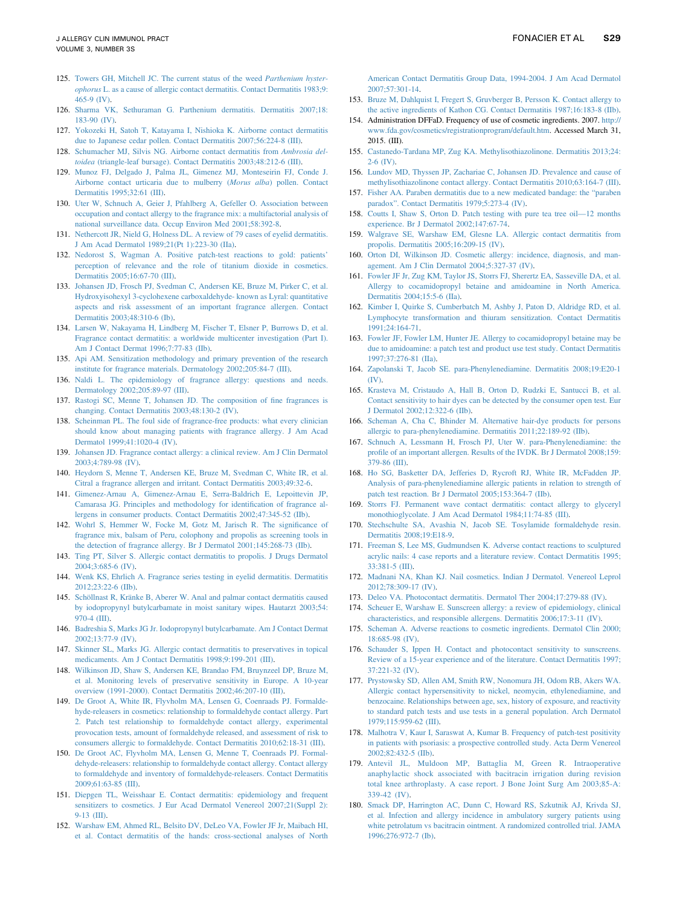- <span id="page-28-0"></span>125. [Towers GH, Mitchell JC. The current status of the weed](http://refhub.elsevier.com/S2213-2198(15)00116-6/sref125) Parthenium hysterophorus [L. as a cause of allergic contact dermatitis. Contact Dermatitis 1983;9:](http://refhub.elsevier.com/S2213-2198(15)00116-6/sref125) [465-9 \(IV\)](http://refhub.elsevier.com/S2213-2198(15)00116-6/sref125).
- 126. [Sharma VK, Sethuraman G. Parthenium dermatitis. Dermatitis 2007;18:](http://refhub.elsevier.com/S2213-2198(15)00116-6/sref126) [183-90 \(IV\).](http://refhub.elsevier.com/S2213-2198(15)00116-6/sref126)
- 127. [Yokozeki H, Satoh T, Katayama I, Nishioka K. Airborne contact dermatitis](http://refhub.elsevier.com/S2213-2198(15)00116-6/sref127) [due to Japanese cedar pollen. Contact Dermatitis 2007;56:224-8 \(III\).](http://refhub.elsevier.com/S2213-2198(15)00116-6/sref127)
- 128. [Schumacher MJ, Silvis NG. Airborne contact dermatitis from](http://refhub.elsevier.com/S2213-2198(15)00116-6/sref128) Ambrosia deltoidea [\(triangle-leaf bursage\). Contact Dermatitis 2003;48:212-6 \(III\).](http://refhub.elsevier.com/S2213-2198(15)00116-6/sref128)
- 129. [Munoz FJ, Delgado J, Palma JL, Gimenez MJ, Monteseirin FJ, Conde J.](http://refhub.elsevier.com/S2213-2198(15)00116-6/sref129) [Airborne contact urticaria due to mulberry \(](http://refhub.elsevier.com/S2213-2198(15)00116-6/sref129)Morus alba) pollen. Contact [Dermatitis 1995;32:61 \(III\)](http://refhub.elsevier.com/S2213-2198(15)00116-6/sref129).
- 130. [Uter W, Schnuch A, Geier J, Pfahlberg A, Gefeller O. Association between](http://refhub.elsevier.com/S2213-2198(15)00116-6/sref130) [occupation and contact allergy to the fragrance mix: a multifactorial analysis of](http://refhub.elsevier.com/S2213-2198(15)00116-6/sref130) [national surveillance data. Occup Environ Med 2001;58:392-8.](http://refhub.elsevier.com/S2213-2198(15)00116-6/sref130)
- 131. [Nethercott JR, Nield G, Holness DL. A review of 79 cases of eyelid dermatitis.](http://refhub.elsevier.com/S2213-2198(15)00116-6/sref131) [J Am Acad Dermatol 1989;21\(Pt 1\):223-30 \(IIa\).](http://refhub.elsevier.com/S2213-2198(15)00116-6/sref131)
- 132. [Nedorost S, Wagman A. Positive patch-test reactions to gold: patients](http://refhub.elsevier.com/S2213-2198(15)00116-6/sref132)' [perception of relevance and the role of titanium dioxide in cosmetics.](http://refhub.elsevier.com/S2213-2198(15)00116-6/sref132) [Dermatitis 2005;16:67-70 \(III\).](http://refhub.elsevier.com/S2213-2198(15)00116-6/sref132)
- 133. [Johansen JD, Frosch PJ, Svedman C, Andersen KE, Bruze M, Pirker C, et al.](http://refhub.elsevier.com/S2213-2198(15)00116-6/sref133) [Hydroxyisohexyl 3-cyclohexene carboxaldehyde- known as Lyral: quantitative](http://refhub.elsevier.com/S2213-2198(15)00116-6/sref133) [aspects and risk assessment of an important fragrance allergen. Contact](http://refhub.elsevier.com/S2213-2198(15)00116-6/sref133) [Dermatitis 2003;48:310-6 \(Ib\).](http://refhub.elsevier.com/S2213-2198(15)00116-6/sref133)
- 134. [Larsen W, Nakayama H, Lindberg M, Fischer T, Elsner P, Burrows D, et al.](http://refhub.elsevier.com/S2213-2198(15)00116-6/sref134) [Fragrance contact dermatitis: a worldwide multicenter investigation \(Part I\).](http://refhub.elsevier.com/S2213-2198(15)00116-6/sref134) [Am J Contact Dermat 1996;7:77-83 \(IIb\)](http://refhub.elsevier.com/S2213-2198(15)00116-6/sref134).
- 135. [Api AM. Sensitization methodology and primary prevention of the research](http://refhub.elsevier.com/S2213-2198(15)00116-6/sref135) [institute for fragrance materials. Dermatology 2002;205:84-7 \(III\)](http://refhub.elsevier.com/S2213-2198(15)00116-6/sref135).
- 136. [Naldi L. The epidemiology of fragrance allergy: questions and needs.](http://refhub.elsevier.com/S2213-2198(15)00116-6/sref136) [Dermatology 2002;205:89-97 \(III\).](http://refhub.elsevier.com/S2213-2198(15)00116-6/sref136)
- 137. [Rastogi SC, Menne T, Johansen JD. The composition of](http://refhub.elsevier.com/S2213-2198(15)00116-6/sref137) fine fragrances is [changing. Contact Dermatitis 2003;48:130-2 \(IV\)](http://refhub.elsevier.com/S2213-2198(15)00116-6/sref137).
- 138. [Scheinman PL. The foul side of fragrance-free products: what every clinician](http://refhub.elsevier.com/S2213-2198(15)00116-6/sref138) [should know about managing patients with fragrance allergy. J Am Acad](http://refhub.elsevier.com/S2213-2198(15)00116-6/sref138) [Dermatol 1999;41:1020-4 \(IV\).](http://refhub.elsevier.com/S2213-2198(15)00116-6/sref138)
- 139. [Johansen JD. Fragrance contact allergy: a clinical review. Am J Clin Dermatol](http://refhub.elsevier.com/S2213-2198(15)00116-6/sref139) [2003;4:789-98 \(IV\).](http://refhub.elsevier.com/S2213-2198(15)00116-6/sref139)
- 140. [Heydorn S, Menne T, Andersen KE, Bruze M, Svedman C, White IR, et al.](http://refhub.elsevier.com/S2213-2198(15)00116-6/sref140) [Citral a fragrance allergen and irritant. Contact Dermatitis 2003;49:32-6](http://refhub.elsevier.com/S2213-2198(15)00116-6/sref140).
- 141. [Gimenez-Arnau A, Gimenez-Arnau E, Serra-Baldrich E, Lepoittevin JP,](http://refhub.elsevier.com/S2213-2198(15)00116-6/sref141) [Camarasa JG. Principles and methodology for identi](http://refhub.elsevier.com/S2213-2198(15)00116-6/sref141)fication of fragrance al[lergens in consumer products. Contact Dermatitis 2002;47:345-52 \(IIb\)](http://refhub.elsevier.com/S2213-2198(15)00116-6/sref141).
- 142. [Wohrl S, Hemmer W, Focke M, Gotz M, Jarisch R. The signi](http://refhub.elsevier.com/S2213-2198(15)00116-6/sref142)ficance of [fragrance mix, balsam of Peru, colophony and propolis as screening tools in](http://refhub.elsevier.com/S2213-2198(15)00116-6/sref142) [the detection of fragrance allergy. Br J Dermatol 2001;145:268-73 \(IIb\).](http://refhub.elsevier.com/S2213-2198(15)00116-6/sref142)
- 143. [Ting PT, Silver S. Allergic contact dermatitis to propolis. J Drugs Dermatol](http://refhub.elsevier.com/S2213-2198(15)00116-6/sref143) [2004;3:685-6 \(IV\)](http://refhub.elsevier.com/S2213-2198(15)00116-6/sref143).
- 144. [Wenk KS, Ehrlich A. Fragrance series testing in eyelid dermatitis. Dermatitis](http://refhub.elsevier.com/S2213-2198(15)00116-6/sref144) [2012;23:22-6 \(IIb\)](http://refhub.elsevier.com/S2213-2198(15)00116-6/sref144).
- 145. [Schöllnast R, Kränke B, Aberer W. Anal and palmar contact dermatitis caused](http://refhub.elsevier.com/S2213-2198(15)00116-6/sref145) [by iodopropynyl butylcarbamate in moist sanitary wipes. Hautarzt 2003;54:](http://refhub.elsevier.com/S2213-2198(15)00116-6/sref145) [970-4 \(III\).](http://refhub.elsevier.com/S2213-2198(15)00116-6/sref145)
- 146. [Badreshia S, Marks JG Jr. Iodopropynyl butylcarbamate. Am J Contact Dermat](http://refhub.elsevier.com/S2213-2198(15)00116-6/sref146) [2002;13:77-9 \(IV\)](http://refhub.elsevier.com/S2213-2198(15)00116-6/sref146).
- 147. [Skinner SL, Marks JG. Allergic contact dermatitis to preservatives in topical](http://refhub.elsevier.com/S2213-2198(15)00116-6/sref147) [medicaments. Am J Contact Dermatitis 1998;9:199-201 \(III\)](http://refhub.elsevier.com/S2213-2198(15)00116-6/sref147).
- 148. [Wilkinson JD, Shaw S, Andersen KE, Brandao FM, Bruynzeel DP, Bruze M,](http://refhub.elsevier.com/S2213-2198(15)00116-6/sref148) [et al. Monitoring levels of preservative sensitivity in Europe. A 10-year](http://refhub.elsevier.com/S2213-2198(15)00116-6/sref148) [overview \(1991-2000\). Contact Dermatitis 2002;46:207-10 \(III\).](http://refhub.elsevier.com/S2213-2198(15)00116-6/sref148)
- 149. [De Groot A, White IR, Flyvholm MA, Lensen G, Coenraads PJ. Formalde](http://refhub.elsevier.com/S2213-2198(15)00116-6/sref149)[hyde-releasers in cosmetics: relationship to formaldehyde contact allergy. Part](http://refhub.elsevier.com/S2213-2198(15)00116-6/sref149) [2. Patch test relationship to formaldehyde contact allergy, experimental](http://refhub.elsevier.com/S2213-2198(15)00116-6/sref149) [provocation tests, amount of formaldehyde released, and assessment of risk to](http://refhub.elsevier.com/S2213-2198(15)00116-6/sref149) [consumers allergic to formaldehyde. Contact Dermatitis 2010;62:18-31 \(III\)](http://refhub.elsevier.com/S2213-2198(15)00116-6/sref149).
- 150. [De Groot AC, Flyvholm MA, Lensen G, Menne T, Coenraads PJ. Formal](http://refhub.elsevier.com/S2213-2198(15)00116-6/sref150)[dehyde-releasers: relationship to formaldehyde contact allergy. Contact allergy](http://refhub.elsevier.com/S2213-2198(15)00116-6/sref150) [to formaldehyde and inventory of formaldehyde-releasers. Contact Dermatitis](http://refhub.elsevier.com/S2213-2198(15)00116-6/sref150) [2009;61:63-85 \(III\)](http://refhub.elsevier.com/S2213-2198(15)00116-6/sref150).
- 151. [Diepgen TL, Weisshaar E. Contact dermatitis: epidemiology and frequent](http://refhub.elsevier.com/S2213-2198(15)00116-6/sref151) [sensitizers to cosmetics. J Eur Acad Dermatol Venereol 2007;21\(Suppl 2\):](http://refhub.elsevier.com/S2213-2198(15)00116-6/sref151) [9-13 \(III\).](http://refhub.elsevier.com/S2213-2198(15)00116-6/sref151)
- 152. [Warshaw EM, Ahmed RL, Belsito DV, DeLeo VA, Fowler JF Jr, Maibach HI,](http://refhub.elsevier.com/S2213-2198(15)00116-6/sref152) [et al. Contact dermatitis of the hands: cross-sectional analyses of North](http://refhub.elsevier.com/S2213-2198(15)00116-6/sref152)

[American Contact Dermatitis Group Data, 1994-2004. J Am Acad Dermatol](http://refhub.elsevier.com/S2213-2198(15)00116-6/sref152) [2007;57:301-14](http://refhub.elsevier.com/S2213-2198(15)00116-6/sref152).

- 153. [Bruze M, Dahlquist I, Fregert S, Gruvberger B, Persson K. Contact allergy to](http://refhub.elsevier.com/S2213-2198(15)00116-6/sref153) [the active ingredients of Kathon CG. Contact Dermatitis 1987;16:183-8 \(IIb\).](http://refhub.elsevier.com/S2213-2198(15)00116-6/sref153)
- 154. Administration DFFaD. Frequency of use of cosmetic ingredients. 2007. [http://](http://www.fda.gov/cosmetics/registrationprogram/default.htm) [www.fda.gov/cosmetics/registrationprogram/default.htm.](http://www.fda.gov/cosmetics/registrationprogram/default.htm) Accessed March 31, 2015. (III).
- 155. [Castanedo-Tardana MP, Zug KA. Methylisothiazolinone. Dermatitis 2013;24:](http://refhub.elsevier.com/S2213-2198(15)00116-6/sref155) [2-6 \(IV\)](http://refhub.elsevier.com/S2213-2198(15)00116-6/sref155).
- 156. [Lundov MD, Thyssen JP, Zachariae C, Johansen JD. Prevalence and cause of](http://refhub.elsevier.com/S2213-2198(15)00116-6/sref156) [methylisothiazolinone contact allergy. Contact Dermatitis 2010;63:164-7 \(III\).](http://refhub.elsevier.com/S2213-2198(15)00116-6/sref156)
- 157. [Fisher AA. Paraben dermatitis due to a new medicated bandage: the](http://refhub.elsevier.com/S2213-2198(15)00116-6/sref157) "paraben paradox"[. Contact Dermatitis 1979;5:273-4 \(IV\).](http://refhub.elsevier.com/S2213-2198(15)00116-6/sref157)
- 158. [Coutts I, Shaw S, Orton D. Patch testing with pure tea tree oil](http://refhub.elsevier.com/S2213-2198(15)00116-6/sref158)—12 months [experience. Br J Dermatol 2002;147:67-74.](http://refhub.elsevier.com/S2213-2198(15)00116-6/sref158)
- 159. [Walgrave SE, Warshaw EM, Glesne LA. Allergic contact dermatitis from](http://refhub.elsevier.com/S2213-2198(15)00116-6/sref159) [propolis. Dermatitis 2005;16:209-15 \(IV\)](http://refhub.elsevier.com/S2213-2198(15)00116-6/sref159).
- 160. [Orton DI, Wilkinson JD. Cosmetic allergy: incidence, diagnosis, and man](http://refhub.elsevier.com/S2213-2198(15)00116-6/sref160)[agement. Am J Clin Dermatol 2004;5:327-37 \(IV\).](http://refhub.elsevier.com/S2213-2198(15)00116-6/sref160)
- 161. [Fowler JF Jr, Zug KM, Taylor JS, Storrs FJ, Sherertz EA, Sasseville DA, et al.](http://refhub.elsevier.com/S2213-2198(15)00116-6/sref161) [Allergy to cocamidopropyl betaine and amidoamine in North America.](http://refhub.elsevier.com/S2213-2198(15)00116-6/sref161) [Dermatitis 2004;15:5-6 \(IIa\)](http://refhub.elsevier.com/S2213-2198(15)00116-6/sref161).
- 162. [Kimber I, Quirke S, Cumberbatch M, Ashby J, Paton D, Aldridge RD, et al.](http://refhub.elsevier.com/S2213-2198(15)00116-6/sref162) [Lymphocyte transformation and thiuram sensitization. Contact Dermatitis](http://refhub.elsevier.com/S2213-2198(15)00116-6/sref162) [1991;24:164-71](http://refhub.elsevier.com/S2213-2198(15)00116-6/sref162).
- 163. [Fowler JF, Fowler LM, Hunter JE. Allergy to cocamidopropyl betaine may be](http://refhub.elsevier.com/S2213-2198(15)00116-6/sref163) [due to amidoamine: a patch test and product use test study. Contact Dermatitis](http://refhub.elsevier.com/S2213-2198(15)00116-6/sref163) [1997;37:276-81 \(IIa\).](http://refhub.elsevier.com/S2213-2198(15)00116-6/sref163)
- 164. [Zapolanski T, Jacob SE. para-Phenylenediamine. Dermatitis 2008;19:E20-1](http://refhub.elsevier.com/S2213-2198(15)00116-6/sref164) [\(IV\).](http://refhub.elsevier.com/S2213-2198(15)00116-6/sref164)
- 165. [Krasteva M, Cristaudo A, Hall B, Orton D, Rudzki E, Santucci B, et al.](http://refhub.elsevier.com/S2213-2198(15)00116-6/sref165) [Contact sensitivity to hair dyes can be detected by the consumer open test. Eur](http://refhub.elsevier.com/S2213-2198(15)00116-6/sref165) [J Dermatol 2002;12:322-6 \(IIb\).](http://refhub.elsevier.com/S2213-2198(15)00116-6/sref165)
- 166. [Scheman A, Cha C, Bhinder M. Alternative hair-dye products for persons](http://refhub.elsevier.com/S2213-2198(15)00116-6/sref166) [allergic to para-phenylenediamine. Dermatitis 2011;22:189-92 \(IIb\).](http://refhub.elsevier.com/S2213-2198(15)00116-6/sref166)
- 167. [Schnuch A, Lessmann H, Frosch PJ, Uter W. para-Phenylenediamine: the](http://refhub.elsevier.com/S2213-2198(15)00116-6/sref167) profi[le of an important allergen. Results of the IVDK. Br J Dermatol 2008;159:](http://refhub.elsevier.com/S2213-2198(15)00116-6/sref167) [379-86 \(III\)](http://refhub.elsevier.com/S2213-2198(15)00116-6/sref167).
- 168. [Ho SG, Basketter DA, Jefferies D, Rycroft RJ, White IR, McFadden JP.](http://refhub.elsevier.com/S2213-2198(15)00116-6/sref168) [Analysis of para-phenylenediamine allergic patients in relation to strength of](http://refhub.elsevier.com/S2213-2198(15)00116-6/sref168) [patch test reaction. Br J Dermatol 2005;153:364-7 \(IIb\).](http://refhub.elsevier.com/S2213-2198(15)00116-6/sref168)
- 169. [Storrs FJ. Permanent wave contact dermatitis: contact allergy to glyceryl](http://refhub.elsevier.com/S2213-2198(15)00116-6/sref169) [monothioglycolate. J Am Acad Dermatol 1984;11:74-85 \(III\)](http://refhub.elsevier.com/S2213-2198(15)00116-6/sref169).
- 170. [Stechschulte SA, Avashia N, Jacob SE. Tosylamide formaldehyde resin.](http://refhub.elsevier.com/S2213-2198(15)00116-6/sref170) [Dermatitis 2008;19:E18-9.](http://refhub.elsevier.com/S2213-2198(15)00116-6/sref170)
- 171. [Freeman S, Lee MS, Gudmundsen K. Adverse contact reactions to sculptured](http://refhub.elsevier.com/S2213-2198(15)00116-6/sref171) [acrylic nails: 4 case reports and a literature review. Contact Dermatitis 1995;](http://refhub.elsevier.com/S2213-2198(15)00116-6/sref171) [33:381-5 \(III\)](http://refhub.elsevier.com/S2213-2198(15)00116-6/sref171).
- 172. [Madnani NA, Khan KJ. Nail cosmetics. Indian J Dermatol. Venereol Leprol](http://refhub.elsevier.com/S2213-2198(15)00116-6/sref172) [2012;78:309-17 \(IV\)](http://refhub.elsevier.com/S2213-2198(15)00116-6/sref172).
- 173. [Deleo VA. Photocontact dermatitis. Dermatol Ther 2004;17:279-88 \(IV\).](http://refhub.elsevier.com/S2213-2198(15)00116-6/sref173)
- 174. [Scheuer E, Warshaw E. Sunscreen allergy: a review of epidemiology, clinical](http://refhub.elsevier.com/S2213-2198(15)00116-6/sref174) [characteristics, and responsible allergens. Dermatitis 2006;17:3-11 \(IV\)](http://refhub.elsevier.com/S2213-2198(15)00116-6/sref174).
- 175. [Scheman A. Adverse reactions to cosmetic ingredients. Dermatol Clin 2000;](http://refhub.elsevier.com/S2213-2198(15)00116-6/sref175) [18:685-98 \(IV\)](http://refhub.elsevier.com/S2213-2198(15)00116-6/sref175).
- 176. [Schauder S, Ippen H. Contact and photocontact sensitivity to sunscreens.](http://refhub.elsevier.com/S2213-2198(15)00116-6/sref176) [Review of a 15-year experience and of the literature. Contact Dermatitis 1997;](http://refhub.elsevier.com/S2213-2198(15)00116-6/sref176) [37:221-32 \(IV\)](http://refhub.elsevier.com/S2213-2198(15)00116-6/sref176).
- 177. [Prystowsky SD, Allen AM, Smith RW, Nonomura JH, Odom RB, Akers WA.](http://refhub.elsevier.com/S2213-2198(15)00116-6/sref177) [Allergic contact hypersensitivity to nickel, neomycin, ethylenediamine, and](http://refhub.elsevier.com/S2213-2198(15)00116-6/sref177) [benzocaine. Relationships between age, sex, history of exposure, and reactivity](http://refhub.elsevier.com/S2213-2198(15)00116-6/sref177) [to standard patch tests and use tests in a general population. Arch Dermatol](http://refhub.elsevier.com/S2213-2198(15)00116-6/sref177) [1979;115:959-62 \(III\)](http://refhub.elsevier.com/S2213-2198(15)00116-6/sref177).
- 178. [Malhotra V, Kaur I, Saraswat A, Kumar B. Frequency of patch-test positivity](http://refhub.elsevier.com/S2213-2198(15)00116-6/sref178) [in patients with psoriasis: a prospective controlled study. Acta Derm Venereol](http://refhub.elsevier.com/S2213-2198(15)00116-6/sref178)  $2002:82:432-5$  (IIb).
- 179. [Antevil JL, Muldoon MP, Battaglia M, Green R. Intraoperative](http://refhub.elsevier.com/S2213-2198(15)00116-6/sref179) [anaphylactic shock associated with bacitracin irrigation during revision](http://refhub.elsevier.com/S2213-2198(15)00116-6/sref179) [total knee arthroplasty. A case report. J Bone Joint Surg Am 2003;85-A:](http://refhub.elsevier.com/S2213-2198(15)00116-6/sref179) [339-42 \(IV\).](http://refhub.elsevier.com/S2213-2198(15)00116-6/sref179)
- 180. [Smack DP, Harrington AC, Dunn C, Howard RS, Szkutnik AJ, Krivda SJ,](http://refhub.elsevier.com/S2213-2198(15)00116-6/sref180) [et al. Infection and allergy incidence in ambulatory surgery patients using](http://refhub.elsevier.com/S2213-2198(15)00116-6/sref180) [white petrolatum vs bacitracin ointment. A randomized controlled trial. JAMA](http://refhub.elsevier.com/S2213-2198(15)00116-6/sref180) [1996;276:972-7 \(Ib\).](http://refhub.elsevier.com/S2213-2198(15)00116-6/sref180)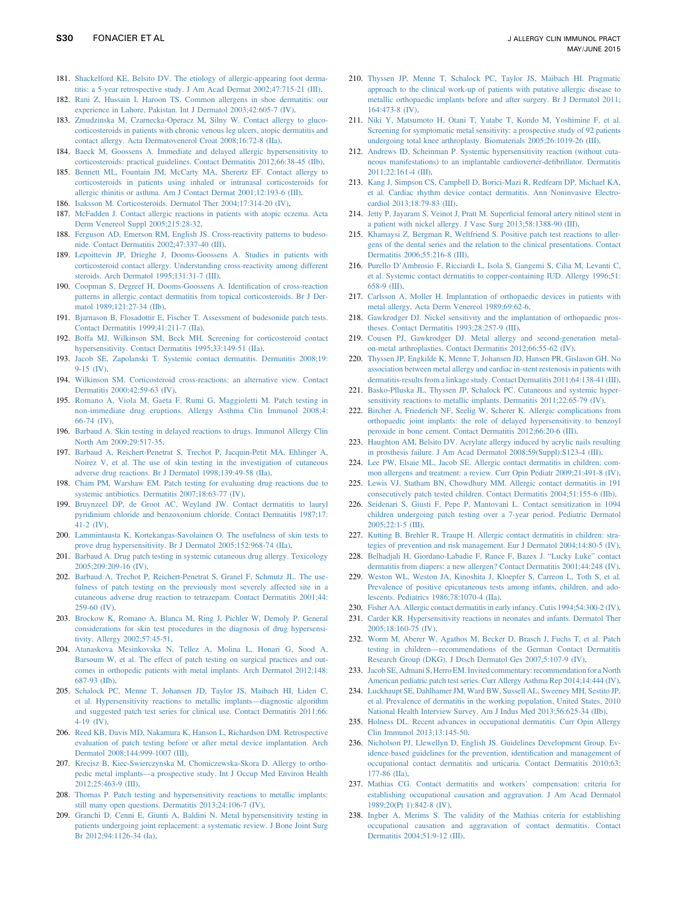- <span id="page-29-0"></span>181. [Shackelford KE, Belsito DV. The etiology of allergic-appearing foot derma](http://refhub.elsevier.com/S2213-2198(15)00116-6/sref181)[titis: a 5-year retrospective study. J Am Acad Dermat 2002;47:715-21 \(III\)](http://refhub.elsevier.com/S2213-2198(15)00116-6/sref181).
- 182. [Rani Z, Hussain I, Haroon TS. Common allergens in shoe dermatitis: our](http://refhub.elsevier.com/S2213-2198(15)00116-6/sref182) [experience in Lahore, Pakistan. Int J Dermatol 2003;42:605-7 \(IV\)](http://refhub.elsevier.com/S2213-2198(15)00116-6/sref182).
- 183. [Zmudzinska M, Czarnecka-Operacz M, Silny W. Contact allergy to gluco](http://refhub.elsevier.com/S2213-2198(15)00116-6/sref183)[corticosteroids in patients with chronic venous leg ulcers, atopic dermatitis and](http://refhub.elsevier.com/S2213-2198(15)00116-6/sref183) [contact allergy. Acta Dermatovenerol Croat 2008;16:72-8 \(IIa\)](http://refhub.elsevier.com/S2213-2198(15)00116-6/sref183).
- 184. [Baeck M, Goossens A. Immediate and delayed allergic hypersensitivity to](http://refhub.elsevier.com/S2213-2198(15)00116-6/sref184) [corticosteroids: practical guidelines. Contact Dermatitis 2012;66:38-45 \(IIb\).](http://refhub.elsevier.com/S2213-2198(15)00116-6/sref184)
- 185. [Bennett ML, Fountain JM, McCarty MA, Sherertz EF. Contact allergy to](http://refhub.elsevier.com/S2213-2198(15)00116-6/sref185) [corticosteroids in patients using inhaled or intranasal corticosteroids for](http://refhub.elsevier.com/S2213-2198(15)00116-6/sref185) [allergic rhinitis or asthma. Am J Contact Dermat 2001;12:193-6 \(III\)](http://refhub.elsevier.com/S2213-2198(15)00116-6/sref185).
- 186. [Isaksson M. Corticosteroids. Dermatol Ther 2004;17:314-20 \(IV\).](http://refhub.elsevier.com/S2213-2198(15)00116-6/sref186)
- 187. [McFadden J. Contact allergic reactions in patients with atopic eczema. Acta](http://refhub.elsevier.com/S2213-2198(15)00116-6/sref187) [Derm Venereol Suppl 2005;215:28-32](http://refhub.elsevier.com/S2213-2198(15)00116-6/sref187).
- 188. [Ferguson AD, Emerson RM, English JS. Cross-reactivity patterns to budeso](http://refhub.elsevier.com/S2213-2198(15)00116-6/sref188)[nide. Contact Dermatitis 2002;47:337-40 \(III\).](http://refhub.elsevier.com/S2213-2198(15)00116-6/sref188)
- 189. [Lepoittevin JP, Drieghe J, Dooms-Goossens A. Studies in patients with](http://refhub.elsevier.com/S2213-2198(15)00116-6/sref189) [corticosteroid contact allergy. Understanding cross-reactivity among different](http://refhub.elsevier.com/S2213-2198(15)00116-6/sref189) [steroids. Arch Dermatol 1995;131:31-7 \(III\)](http://refhub.elsevier.com/S2213-2198(15)00116-6/sref189).
- 190. [Coopman S, Degreef H, Dooms-Goossens A. Identi](http://refhub.elsevier.com/S2213-2198(15)00116-6/sref190)fication of cross-reaction [patterns in allergic contact dermatitis from topical corticosteroids. Br J Der](http://refhub.elsevier.com/S2213-2198(15)00116-6/sref190)[matol 1989;121:27-34 \(IIb\)](http://refhub.elsevier.com/S2213-2198(15)00116-6/sref190).
- 191. [Bjarnason B, Flosadottir E, Fischer T. Assessment of budesonide patch tests.](http://refhub.elsevier.com/S2213-2198(15)00116-6/sref191) [Contact Dermatitis 1999;41:211-7 \(IIa\)](http://refhub.elsevier.com/S2213-2198(15)00116-6/sref191).
- 192. [Boffa MJ, Wilkinson SM, Beck MH. Screening for corticosteroid contact](http://refhub.elsevier.com/S2213-2198(15)00116-6/sref192) [hypersensitivity. Contact Dermatitis 1995;33:149-51 \(IIa\).](http://refhub.elsevier.com/S2213-2198(15)00116-6/sref192)
- 193. [Jacob SE, Zapolanski T. Systemic contact dermatitis. Dermatitis 2008;19:](http://refhub.elsevier.com/S2213-2198(15)00116-6/sref193) [9-15 \(IV\)](http://refhub.elsevier.com/S2213-2198(15)00116-6/sref193).
- 194. [Wilkinson SM. Corticosteroid cross-reactions: an alternative view. Contact](http://refhub.elsevier.com/S2213-2198(15)00116-6/sref194) [Dermatitis 2000;42:59-63 \(IV\)](http://refhub.elsevier.com/S2213-2198(15)00116-6/sref194).
- 195. [Romano A, Viola M, Gaeta F, Rumi G, Maggioletti M. Patch testing in](http://refhub.elsevier.com/S2213-2198(15)00116-6/sref195) [non-immediate drug eruptions. Allergy Asthma Clin Immunol 2008;4:](http://refhub.elsevier.com/S2213-2198(15)00116-6/sref195) [66-74 \(IV\).](http://refhub.elsevier.com/S2213-2198(15)00116-6/sref195)
- 196. [Barbaud A. Skin testing in delayed reactions to drugs. Immunol Allergy Clin](http://refhub.elsevier.com/S2213-2198(15)00116-6/sref196) [North Am 2009;29:517-35](http://refhub.elsevier.com/S2213-2198(15)00116-6/sref196).
- 197. [Barbaud A, Reichert-Penetrat S, Trechot P, Jacquin-Petit MA, Ehlinger A,](http://refhub.elsevier.com/S2213-2198(15)00116-6/sref197) [Noirez V, et al. The use of skin testing in the investigation of cutaneous](http://refhub.elsevier.com/S2213-2198(15)00116-6/sref197) [adverse drug reactions. Br J Dermatol 1998;139:49-58 \(IIa\)](http://refhub.elsevier.com/S2213-2198(15)00116-6/sref197).
- 198. [Cham PM, Warshaw EM. Patch testing for evaluating drug reactions due to](http://refhub.elsevier.com/S2213-2198(15)00116-6/sref198) systemic antibiotics. Dermatitis 2007:18:63-77 (IV).
- 199. [Bruynzeel DP, de Groot AC, Weyland JW. Contact dermatitis to lauryl](http://refhub.elsevier.com/S2213-2198(15)00116-6/sref199) [pyridinium chloride and benzoxonium chloride. Contact Dermatitis 1987;17:](http://refhub.elsevier.com/S2213-2198(15)00116-6/sref199) [41-2 \(IV\)](http://refhub.elsevier.com/S2213-2198(15)00116-6/sref199).
- 200. [Lammintausta K, Kortekangas-Savolainen O. The usefulness of skin tests to](http://refhub.elsevier.com/S2213-2198(15)00116-6/sref200) [prove drug hypersensitivity. Br J Dermatol 2005;152:968-74 \(IIa\).](http://refhub.elsevier.com/S2213-2198(15)00116-6/sref200)
- 201. [Barbaud A. Drug patch testing in systemic cutaneous drug allergy. Toxicology](http://refhub.elsevier.com/S2213-2198(15)00116-6/sref201) [2005;209:209-16 \(IV\).](http://refhub.elsevier.com/S2213-2198(15)00116-6/sref201)
- 202. [Barbaud A, Trechot P, Reichert-Penetrat S, Granel F, Schmutz JL. The use](http://refhub.elsevier.com/S2213-2198(15)00116-6/sref202)[fulness of patch testing on the previously most severely affected site in a](http://refhub.elsevier.com/S2213-2198(15)00116-6/sref202) [cutaneous adverse drug reaction to tetrazepam. Contact Dermatitis 2001;44:](http://refhub.elsevier.com/S2213-2198(15)00116-6/sref202) [259-60 \(IV\).](http://refhub.elsevier.com/S2213-2198(15)00116-6/sref202)
- 203. [Brockow K, Romano A, Blanca M, Ring J, Pichler W, Demoly P. General](http://refhub.elsevier.com/S2213-2198(15)00116-6/sref203) [considerations for skin test procedures in the diagnosis of drug hypersensi](http://refhub.elsevier.com/S2213-2198(15)00116-6/sref203)[tivity. Allergy 2002;57:45-51.](http://refhub.elsevier.com/S2213-2198(15)00116-6/sref203)
- 204. [Atanaskova Mesinkovska N, Tellez A, Molina L, Honari G, Sood A,](http://refhub.elsevier.com/S2213-2198(15)00116-6/sref204) [Barsoum W, et al. The effect of patch testing on surgical practices and out](http://refhub.elsevier.com/S2213-2198(15)00116-6/sref204)[comes in orthopedic patients with metal implants. Arch Dermatol 2012;148:](http://refhub.elsevier.com/S2213-2198(15)00116-6/sref204) [687-93 \(IIb\)](http://refhub.elsevier.com/S2213-2198(15)00116-6/sref204).
- 205. [Schalock PC, Menne T, Johansen JD, Taylor JS, Maibach HI, Liden C,](http://refhub.elsevier.com/S2213-2198(15)00116-6/sref205) [et al. Hypersensitivity reactions to metallic implants](http://refhub.elsevier.com/S2213-2198(15)00116-6/sref205)—diagnostic algorithm [and suggested patch test series for clinical use. Contact Dermatitis 2011;66:](http://refhub.elsevier.com/S2213-2198(15)00116-6/sref205) [4-19 \(IV\)](http://refhub.elsevier.com/S2213-2198(15)00116-6/sref205).
- 206. [Reed KB, Davis MD, Nakamura K, Hanson L, Richardson DM. Retrospective](http://refhub.elsevier.com/S2213-2198(15)00116-6/sref206) [evaluation of patch testing before or after metal device implantation. Arch](http://refhub.elsevier.com/S2213-2198(15)00116-6/sref206) [Dermatol 2008;144:999-1007 \(III\).](http://refhub.elsevier.com/S2213-2198(15)00116-6/sref206)
- 207. [Krecisz B, Kiec-Swierczynska M, Chomiczewska-Skora D. Allergy to ortho](http://refhub.elsevier.com/S2213-2198(15)00116-6/sref207)pedic metal implants—[a prospective study. Int J Occup Med Environ Health](http://refhub.elsevier.com/S2213-2198(15)00116-6/sref207) [2012;25:463-9 \(III\)](http://refhub.elsevier.com/S2213-2198(15)00116-6/sref207).
- 208. [Thomas P. Patch testing and hypersensitivity reactions to metallic implants:](http://refhub.elsevier.com/S2213-2198(15)00116-6/sref208) [still many open questions. Dermatitis 2013;24:106-7 \(IV\)](http://refhub.elsevier.com/S2213-2198(15)00116-6/sref208).
- 209. [Granchi D, Cenni E, Giunti A, Baldini N. Metal hypersensitivity testing in](http://refhub.elsevier.com/S2213-2198(15)00116-6/sref209) [patients undergoing joint replacement: a systematic review. J Bone Joint Surg](http://refhub.elsevier.com/S2213-2198(15)00116-6/sref209) [Br 2012;94:1126-34 \(Ia\)](http://refhub.elsevier.com/S2213-2198(15)00116-6/sref209).
- 210. [Thyssen JP, Menne T, Schalock PC, Taylor JS, Maibach HI. Pragmatic](http://refhub.elsevier.com/S2213-2198(15)00116-6/sref210) [approach to the clinical work-up of patients with putative allergic disease to](http://refhub.elsevier.com/S2213-2198(15)00116-6/sref210) [metallic orthopaedic implants before and after surgery. Br J Dermatol 2011;](http://refhub.elsevier.com/S2213-2198(15)00116-6/sref210) [164:473-8 \(IV\)](http://refhub.elsevier.com/S2213-2198(15)00116-6/sref210).
- 211. [Niki Y, Matsumoto H, Otani T, Yatabe T, Kondo M, Yoshimine F, et al.](http://refhub.elsevier.com/S2213-2198(15)00116-6/sref211) [Screening for symptomatic metal sensitivity: a prospective study of 92 patients](http://refhub.elsevier.com/S2213-2198(15)00116-6/sref211) [undergoing total knee arthroplasty. Biomaterials 2005;26:1019-26 \(III\).](http://refhub.elsevier.com/S2213-2198(15)00116-6/sref211)
- 212. [Andrews ID, Scheinman P. Systemic hypersensitivity reaction \(without cuta](http://refhub.elsevier.com/S2213-2198(15)00116-6/sref212)[neous manifestations\) to an implantable cardioverter-de](http://refhub.elsevier.com/S2213-2198(15)00116-6/sref212)fibrillator. Dermatitis [2011;22:161-4 \(III\)](http://refhub.elsevier.com/S2213-2198(15)00116-6/sref212).
- 213. [Kang J, Simpson CS, Campbell D, Borici-Mazi R, Redfearn DP, Michael KA,](http://refhub.elsevier.com/S2213-2198(15)00116-6/sref213) [et al. Cardiac rhythm device contact dermatitis. Ann Noninvasive Electro](http://refhub.elsevier.com/S2213-2198(15)00116-6/sref213)[cardiol 2013;18:79-83 \(III\).](http://refhub.elsevier.com/S2213-2198(15)00116-6/sref213)
- 214. [Jetty P, Jayaram S, Veinot J, Pratt M. Super](http://refhub.elsevier.com/S2213-2198(15)00116-6/sref214)ficial femoral artery nitinol stent in [a patient with nickel allergy. J Vasc Surg 2013;58:1388-90 \(III\)](http://refhub.elsevier.com/S2213-2198(15)00116-6/sref214).
- 215. [Khamaysi Z, Bergman R, Weltfriend S. Positive patch test reactions to aller](http://refhub.elsevier.com/S2213-2198(15)00116-6/sref215)[gens of the dental series and the relation to the clinical presentations. Contact](http://refhub.elsevier.com/S2213-2198(15)00116-6/sref215) [Dermatitis 2006;55:216-8 \(III\).](http://refhub.elsevier.com/S2213-2198(15)00116-6/sref215)
- 216. Purello D'[Ambrosio F, Ricciardi L, Isola S, Gangemi S, Cilia M, Levanti C,](http://refhub.elsevier.com/S2213-2198(15)00116-6/sref216) [et al. Systemic contact dermatitis to copper-containing IUD. Allergy 1996;51:](http://refhub.elsevier.com/S2213-2198(15)00116-6/sref216) [658-9 \(III\).](http://refhub.elsevier.com/S2213-2198(15)00116-6/sref216)
- 217. [Carlsson A, Moller H. Implantation of orthopaedic devices in patients with](http://refhub.elsevier.com/S2213-2198(15)00116-6/sref217) [metal allergy. Acta Derm Venereol 1989;69:62-6.](http://refhub.elsevier.com/S2213-2198(15)00116-6/sref217)
- 218. [Gawkrodger DJ. Nickel sensitivity and the implantation of orthopaedic pros](http://refhub.elsevier.com/S2213-2198(15)00116-6/sref218)[theses. Contact Dermatitis 1993;28:257-9 \(III\)](http://refhub.elsevier.com/S2213-2198(15)00116-6/sref218).
- 219. [Cousen PJ, Gawkrodger DJ. Metal allergy and second-generation metal](http://refhub.elsevier.com/S2213-2198(15)00116-6/sref219)[on-metal arthroplasties. Contact Dermatitis 2012;66:55-62 \(IV\).](http://refhub.elsevier.com/S2213-2198(15)00116-6/sref219)
- 220. [Thyssen JP, Engkilde K, Menne T, Johansen JD, Hansen PR, Gislason GH. No](http://refhub.elsevier.com/S2213-2198(15)00116-6/sref220) [association between metal allergy and cardiac in-stent restenosis in patients with](http://refhub.elsevier.com/S2213-2198(15)00116-6/sref220) [dermatitis-results from a linkage study. Contact Dermatitis 2011;64:138-41 \(III\).](http://refhub.elsevier.com/S2213-2198(15)00116-6/sref220)
- 221. [Basko-Plluska JL, Thyssen JP, Schalock PC. Cutaneous and systemic hyper](http://refhub.elsevier.com/S2213-2198(15)00116-6/sref221)[sensitivity reactions to metallic implants. Dermatitis 2011;22:65-79 \(IV\).](http://refhub.elsevier.com/S2213-2198(15)00116-6/sref221)
- 222. [Bircher A, Friederich NF, Seelig W, Scherer K. Allergic complications from](http://refhub.elsevier.com/S2213-2198(15)00116-6/sref222) [orthopaedic joint implants: the role of delayed hypersensitivity to benzoyl](http://refhub.elsevier.com/S2213-2198(15)00116-6/sref222) [peroxide in bone cement. Contact Dermatitis 2012;66:20-6 \(III\).](http://refhub.elsevier.com/S2213-2198(15)00116-6/sref222)
- 223. [Haughton AM, Belsito DV. Acrylate allergy induced by acrylic nails resulting](http://refhub.elsevier.com/S2213-2198(15)00116-6/sref223) [in prosthesis failure. J Am Acad Dermatol 2008;59\(Suppl\):S123-4 \(III\)](http://refhub.elsevier.com/S2213-2198(15)00116-6/sref223).
- 224. [Lee PW, Elsaie ML, Jacob SE. Allergic contact dermatitis in children: com](http://refhub.elsevier.com/S2213-2198(15)00116-6/sref224)[mon allergens and treatment: a review. Curr Opin Pediatr 2009;21:491-8 \(IV\).](http://refhub.elsevier.com/S2213-2198(15)00116-6/sref224)
- 225. [Lewis VJ, Statham BN, Chowdhury MM. Allergic contact dermatitis in 191](http://refhub.elsevier.com/S2213-2198(15)00116-6/sref225) [consecutively patch tested children. Contact Dermatitis 2004;51:155-6 \(IIb\)](http://refhub.elsevier.com/S2213-2198(15)00116-6/sref225).
- 226. [Seidenari S, Giusti F, Pepe P, Mantovani L. Contact sensitization in 1094](http://refhub.elsevier.com/S2213-2198(15)00116-6/sref226) [children undergoing patch testing over a 7-year period. Pediatric Dermatol](http://refhub.elsevier.com/S2213-2198(15)00116-6/sref226) [2005;22:1-5 \(III\)](http://refhub.elsevier.com/S2213-2198(15)00116-6/sref226).
- 227. [Kutting B, Brehler R, Traupe H. Allergic contact dermatitis in children: stra](http://refhub.elsevier.com/S2213-2198(15)00116-6/sref227)[tegies of prevention and risk management. Eur J Dermatol 2004;14:80-5 \(IV\).](http://refhub.elsevier.com/S2213-2198(15)00116-6/sref227)
- 228. [Belhadjali H, Giordano-Labadie F, Rance F, Bazex J.](http://refhub.elsevier.com/S2213-2198(15)00116-6/sref228) "Lucky Luke" contact [dermatitis from diapers: a new allergen? Contact Dermatitis 2001;44:248 \(IV\).](http://refhub.elsevier.com/S2213-2198(15)00116-6/sref228)
- 229. [Weston WL, Weston JA, Kinoshita J, Kloepfer S, Carreon L, Toth S, et al.](http://refhub.elsevier.com/S2213-2198(15)00116-6/sref229) [Prevalence of positive epicutaneous tests among infants, children, and ado](http://refhub.elsevier.com/S2213-2198(15)00116-6/sref229)[lescents. Pediatrics 1986;78:1070-4 \(IIa\).](http://refhub.elsevier.com/S2213-2198(15)00116-6/sref229)
- 230. [Fisher AA. Allergic contact dermatitis in early infancy. Cutis 1994;54:300-2 \(IV\).](http://refhub.elsevier.com/S2213-2198(15)00116-6/sref230)
- 231. [Carder KR. Hypersensitivity reactions in neonates and infants. Dermatol Ther](http://refhub.elsevier.com/S2213-2198(15)00116-6/sref231) [2005;18:160-75 \(IV\)](http://refhub.elsevier.com/S2213-2198(15)00116-6/sref231).
- 232. [Worm M, Aberer W, Agathos M, Becker D, Brasch J, Fuchs T, et al. Patch](http://refhub.elsevier.com/S2213-2198(15)00116-6/sref232) testing in children—[recommendations of the German Contact Dermatitis](http://refhub.elsevier.com/S2213-2198(15)00116-6/sref232) [Research Group \(DKG\). J Dtsch Dermatol Ges 2007;5:107-9 \(IV\)](http://refhub.elsevier.com/S2213-2198(15)00116-6/sref232).
- 233. [Jacob SE, Admani S, Herro EM. Invited commentary: recommendation for a North](http://refhub.elsevier.com/S2213-2198(15)00116-6/sref233) [American pediatric patch test series. Curr Allergy Asthma Rep 2014;14:444 \(IV\).](http://refhub.elsevier.com/S2213-2198(15)00116-6/sref233)
- 234. [Luckhaupt SE, Dahlhamer JM, Ward BW, Sussell AL, Sweeney MH, Sestito JP,](http://refhub.elsevier.com/S2213-2198(15)00116-6/sref234) [et al. Prevalence of dermatitis in the working population, United States, 2010](http://refhub.elsevier.com/S2213-2198(15)00116-6/sref234) [National Health Interview Survey. Am J Indus Med 2013;56:625-34 \(IIb\).](http://refhub.elsevier.com/S2213-2198(15)00116-6/sref234)
- 235. [Holness DL. Recent advances in occupational dermatitis. Curr Opin Allergy](http://refhub.elsevier.com/S2213-2198(15)00116-6/sref235) [Clin Immunol 2013;13:145-50](http://refhub.elsevier.com/S2213-2198(15)00116-6/sref235).
- 236. [Nicholson PJ, Llewellyn D, English JS. Guidelines Development Group. Ev](http://refhub.elsevier.com/S2213-2198(15)00116-6/sref236)[idence-based guidelines for the prevention, identi](http://refhub.elsevier.com/S2213-2198(15)00116-6/sref236)fication and management of [occupational contact dermatitis and urticaria. Contact Dermatitis 2010;63:](http://refhub.elsevier.com/S2213-2198(15)00116-6/sref236) [177-86 \(IIa\).](http://refhub.elsevier.com/S2213-2198(15)00116-6/sref236)
- 237. [Mathias CG. Contact dermatitis and workers](http://refhub.elsevier.com/S2213-2198(15)00116-6/sref237)' compensation: criteria for [establishing occupational causation and aggravation. J Am Acad Dermatol](http://refhub.elsevier.com/S2213-2198(15)00116-6/sref237) [1989;20\(Pt 1\):842-8 \(IV\).](http://refhub.elsevier.com/S2213-2198(15)00116-6/sref237)
- 238. [Ingber A, Merims S. The validity of the Mathias criteria for establishing](http://refhub.elsevier.com/S2213-2198(15)00116-6/sref238) [occupational causation and aggravation of contact dermatitis. Contact](http://refhub.elsevier.com/S2213-2198(15)00116-6/sref238) [Dermatitis 2004;51:9-12 \(III\)](http://refhub.elsevier.com/S2213-2198(15)00116-6/sref238).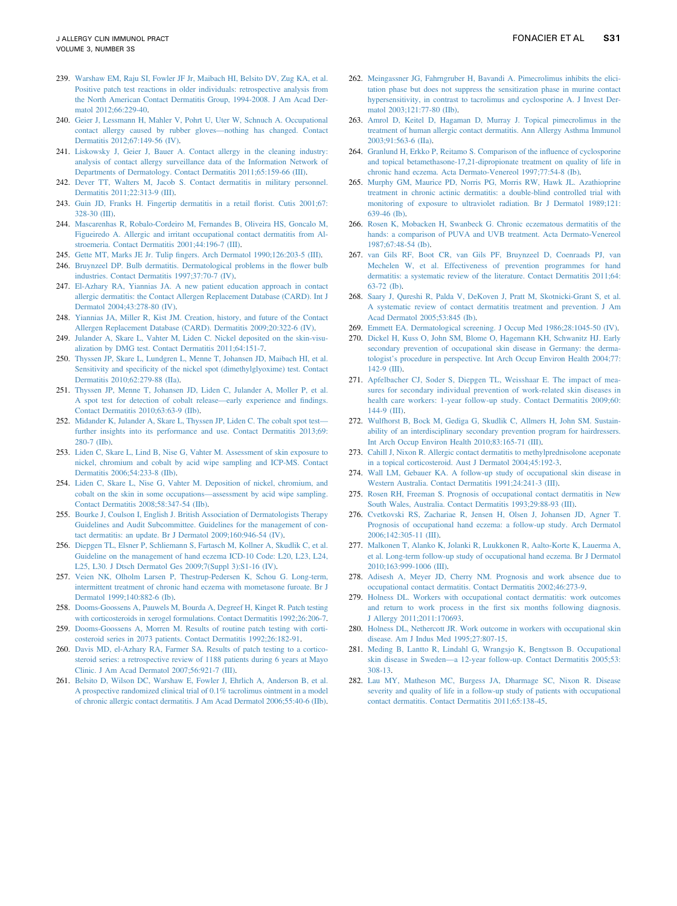- <span id="page-30-0"></span>239. [Warshaw EM, Raju SI, Fowler JF Jr, Maibach HI, Belsito DV, Zug KA, et al.](http://refhub.elsevier.com/S2213-2198(15)00116-6/sref239) [Positive patch test reactions in older individuals: retrospective analysis from](http://refhub.elsevier.com/S2213-2198(15)00116-6/sref239) [the North American Contact Dermatitis Group, 1994-2008. J Am Acad Der](http://refhub.elsevier.com/S2213-2198(15)00116-6/sref239)[matol 2012;66:229-40](http://refhub.elsevier.com/S2213-2198(15)00116-6/sref239).
- 240. [Geier J, Lessmann H, Mahler V, Pohrt U, Uter W, Schnuch A. Occupational](http://refhub.elsevier.com/S2213-2198(15)00116-6/sref240) [contact allergy caused by rubber gloves](http://refhub.elsevier.com/S2213-2198(15)00116-6/sref240)—nothing has changed. Contact [Dermatitis 2012;67:149-56 \(IV\).](http://refhub.elsevier.com/S2213-2198(15)00116-6/sref240)
- 241. [Liskowsky J, Geier J, Bauer A. Contact allergy in the cleaning industry:](http://refhub.elsevier.com/S2213-2198(15)00116-6/sref241) [analysis of contact allergy surveillance data of the Information Network of](http://refhub.elsevier.com/S2213-2198(15)00116-6/sref241) [Departments of Dermatology. Contact Dermatitis 2011;65:159-66 \(III\)](http://refhub.elsevier.com/S2213-2198(15)00116-6/sref241).
- 242. [Dever TT, Walters M, Jacob S. Contact dermatitis in military personnel.](http://refhub.elsevier.com/S2213-2198(15)00116-6/sref242) [Dermatitis 2011;22:313-9 \(III\).](http://refhub.elsevier.com/S2213-2198(15)00116-6/sref242)
- 243. [Guin JD, Franks H. Fingertip dermatitis in a retail](http://refhub.elsevier.com/S2213-2198(15)00116-6/sref243) florist. Cutis 2001;67: [328-30 \(III\)](http://refhub.elsevier.com/S2213-2198(15)00116-6/sref243).
- 244. [Mascarenhas R, Robalo-Cordeiro M, Fernandes B, Oliveira HS, Goncalo M,](http://refhub.elsevier.com/S2213-2198(15)00116-6/sref244) [Figueiredo A. Allergic and irritant occupational contact dermatitis from Al](http://refhub.elsevier.com/S2213-2198(15)00116-6/sref244)[stroemeria. Contact Dermatitis 2001;44:196-7 \(III\)](http://refhub.elsevier.com/S2213-2198(15)00116-6/sref244).
- 245. Gette MT, Marks JE Jr. Tulip fi[ngers. Arch Dermatol 1990;126:203-5 \(III\)](http://refhub.elsevier.com/S2213-2198(15)00116-6/sref245).
- 246. [Bruynzeel DP. Bulb dermatitis. Dermatological problems in the](http://refhub.elsevier.com/S2213-2198(15)00116-6/sref246) flower bulb [industries. Contact Dermatitis 1997;37:70-7 \(IV\)](http://refhub.elsevier.com/S2213-2198(15)00116-6/sref246).
- 247. [El-Azhary RA, Yiannias JA. A new patient education approach in contact](http://refhub.elsevier.com/S2213-2198(15)00116-6/sref247) [allergic dermatitis: the Contact Allergen Replacement Database \(CARD\). Int J](http://refhub.elsevier.com/S2213-2198(15)00116-6/sref247) [Dermatol 2004;43:278-80 \(IV\).](http://refhub.elsevier.com/S2213-2198(15)00116-6/sref247)
- 248. [Yiannias JA, Miller R, Kist JM. Creation, history, and future of the Contact](http://refhub.elsevier.com/S2213-2198(15)00116-6/sref248) [Allergen Replacement Database \(CARD\). Dermatitis 2009;20:322-6 \(IV\)](http://refhub.elsevier.com/S2213-2198(15)00116-6/sref248).
- 249. [Julander A, Skare L, Vahter M, Liden C. Nickel deposited on the skin-visu](http://refhub.elsevier.com/S2213-2198(15)00116-6/sref249)[alization by DMG test. Contact Dermatitis 2011;64:151-7](http://refhub.elsevier.com/S2213-2198(15)00116-6/sref249).
- 250. [Thyssen JP, Skare L, Lundgren L, Menne T, Johansen JD, Maibach HI, et al.](http://refhub.elsevier.com/S2213-2198(15)00116-6/sref250) Sensitivity and specifi[city of the nickel spot \(dimethylglyoxime\) test. Contact](http://refhub.elsevier.com/S2213-2198(15)00116-6/sref250) [Dermatitis 2010;62:279-88 \(IIa\).](http://refhub.elsevier.com/S2213-2198(15)00116-6/sref250)
- 251. [Thyssen JP, Menne T, Johansen JD, Liden C, Julander A, Moller P, et al.](http://refhub.elsevier.com/S2213-2198(15)00116-6/sref251) [A spot test for detection of cobalt release](http://refhub.elsevier.com/S2213-2198(15)00116-6/sref251)—early experience and findings. [Contact Dermatitis 2010;63:63-9 \(IIb\)](http://refhub.elsevier.com/S2213-2198(15)00116-6/sref251).
- 252. [Midander K, Julander A, Skare L, Thyssen JP, Liden C. The cobalt spot test](http://refhub.elsevier.com/S2213-2198(15)00116-6/sref252) [further insights into its performance and use. Contact Dermatitis 2013;69:](http://refhub.elsevier.com/S2213-2198(15)00116-6/sref252) [280-7 \(IIb\).](http://refhub.elsevier.com/S2213-2198(15)00116-6/sref252)
- 253. [Liden C, Skare L, Lind B, Nise G, Vahter M. Assessment of skin exposure to](http://refhub.elsevier.com/S2213-2198(15)00116-6/sref253) [nickel, chromium and cobalt by acid wipe sampling and ICP-MS. Contact](http://refhub.elsevier.com/S2213-2198(15)00116-6/sref253) [Dermatitis 2006;54:233-8 \(IIb\).](http://refhub.elsevier.com/S2213-2198(15)00116-6/sref253)
- 254. [Liden C, Skare L, Nise G, Vahter M. Deposition of nickel, chromium, and](http://refhub.elsevier.com/S2213-2198(15)00116-6/sref254) [cobalt on the skin in some occupations](http://refhub.elsevier.com/S2213-2198(15)00116-6/sref254)—assessment by acid wipe sampling. [Contact Dermatitis 2008;58:347-54 \(IIb\)](http://refhub.elsevier.com/S2213-2198(15)00116-6/sref254).
- 255. [Bourke J, Coulson I, English J. British Association of Dermatologists Therapy](http://refhub.elsevier.com/S2213-2198(15)00116-6/sref255) [Guidelines and Audit Subcommittee. Guidelines for the management of con](http://refhub.elsevier.com/S2213-2198(15)00116-6/sref255)[tact dermatitis: an update. Br J Dermatol 2009;160:946-54 \(IV\).](http://refhub.elsevier.com/S2213-2198(15)00116-6/sref255)
- 256. [Diepgen TL, Elsner P, Schliemann S, Fartasch M, Kollner A, Skudlik C, et al.](http://refhub.elsevier.com/S2213-2198(15)00116-6/sref256) [Guideline on the management of hand eczema ICD-10 Code: L20, L23, L24,](http://refhub.elsevier.com/S2213-2198(15)00116-6/sref256) [L25, L30. J Dtsch Dermatol Ges 2009;7\(Suppl 3\):S1-16 \(IV\).](http://refhub.elsevier.com/S2213-2198(15)00116-6/sref256)
- 257. [Veien NK, Olholm Larsen P, Thestrup-Pedersen K, Schou G. Long-term,](http://refhub.elsevier.com/S2213-2198(15)00116-6/sref257) [intermittent treatment of chronic hand eczema with mometasone furoate. Br J](http://refhub.elsevier.com/S2213-2198(15)00116-6/sref257) [Dermatol 1999;140:882-6 \(Ib\)](http://refhub.elsevier.com/S2213-2198(15)00116-6/sref257).
- 258. [Dooms-Goossens A, Pauwels M, Bourda A, Degreef H, Kinget R. Patch testing](http://refhub.elsevier.com/S2213-2198(15)00116-6/sref258) [with corticosteroids in xerogel formulations. Contact Dermatitis 1992;26:206-7.](http://refhub.elsevier.com/S2213-2198(15)00116-6/sref258)
- 259. [Dooms-Goossens A, Morren M. Results of routine patch testing with corti](http://refhub.elsevier.com/S2213-2198(15)00116-6/sref259)[costeroid series in 2073 patients. Contact Dermatitis 1992;26:182-91](http://refhub.elsevier.com/S2213-2198(15)00116-6/sref259).
- 260. [Davis MD, el-Azhary RA, Farmer SA. Results of patch testing to a cortico](http://refhub.elsevier.com/S2213-2198(15)00116-6/sref260)[steroid series: a retrospective review of 1188 patients during 6 years at Mayo](http://refhub.elsevier.com/S2213-2198(15)00116-6/sref260) [Clinic. J Am Acad Dermatol 2007;56:921-7 \(III\)](http://refhub.elsevier.com/S2213-2198(15)00116-6/sref260).
- 261. [Belsito D, Wilson DC, Warshaw E, Fowler J, Ehrlich A, Anderson B, et al.](http://refhub.elsevier.com/S2213-2198(15)00116-6/sref261) [A prospective randomized clinical trial of 0.1% tacrolimus ointment in a model](http://refhub.elsevier.com/S2213-2198(15)00116-6/sref261) [of chronic allergic contact dermatitis. J Am Acad Dermatol 2006;55:40-6 \(IIb\).](http://refhub.elsevier.com/S2213-2198(15)00116-6/sref261)
- 262. [Meingassner JG, Fahrngruber H, Bavandi A. Pimecrolimus inhibits the elici](http://refhub.elsevier.com/S2213-2198(15)00116-6/sref262)[tation phase but does not suppress the sensitization phase in murine contact](http://refhub.elsevier.com/S2213-2198(15)00116-6/sref262) [hypersensitivity, in contrast to tacrolimus and cyclosporine A. J Invest Der](http://refhub.elsevier.com/S2213-2198(15)00116-6/sref262)[matol 2003;121:77-80 \(IIb\)](http://refhub.elsevier.com/S2213-2198(15)00116-6/sref262).
- 263. [Amrol D, Keitel D, Hagaman D, Murray J. Topical pimecrolimus in the](http://refhub.elsevier.com/S2213-2198(15)00116-6/sref263) [treatment of human allergic contact dermatitis. Ann Allergy Asthma Immunol](http://refhub.elsevier.com/S2213-2198(15)00116-6/sref263) [2003;91:563-6 \(IIa\)](http://refhub.elsevier.com/S2213-2198(15)00116-6/sref263).
- 264. [Granlund H, Erkko P, Reitamo S. Comparison of the in](http://refhub.elsevier.com/S2213-2198(15)00116-6/sref264)fluence of cyclosporine [and topical betamethasone-17,21-dipropionate treatment on quality of life in](http://refhub.elsevier.com/S2213-2198(15)00116-6/sref264) [chronic hand eczema. Acta Dermato-Venereol 1997;77:54-8 \(Ib\).](http://refhub.elsevier.com/S2213-2198(15)00116-6/sref264)
- 265. [Murphy GM, Maurice PD, Norris PG, Morris RW, Hawk JL. Azathioprine](http://refhub.elsevier.com/S2213-2198(15)00116-6/sref265) [treatment in chronic actinic dermatitis: a double-blind controlled trial with](http://refhub.elsevier.com/S2213-2198(15)00116-6/sref265) [monitoring of exposure to ultraviolet radiation. Br J Dermatol 1989;121:](http://refhub.elsevier.com/S2213-2198(15)00116-6/sref265) [639-46 \(Ib\)](http://refhub.elsevier.com/S2213-2198(15)00116-6/sref265).
- 266. [Rosen K, Mobacken H, Swanbeck G. Chronic eczematous dermatitis of the](http://refhub.elsevier.com/S2213-2198(15)00116-6/sref266) [hands: a comparison of PUVA and UVB treatment. Acta Dermato-Venereol](http://refhub.elsevier.com/S2213-2198(15)00116-6/sref266) [1987;67:48-54 \(Ib\)](http://refhub.elsevier.com/S2213-2198(15)00116-6/sref266).
- 267. [van Gils RF, Boot CR, van Gils PF, Bruynzeel D, Coenraads PJ, van](http://refhub.elsevier.com/S2213-2198(15)00116-6/sref267) [Mechelen W, et al. Effectiveness of prevention programmes for hand](http://refhub.elsevier.com/S2213-2198(15)00116-6/sref267) [dermatitis: a systematic review of the literature. Contact Dermatitis 2011;64:](http://refhub.elsevier.com/S2213-2198(15)00116-6/sref267) [63-72 \(Ib\)](http://refhub.elsevier.com/S2213-2198(15)00116-6/sref267).
- 268. [Saary J, Qureshi R, Palda V, DeKoven J, Pratt M, Skotnicki-Grant S, et al.](http://refhub.elsevier.com/S2213-2198(15)00116-6/sref268) [A systematic review of contact dermatitis treatment and prevention. J Am](http://refhub.elsevier.com/S2213-2198(15)00116-6/sref268) [Acad Dermatol 2005;53:845 \(Ib\).](http://refhub.elsevier.com/S2213-2198(15)00116-6/sref268)
- 269. [Emmett EA. Dermatological screening. J Occup Med 1986;28:1045-50 \(IV\)](http://refhub.elsevier.com/S2213-2198(15)00116-6/sref269).
- 270. [Dickel H, Kuss O, John SM, Blome O, Hagemann KH, Schwanitz HJ. Early](http://refhub.elsevier.com/S2213-2198(15)00116-6/sref270) [secondary prevention of occupational skin disease in Germany: the derma](http://refhub.elsevier.com/S2213-2198(15)00116-6/sref270)tologist'[s procedure in perspective. Int Arch Occup Environ Health 2004;77:](http://refhub.elsevier.com/S2213-2198(15)00116-6/sref270) [142-9 \(III\).](http://refhub.elsevier.com/S2213-2198(15)00116-6/sref270)
- 271. [Apfelbacher CJ, Soder S, Diepgen TL, Weisshaar E. The impact of mea](http://refhub.elsevier.com/S2213-2198(15)00116-6/sref271)[sures for secondary individual prevention of work-related skin diseases in](http://refhub.elsevier.com/S2213-2198(15)00116-6/sref271) [health care workers: 1-year follow-up](http://refhub.elsevier.com/S2213-2198(15)00116-6/sref271) study. Contact Dermatitis 2009;60: [144-9 \(III\).](http://refhub.elsevier.com/S2213-2198(15)00116-6/sref271)
- 272. [Wulfhorst B, Bock M, Gediga G, Skudlik C, Allmers H, John SM. Sustain](http://refhub.elsevier.com/S2213-2198(15)00116-6/sref272)[ability of an interdisciplinary secondary prevention program for hairdressers.](http://refhub.elsevier.com/S2213-2198(15)00116-6/sref272) [Int Arch Occup Environ Health 2010;83:165-71 \(III\).](http://refhub.elsevier.com/S2213-2198(15)00116-6/sref272)
- 273. [Cahill J, Nixon R. Allergic contact dermatitis to methylprednisolone aceponate](http://refhub.elsevier.com/S2213-2198(15)00116-6/sref273) [in a topical corticosteroid. Aust J Dermatol 2004;45:192-3.](http://refhub.elsevier.com/S2213-2198(15)00116-6/sref273)
- 274. [Wall LM, Gebauer KA. A follow-up study of occupational skin disease in](http://refhub.elsevier.com/S2213-2198(15)00116-6/sref274) [Western Australia. Contact Dermatitis 1991;24:241-3 \(III\)](http://refhub.elsevier.com/S2213-2198(15)00116-6/sref274).
- 275. [Rosen RH, Freeman S. Prognosis of occupational contact dermatitis in New](http://refhub.elsevier.com/S2213-2198(15)00116-6/sref275) [South Wales, Australia. Contact Dermatitis 1993;29:88-93 \(III\).](http://refhub.elsevier.com/S2213-2198(15)00116-6/sref275)
- 276. [Cvetkovski RS, Zachariae R, Jensen H, Olsen J, Johansen JD, Agner T.](http://refhub.elsevier.com/S2213-2198(15)00116-6/sref276) [Prognosis of occupational hand eczema: a follow-up study. Arch Dermatol](http://refhub.elsevier.com/S2213-2198(15)00116-6/sref276) [2006;142:305-11 \(III\)](http://refhub.elsevier.com/S2213-2198(15)00116-6/sref276).
- 277. [Malkonen T, Alanko K, Jolanki R, Luukkonen R, Aalto-Korte K, Lauerma A,](http://refhub.elsevier.com/S2213-2198(15)00116-6/sref277) [et al. Long-term follow-up study of occupational hand eczema. Br J Dermatol](http://refhub.elsevier.com/S2213-2198(15)00116-6/sref277) [2010;163:999-1006 \(III\)](http://refhub.elsevier.com/S2213-2198(15)00116-6/sref277).
- 278. [Adisesh A, Meyer JD, Cherry NM. Prognosis and work absence due to](http://refhub.elsevier.com/S2213-2198(15)00116-6/sref278) [occupational contact dermatitis. Contact Dermatitis 2002;46:273-9](http://refhub.elsevier.com/S2213-2198(15)00116-6/sref278).
- 279. [Holness DL. Workers with occupational contact dermatitis: work outcomes](http://refhub.elsevier.com/S2213-2198(15)00116-6/sref279) and return to work process in the fi[rst six months following diagnosis.](http://refhub.elsevier.com/S2213-2198(15)00116-6/sref279) [J Allergy 2011;2011:170693.](http://refhub.elsevier.com/S2213-2198(15)00116-6/sref279)
- 280. [Holness DL, Nethercott JR. Work outcome in workers with occupational skin](http://refhub.elsevier.com/S2213-2198(15)00116-6/sref280) [disease. Am J Indus Med 1995;27:807-15.](http://refhub.elsevier.com/S2213-2198(15)00116-6/sref280)
- 281. [Meding B, Lantto R, Lindahl G, Wrangsjo K, Bengtsson B. Occupational](http://refhub.elsevier.com/S2213-2198(15)00116-6/sref281) skin disease in Sweden—[a 12-year follow-up. Contact Dermatitis 2005;53:](http://refhub.elsevier.com/S2213-2198(15)00116-6/sref281) [308-13.](http://refhub.elsevier.com/S2213-2198(15)00116-6/sref281)
- 282. [Lau MY, Matheson MC, Burgess JA, Dharmage SC, Nixon R. Disease](http://refhub.elsevier.com/S2213-2198(15)00116-6/sref282) [severity and quality of life in a follow-up study of patients with occupational](http://refhub.elsevier.com/S2213-2198(15)00116-6/sref282) [contact dermatitis. Contact Dermatitis 2011;65:138-45](http://refhub.elsevier.com/S2213-2198(15)00116-6/sref282).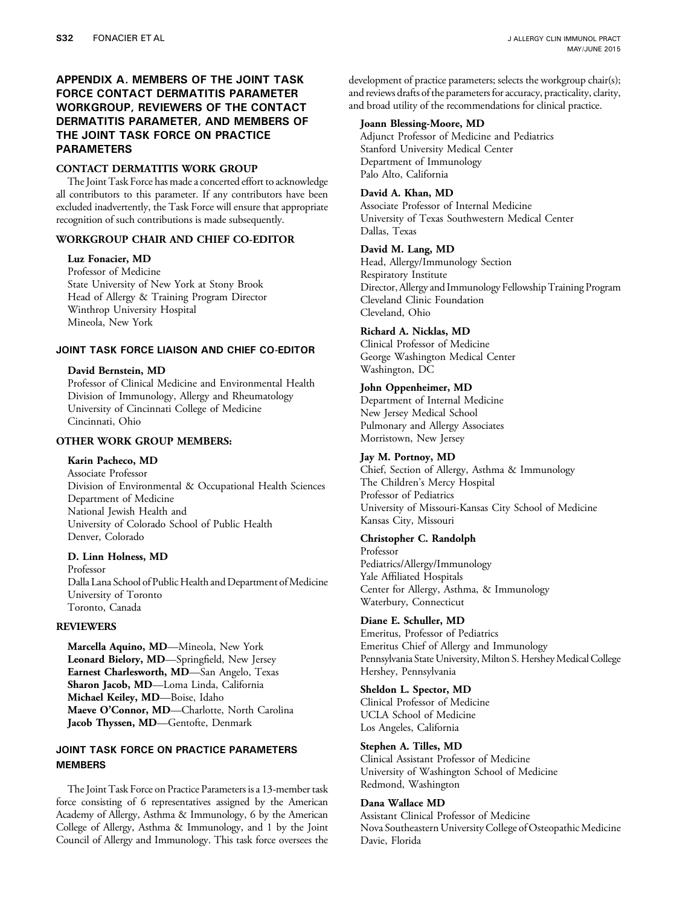# <span id="page-31-0"></span>APPENDIX A. MEMBERS OF THE JOINT TASK FORCE CONTACT DERMATITIS PARAMETER WORKGROUP, REVIEWERS OF THE CONTACT DERMATITIS PARAMETER, AND MEMBERS OF THE JOINT TASK FORCE ON PRACTICE PARAMETERS

# CONTACT DERMATITIS WORK GROUP

The Joint Task Force has made a concerted effort to acknowledge all contributors to this parameter. If any contributors have been excluded inadvertently, the Task Force will ensure that appropriate recognition of such contributions is made subsequently.

# WORKGROUP CHAIR AND CHIEF CO-EDITOR

### Luz Fonacier, MD

Professor of Medicine State University of New York at Stony Brook Head of Allergy & Training Program Director Winthrop University Hospital Mineola, New York

### JOINT TASK FORCE LIAISON AND CHIEF CO-EDITOR

#### David Bernstein, MD

Professor of Clinical Medicine and Environmental Health Division of Immunology, Allergy and Rheumatology University of Cincinnati College of Medicine Cincinnati, Ohio

# OTHER WORK GROUP MEMBERS:

# Karin Pacheco, MD

Associate Professor Division of Environmental & Occupational Health Sciences Department of Medicine National Jewish Health and University of Colorado School of Public Health Denver, Colorado

# D. Linn Holness, MD

Professor Dalla Lana School of Public Health and Department of Medicine University of Toronto Toronto, Canada

# **REVIEWERS**

Marcella Aquino, MD—Mineola, New York Leonard Bielory, MD—Springfield, New Jersey Earnest Charlesworth, MD—San Angelo, Texas Sharon Jacob, MD—Loma Linda, California Michael Keiley, MD—Boise, Idaho Maeve O'Connor, MD—Charlotte, North Carolina Jacob Thyssen, MD-Gentofte, Denmark

# JOINT TASK FORCE ON PRACTICE PARAMETERS MEMBERS

The Joint Task Force on Practice Parameters is a 13-member task force consisting of 6 representatives assigned by the American Academy of Allergy, Asthma & Immunology, 6 by the American College of Allergy, Asthma & Immunology, and 1 by the Joint Council of Allergy and Immunology. This task force oversees the development of practice parameters; selects the workgroup chair(s); and reviews drafts of the parameters for accuracy, practicality, clarity, and broad utility of the recommendations for clinical practice.

# Joann Blessing-Moore, MD

Adjunct Professor of Medicine and Pediatrics Stanford University Medical Center Department of Immunology Palo Alto, California

### David A. Khan, MD

Associate Professor of Internal Medicine University of Texas Southwestern Medical Center Dallas, Texas

### David M. Lang, MD

Head, Allergy/Immunology Section Respiratory Institute Director, Allergy and Immunology Fellowship Training Program Cleveland Clinic Foundation Cleveland, Ohio

# Richard A. Nicklas, MD

Clinical Professor of Medicine George Washington Medical Center Washington, DC

### John Oppenheimer, MD

Department of Internal Medicine New Jersey Medical School Pulmonary and Allergy Associates Morristown, New Jersey

#### Jay M. Portnoy, MD

Chief, Section of Allergy, Asthma & Immunology The Children's Mercy Hospital Professor of Pediatrics University of Missouri-Kansas City School of Medicine Kansas City, Missouri

# Christopher C. Randolph

Professor Pediatrics/Allergy/Immunology Yale Affiliated Hospitals Center for Allergy, Asthma, & Immunology Waterbury, Connecticut

# Diane E. Schuller, MD

Emeritus, Professor of Pediatrics Emeritus Chief of Allergy and Immunology Pennsylvania State University, Milton S. Hershey Medical College Hershey, Pennsylvania

# Sheldon L. Spector, MD

Clinical Professor of Medicine UCLA School of Medicine Los Angeles, California

### Stephen A. Tilles, MD

Clinical Assistant Professor of Medicine University of Washington School of Medicine Redmond, Washington

#### Dana Wallace MD

Assistant Clinical Professor of Medicine Nova Southeastern University College of Osteopathic Medicine Davie, Florida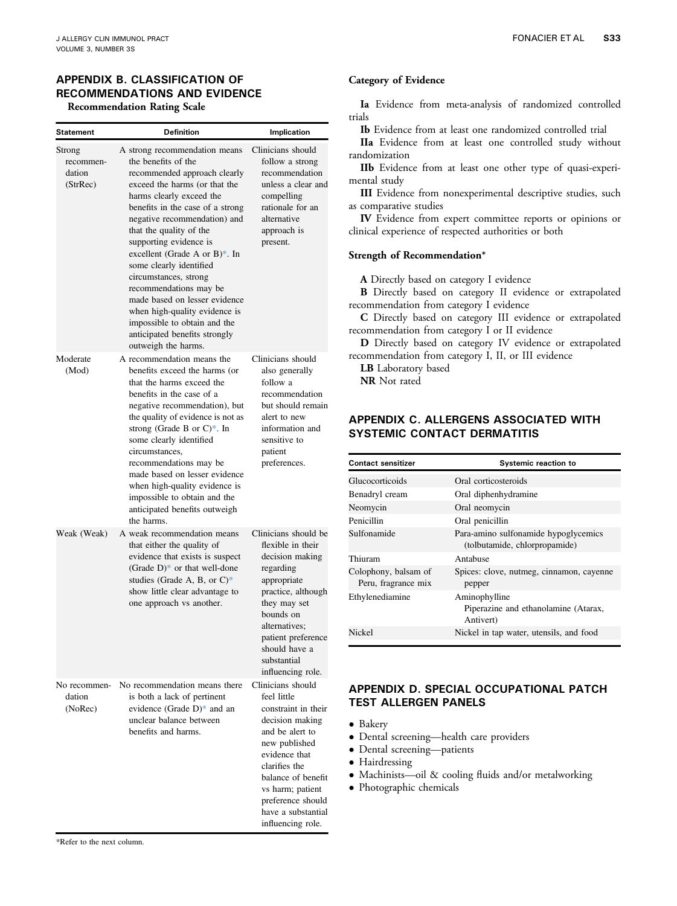# <span id="page-32-0"></span>APPENDIX B. CLASSIFICATION OF RECOMMENDATIONS AND EVIDENCE Recommendation Rating Scale

Statement **Definition** Definition **Implication** Strong recommendation (StrRec) A strong recommendation means Clinicians should the benefits of the recommended approach clearly exceed the harms (or that the harms clearly exceed the benefits in the case of a strong negative recommendation) and that the quality of the supporting evidence is excellent (Grade A or B)\*. In some clearly identified circumstances, strong recommendations may be made based on lesser evidence when high-quality evidence is impossible to obtain and the anticipated benefits strongly outweigh the harms. follow a strong recommendation unless a clear and compelling rationale for an alternative approach is present. Moderate (Mod) A recommendation means the benefits exceed the harms (or that the harms exceed the benefits in the case of a negative recommendation), but the quality of evidence is not as strong (Grade B or C)\*. In some clearly identified circumstances, recommendations may be made based on lesser evidence when high-quality evidence is impossible to obtain and the anticipated benefits outweigh the harms. Clinicians should also generally follow a recommendation but should remain alert to new information and sensitive to patient preferences. Weak (Weak) A weak recommendation means that either the quality of evidence that exists is suspect (Grade  $D$ )\* or that well-done studies (Grade A, B, or C)\* show little clear advantage to one approach vs another. Clinicians should be flexible in their decision making regarding appropriate practice, although they may set bounds on alternatives; patient preference should have a substantial influencing role. No recommen-No recommendation means there dation (NoRec) is both a lack of pertinent evidence (Grade D)\* and an unclear balance between benefits and harms. Clinicians should feel little constraint in their decision making and be alert to new published evidence that clarifies the balance of benefit vs harm; patient preference should have a substantial influencing role.

\*Refer to the next column.

# Category of Evidence

Ia Evidence from meta-analysis of randomized controlled trials

Ib Evidence from at least one randomized controlled trial

IIa Evidence from at least one controlled study without randomization

IIb Evidence from at least one other type of quasi-experimental study

III Evidence from nonexperimental descriptive studies, such as comparative studies

IV Evidence from expert committee reports or opinions or clinical experience of respected authorities or both

### Strength of Recommendation\*

A Directly based on category I evidence

B Directly based on category II evidence or extrapolated recommendation from category I evidence

C Directly based on category III evidence or extrapolated recommendation from category I or II evidence

D Directly based on category IV evidence or extrapolated recommendation from category I, II, or III evidence

LB Laboratory based

NR Not rated

# APPENDIX C. ALLERGENS ASSOCIATED WITH SYSTEMIC CONTACT DERMATITIS

| <b>Contact sensitizer</b>                   | <b>Systemic reaction to</b>                                           |
|---------------------------------------------|-----------------------------------------------------------------------|
| Glucocorticoids                             | Oral corticosteroids                                                  |
| Benadryl cream                              | Oral diphenhydramine                                                  |
| Neomycin                                    | Oral neomycin                                                         |
| Penicillin                                  | Oral penicillin                                                       |
| Sulfonamide                                 | Para-amino sulfonamide hypoglycemics<br>(tolbutamide, chlorpropamide) |
| Thiuram                                     | Antabuse                                                              |
| Colophony, balsam of<br>Peru, fragrance mix | Spices: clove, nutmeg, cinnamon, cayenne<br>pepper                    |
| Ethylenediamine                             | Aminophylline<br>Piperazine and ethanolamine (Atarax,<br>Antivert)    |
| Nickel                                      | Nickel in tap water, utensils, and food                               |

# APPENDIX D. SPECIAL OCCUPATIONAL PATCH TEST ALLERGEN PANELS

- Bakery
- Dental screening—health care providers
- Dental screening—patients
- Hairdressing
- Machinists—oil & cooling fluids and/or metalworking
- Photographic chemicals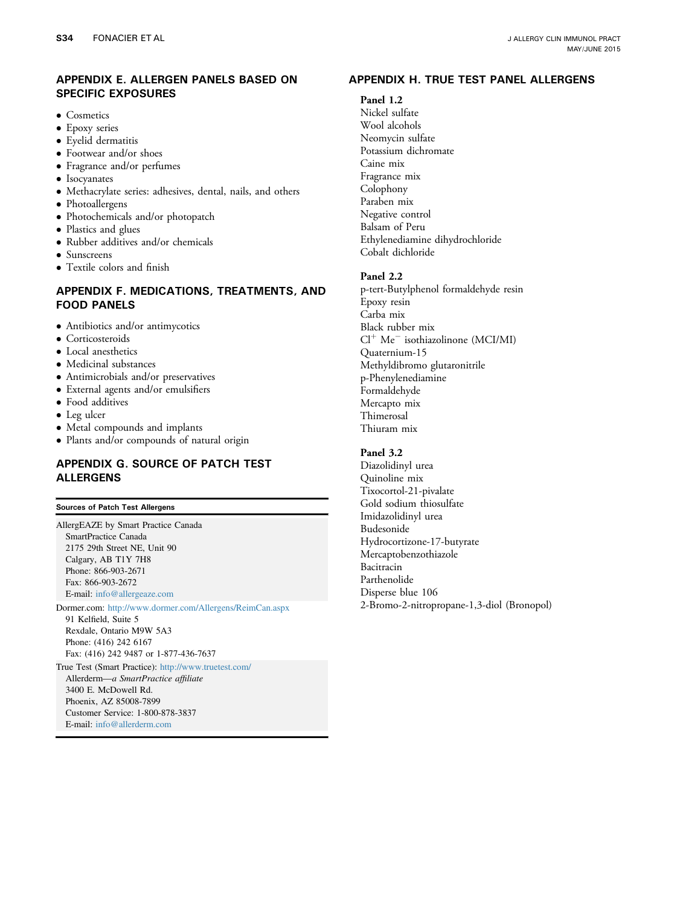# <span id="page-33-0"></span>APPENDIX E. ALLERGEN PANELS BASED ON SPECIFIC EXPOSURES

- Cosmetics
- Epoxy series
- Eyelid dermatitis
- Footwear and/or shoes
- Fragrance and/or perfumes
- Isocyanates
- Methacrylate series: adhesives, dental, nails, and others
- Photoallergens
- Photochemicals and/or photopatch
- Plastics and glues
- Rubber additives and/or chemicals
- Sunscreens
- Textile colors and finish

# APPENDIX F. MEDICATIONS, TREATMENTS, AND FOOD PANELS

- Antibiotics and/or antimycotics
- Corticosteroids
- Local anesthetics
- Medicinal substances
- Antimicrobials and/or preservatives
- External agents and/or emulsifiers
- Food additives
- Leg ulcer
- Metal compounds and implants
- Plants and/or compounds of natural origin

# APPENDIX G. SOURCE OF PATCH TEST ALLERGENS

# Sources of Patch Test Allergens

AllergEAZE by Smart Practice Canada SmartPractice Canada 2175 29th Street NE, Unit 90 Calgary, AB T1Y 7H8 Phone: 866-903-2671 Fax: 866-903-2672 E-mail: [info@allergeaze.com](mailto:info@allergeaze.com)

Dormer.com: <http://www.dormer.com/Allergens/ReimCan.aspx> 91 Kelfield, Suite 5 Rexdale, Ontario M9W 5A3 Phone: (416) 242 6167 Fax: (416) 242 9487 or 1-877-436-7637

True Test (Smart Practice): <http://www.truetest.com/> Allerderm—a SmartPractice affiliate 3400 E. McDowell Rd. Phoenix, AZ 85008-7899 Customer Service: 1-800-878-3837 E-mail: [info@allerderm.com](mailto:info@allerderm.com)

# APPENDIX H. TRUE TEST PANEL ALLERGENS

# Panel 1.2

Nickel sulfate Wool alcohols Neomycin sulfate Potassium dichromate Caine mix Fragrance mix Colophony Paraben mix Negative control Balsam of Peru Ethylenediamine dihydrochloride Cobalt dichloride

### Panel 2.2

p-tert-Butylphenol formaldehyde resin Epoxy resin Carba mix Black rubber mix  $Cl<sup>+</sup>$  Me<sup> $-$ </sup> isothiazolinone (MCI/MI) Quaternium-15 Methyldibromo glutaronitrile p-Phenylenediamine Formaldehyde Mercapto mix Thimerosal Thiuram mix

# Panel 3.2

Diazolidinyl urea Quinoline mix Tixocortol-21-pivalate Gold sodium thiosulfate Imidazolidinyl urea Budesonide Hydrocortizone-17-butyrate Mercaptobenzothiazole Bacitracin Parthenolide Disperse blue 106 2-Bromo-2-nitropropane-1,3-diol (Bronopol)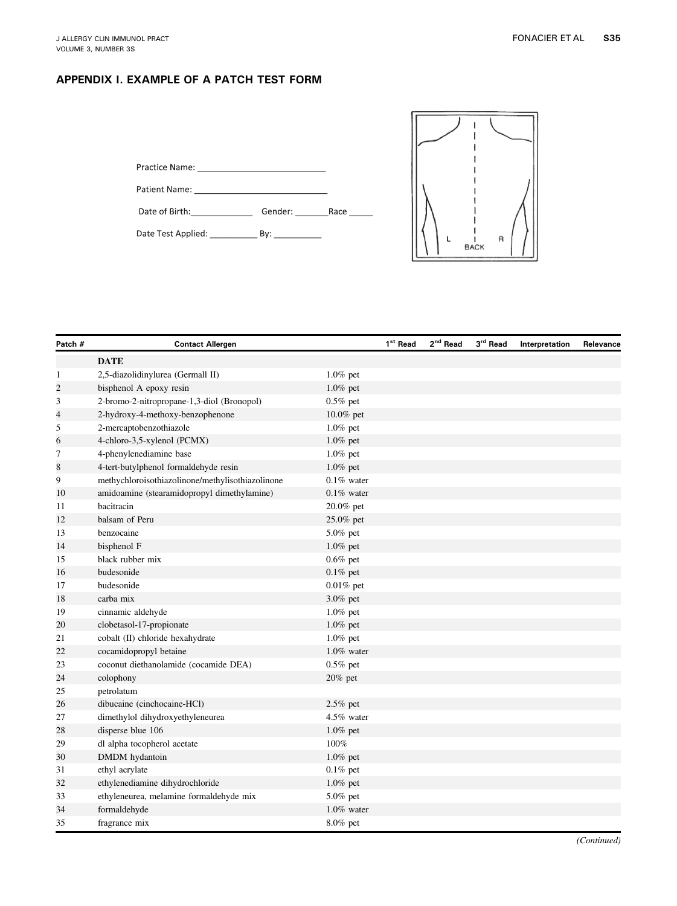# <span id="page-34-0"></span>APPENDIX I. EXAMPLE OF A PATCH TEST FORM



| Patch #        | <b>Contact Allergen</b>                          |               | $1st$ Read | $2nd$ Read | 3rd Read | Interpretation | Relevance |
|----------------|--------------------------------------------------|---------------|------------|------------|----------|----------------|-----------|
|                | <b>DATE</b>                                      |               |            |            |          |                |           |
| $\mathbf{1}$   | 2,5-diazolidinylurea (Germall II)                | 1.0% pet      |            |            |          |                |           |
| $\overline{2}$ | bisphenol A epoxy resin                          | $1.0\%$ pet   |            |            |          |                |           |
| 3              | 2-bromo-2-nitropropane-1,3-diol (Bronopol)       | $0.5\%$ pet   |            |            |          |                |           |
| 4              | 2-hydroxy-4-methoxy-benzophenone                 | 10.0% pet     |            |            |          |                |           |
| 5              | 2-mercaptobenzothiazole                          | $1.0\%$ pet   |            |            |          |                |           |
| 6              | 4-chloro-3,5-xylenol (PCMX)                      | 1.0% pet      |            |            |          |                |           |
| 7              | 4-phenylenediamine base                          | 1.0% pet      |            |            |          |                |           |
| 8              | 4-tert-butylphenol formaldehyde resin            | 1.0% pet      |            |            |          |                |           |
| 9              | methychloroisothiazolinone/methylisothiazolinone | $0.1\%$ water |            |            |          |                |           |
| 10             | amidoamine (stearamidopropyl dimethylamine)      | $0.1\%$ water |            |            |          |                |           |
| 11             | bacitracin                                       | 20.0% pet     |            |            |          |                |           |
| 12             | balsam of Peru                                   | 25.0% pet     |            |            |          |                |           |
| 13             | benzocaine                                       | 5.0% pet      |            |            |          |                |           |
| 14             | bisphenol F                                      | 1.0% pet      |            |            |          |                |           |
| 15             | black rubber mix                                 | $0.6\%$ pet   |            |            |          |                |           |
| 16             | budesonide                                       | $0.1\%$ pet   |            |            |          |                |           |
| 17             | budesonide                                       | $0.01\%$ pet  |            |            |          |                |           |
| 18             | carba mix                                        | 3.0% pet      |            |            |          |                |           |
| 19             | cinnamic aldehyde                                | 1.0% pet      |            |            |          |                |           |
| 20             | clobetasol-17-propionate                         | 1.0% pet      |            |            |          |                |           |
| 21             | cobalt (II) chloride hexahydrate                 | 1.0% pet      |            |            |          |                |           |
| 22             | cocamidopropyl betaine                           | $1.0\%$ water |            |            |          |                |           |
| 23             | coconut diethanolamide (cocamide DEA)            | $0.5\%$ pet   |            |            |          |                |           |
| 24             | colophony                                        | 20% pet       |            |            |          |                |           |
| 25             | petrolatum                                       |               |            |            |          |                |           |
| 26             | dibucaine (cinchocaine-HCl)                      | $2.5\%$ pet   |            |            |          |                |           |
| 27             | dimethylol dihydroxyethyleneurea                 | 4.5% water    |            |            |          |                |           |
| 28             | disperse blue 106                                | 1.0% pet      |            |            |          |                |           |
| 29             | dl alpha tocopherol acetate                      | 100%          |            |            |          |                |           |
| 30             | DMDM hydantoin                                   | $1.0\%$ pet   |            |            |          |                |           |
| 31             | ethyl acrylate                                   | $0.1\%$ pet   |            |            |          |                |           |
| 32             | ethylenediamine dihydrochloride                  | 1.0% pet      |            |            |          |                |           |
| 33             | ethyleneurea, melamine formaldehyde mix          | 5.0% pet      |            |            |          |                |           |
| 34             | formaldehyde                                     | $1.0\%$ water |            |            |          |                |           |
| 35             | fragrance mix                                    | 8.0% pet      |            |            |          |                |           |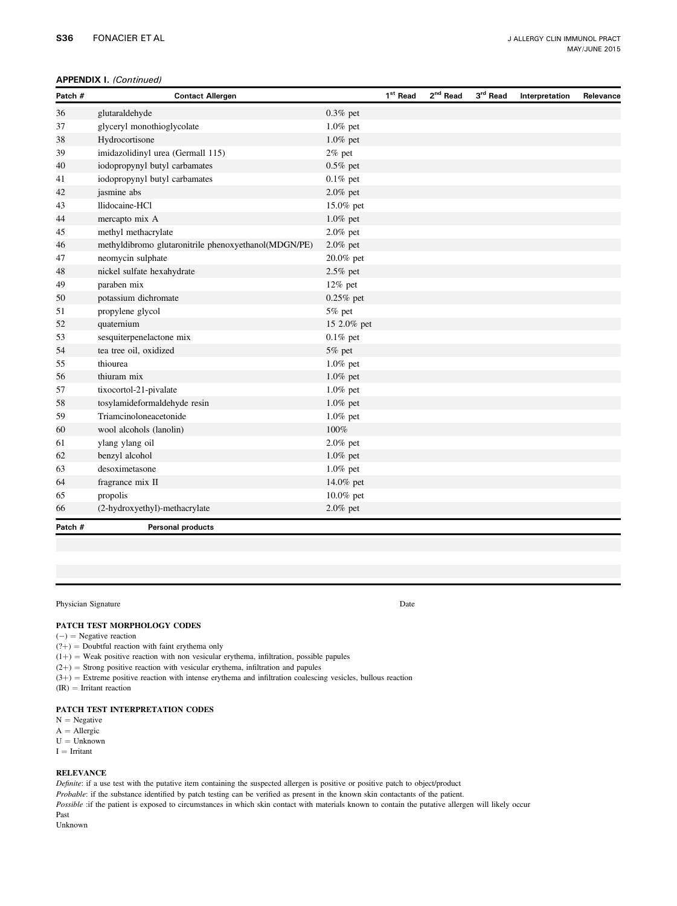# APPENDIX I. (Continued)

| Patch # | <b>Contact Allergen</b>                              |              | 1 <sup>st</sup> Read | $2nd$ Read | $3^{\rm rd}$ Read | Interpretation | Relevance |
|---------|------------------------------------------------------|--------------|----------------------|------------|-------------------|----------------|-----------|
| 36      | glutaraldehyde                                       | $0.3\%$ pet  |                      |            |                   |                |           |
| 37      | glyceryl monothioglycolate                           | $1.0\%$ pet  |                      |            |                   |                |           |
| 38      | Hydrocortisone                                       | $1.0\%$ pet  |                      |            |                   |                |           |
| 39      | imidazolidinyl urea (Germall 115)                    | 2% pet       |                      |            |                   |                |           |
| 40      | iodopropynyl butyl carbamates                        | $0.5\%$ pet  |                      |            |                   |                |           |
| 41      | iodopropynyl butyl carbamates                        | $0.1\%$ pet  |                      |            |                   |                |           |
| 42      | jasmine abs                                          | $2.0\%$ pet  |                      |            |                   |                |           |
| 43      | llidocaine-HCl                                       | 15.0% pet    |                      |            |                   |                |           |
| 44      | mercapto mix A                                       | 1.0% pet     |                      |            |                   |                |           |
| 45      | methyl methacrylate                                  | $2.0\%$ pet  |                      |            |                   |                |           |
| 46      | methyldibromo glutaronitrile phenoxyethanol(MDGN/PE) | 2.0% pet     |                      |            |                   |                |           |
| 47      | neomycin sulphate                                    | 20.0% pet    |                      |            |                   |                |           |
| 48      | nickel sulfate hexahydrate                           | $2.5\%$ pet  |                      |            |                   |                |           |
| 49      | paraben mix                                          | 12% pet      |                      |            |                   |                |           |
| 50      | potassium dichromate                                 | $0.25\%$ pet |                      |            |                   |                |           |
| 51      | propylene glycol                                     | 5% pet       |                      |            |                   |                |           |
| 52      | quaternium                                           | 15 2.0% pet  |                      |            |                   |                |           |
| 53      | sesquiterpenelactone mix                             | $0.1\%$ pet  |                      |            |                   |                |           |
| 54      | tea tree oil, oxidized                               | 5% pet       |                      |            |                   |                |           |
| 55      | thiourea                                             | $1.0\%$ pet  |                      |            |                   |                |           |
| 56      | thiuram mix                                          | 1.0% pet     |                      |            |                   |                |           |
| 57      | tixocortol-21-pivalate                               | 1.0% pet     |                      |            |                   |                |           |
| 58      | tosylamideformaldehyde resin                         | 1.0% pet     |                      |            |                   |                |           |
| 59      | Triamcinoloneacetonide                               | 1.0% pet     |                      |            |                   |                |           |
| 60      | wool alcohols (lanolin)                              | 100%         |                      |            |                   |                |           |
| 61      | ylang ylang oil                                      | $2.0\%$ pet  |                      |            |                   |                |           |
| 62      | benzyl alcohol                                       | $1.0\%$ pet  |                      |            |                   |                |           |
| 63      | desoximetasone                                       | $1.0\%$ pet  |                      |            |                   |                |           |
| 64      | fragrance mix II                                     | 14.0% pet    |                      |            |                   |                |           |
| 65      | propolis                                             | 10.0% pet    |                      |            |                   |                |           |
| 66      | (2-hydroxyethyl)-methacrylate                        | $2.0\%$ pet  |                      |            |                   |                |           |
| Patch # | <b>Personal products</b>                             |              |                      |            |                   |                |           |

Physician Signature Date

#### PATCH TEST MORPHOLOGY CODES

 $(-)$  = Negative reaction

 $(?) +$  Doubtful reaction with faint erythema only

 $(1+)$  = Weak positive reaction with non vesicular erythema, infiltration, possible papules

 $(2+)$  = Strong positive reaction with vesicular erythema, infiltration and papules

 $(3+)$  = Extreme positive reaction with intense erythema and infiltration coalescing vesicles, bullous reaction

 $(IR)$  = Irritant reaction

#### PATCH TEST INTERPRETATION CODES

 $\mathbf{N} = \mathbf{Negative}$ 

 $A =$  Allergic

 $U =$  Unknown

 $I = Irritant$ 

### RELEVANCE

Definite: if a use test with the putative item containing the suspected allergen is positive or positive patch to object/product Probable: if the substance identified by patch testing can be verified as present in the known skin contactants of the patient. Possible :if the patient is exposed to circumstances in which skin contact with materials known to contain the putative allergen will likely occur Past Unknown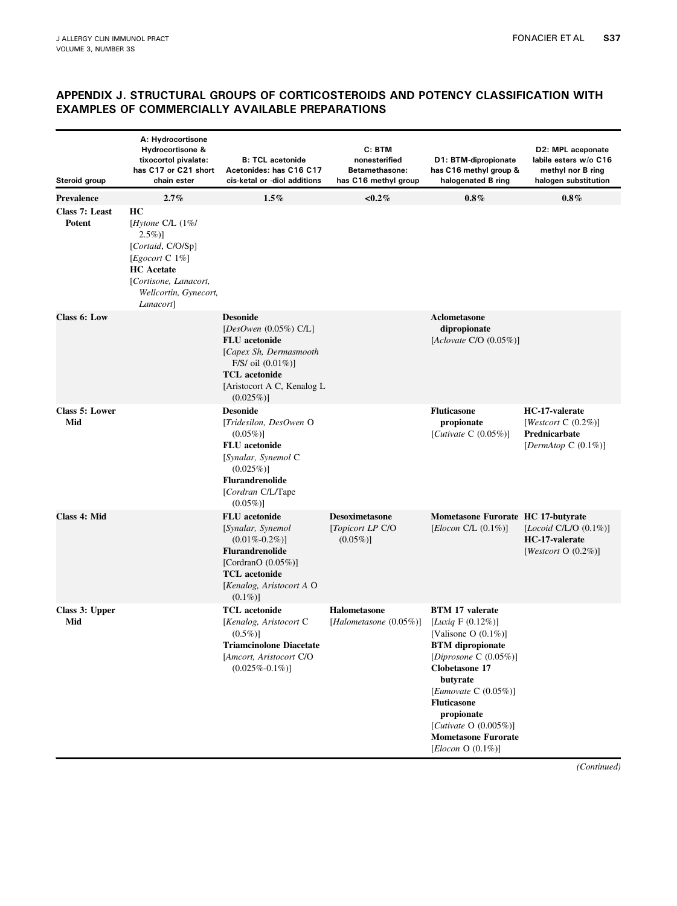# <span id="page-36-0"></span>APPENDIX J. STRUCTURAL GROUPS OF CORTICOSTEROIDS AND POTENCY CLASSIFICATION WITH EXAMPLES OF COMMERCIALLY AVAILABLE PREPARATIONS

| Steroid group            | A: Hydrocortisone<br>Hydrocortisone &<br>tixocortol pivalate:<br>has C17 or C21 short<br>chain ester                                                                     | <b>B: TCL acetonide</b><br>Acetonides: has C16 C17<br>cis-ketal or -diol additions                                                                                                              | C: BTM<br>nonesterified<br>Betamethasone:<br>has C16 methyl group | D1: BTM-dipropionate<br>has C16 methyl group &<br>halogenated B ring                                                                                                                                                                                                                                                                             | D2: MPL aceponate<br>labile esters w/o C16<br>methyl nor B ring<br>halogen substitution |
|--------------------------|--------------------------------------------------------------------------------------------------------------------------------------------------------------------------|-------------------------------------------------------------------------------------------------------------------------------------------------------------------------------------------------|-------------------------------------------------------------------|--------------------------------------------------------------------------------------------------------------------------------------------------------------------------------------------------------------------------------------------------------------------------------------------------------------------------------------------------|-----------------------------------------------------------------------------------------|
| <b>Prevalence</b>        | 2.7%                                                                                                                                                                     | $1.5\%$                                                                                                                                                                                         | $<,0.2\%$                                                         | $0.8\%$                                                                                                                                                                                                                                                                                                                                          | $0.8\%$                                                                                 |
| Class 7: Least<br>Potent | HC<br>[ $H$ ytone C/L $(1\%)$<br>$2.5\%)$<br>[Cortaid, C/O/Sp]<br>[ $Eqocort C 1\%$ ]<br><b>HC</b> Acetate<br>[Cortisone, Lanacort,<br>Wellcortin, Gynecort,<br>Lanacort |                                                                                                                                                                                                 |                                                                   |                                                                                                                                                                                                                                                                                                                                                  |                                                                                         |
| <b>Class 6: Low</b>      |                                                                                                                                                                          | <b>Desonide</b><br>[ $Des Owen$ (0.05%) C/L]<br><b>FLU</b> acetonide<br>[Capex Sh, Dermasmooth]<br>$F/S/$ oil $(0.01\%)$ ]<br><b>TCL</b> acetonide<br>[Aristocort A C, Kenalog L<br>$(0.025\%)$ |                                                                   | Aclometasone<br>dipropionate<br>[Aclovate C/O $(0.05\%)$ ]                                                                                                                                                                                                                                                                                       |                                                                                         |
| Class 5: Lower<br>Mid    |                                                                                                                                                                          | <b>Desonide</b><br>[Tridesilon, DesOwen O<br>$(0.05\%)$<br><b>FLU</b> acetonide<br>[Synalar, Synemol C<br>$(0.025\%)$<br><b>Flurandrenolide</b><br>[Cordran C/L/Tape<br>$(0.05\%)$              |                                                                   | <b>Fluticasone</b><br>propionate<br>[Cutivate C $(0.05\%)$ ]                                                                                                                                                                                                                                                                                     | HC-17-valerate<br>[Westcort C $(0.2\%)$ ]<br>Prednicarbate<br>[DermAtop C $(0.1\%)$ ]   |
| Class 4: Mid             |                                                                                                                                                                          | <b>FLU</b> acetonide<br>[Synalar, Synemol]<br>$(0.01\% - 0.2\%)$<br><b>Flurandrenolide</b><br>[CordranO $(0.05\%)$ ]<br><b>TCL</b> acetonide<br>[Kenalog, Aristocort A O<br>$(0.1\%)$           | Desoximetasone<br>[Topicort LP C/O<br>$(0.05\%)$                  | Mometasone Furorate HC 17-butyrate<br>[ <i>Elocon</i> C/L $(0.1\%)$ ]                                                                                                                                                                                                                                                                            | [ <i>Locoid C/L/O</i> $(0.1\%)$ ]<br>HC-17-valerate<br>[Westcort $O(0.2\%)$ ]           |
| Class 3: Upper<br>Mid    |                                                                                                                                                                          | <b>TCL</b> acetonide<br>[Kenalog, Aristocort C<br>$(0.5\%)$<br><b>Triamcinolone Diacetate</b><br>[Amcort, Aristocort C/O<br>$(0.025\% - 0.1\%)$                                                 | <b>Halometasone</b><br>[Halometasone $(0.05\%)$ ]                 | <b>BTM 17 valerate</b><br>[ <i>Luxiq</i> F $(0.12\%)$ ]<br>[Valisone O $(0.1\%)$ ]<br><b>BTM</b> dipropionate<br>[Diprosone C $(0.05\%)$ ]<br><b>Clobetasone 17</b><br>butyrate<br>[Eumovate C $(0.05\%)$ ]<br><b>Fluticasone</b><br>propionate<br>[ <i>Cutivate O (0.005%</i> )]<br><b>Mometasone Furorate</b><br>[ <i>Elocon</i> O $(0.1\%)$ ] |                                                                                         |

(Continued)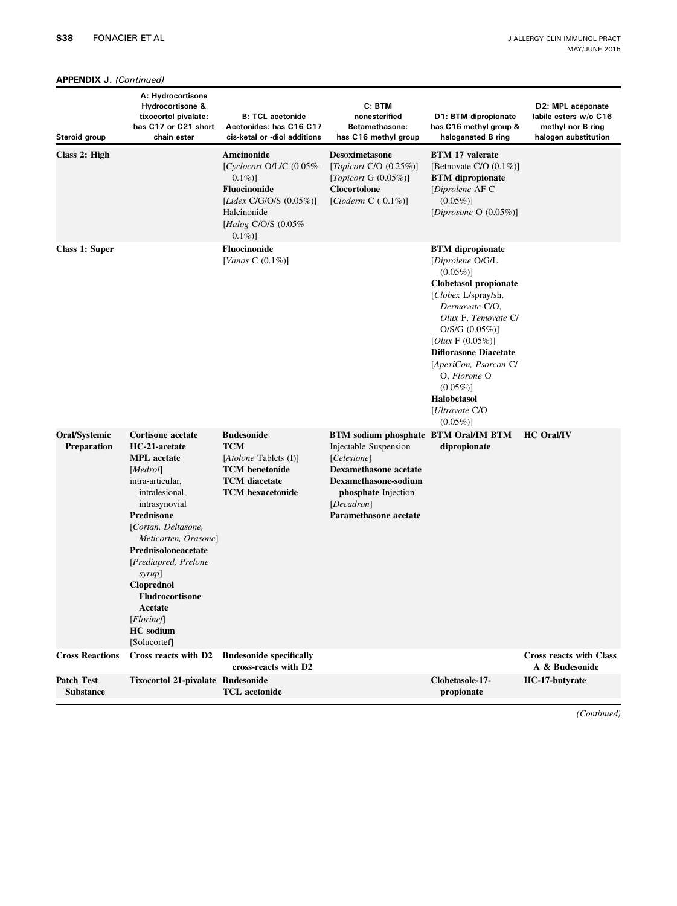# APPENDIX J. (Continued)

| Steroid group                         | A: Hydrocortisone<br>Hydrocortisone &<br>tixocortol pivalate:<br>has C17 or C21 short<br>chain ester                                                                                                                                                                                                                                                                  | <b>B: TCL acetonide</b><br>Acetonides: has C16 C17<br>cis-ketal or -diol additions                                                                          | C: BTM<br>nonesterified<br>Betamethasone:<br>has C16 methyl group                                                                                                                                  | D1: BTM-dipropionate<br>has C16 methyl group &<br>halogenated B ring                                                                                                                                                                                                                                                                                         | D2: MPL aceponate<br>labile esters w/o C16<br>methyl nor B ring<br>halogen substitution |
|---------------------------------------|-----------------------------------------------------------------------------------------------------------------------------------------------------------------------------------------------------------------------------------------------------------------------------------------------------------------------------------------------------------------------|-------------------------------------------------------------------------------------------------------------------------------------------------------------|----------------------------------------------------------------------------------------------------------------------------------------------------------------------------------------------------|--------------------------------------------------------------------------------------------------------------------------------------------------------------------------------------------------------------------------------------------------------------------------------------------------------------------------------------------------------------|-----------------------------------------------------------------------------------------|
| Class 2: High                         |                                                                                                                                                                                                                                                                                                                                                                       | Amcinonide<br>[Cyclocort O/L/C (0.05%-<br>$0.1\%)$<br><b>Fluocinonide</b><br>[Lidex C/G/O/S $(0.05\%)$ ]<br>Halcinonide<br>[Halog C/O/S (0.05%-<br>$0.1\%)$ | <b>Desoximetasone</b><br>[Topicort C/O $(0.25\%)$ ]<br>[ <i>Topicort</i> G $(0.05\%)$ ]<br>Clocortolone<br>[Cloderm C $(0.1\%)$ ]                                                                  | <b>BTM 17 valerate</b><br>[Betnovate $C/O$ $(0.1\%)$ ]<br><b>BTM</b> dipropionate<br>[Diprolene AF C<br>$(0.05\%)$<br>[Diprosone O $(0.05\%)$ ]                                                                                                                                                                                                              |                                                                                         |
| Class 1: Super                        |                                                                                                                                                                                                                                                                                                                                                                       | <b>Fluocinonide</b><br>[ <i>Vanos</i> C $(0.1\%)$ ]                                                                                                         |                                                                                                                                                                                                    | <b>BTM</b> dipropionate<br>[Diprolene O/G/L<br>$(0.05\%)$<br>Clobetasol propionate<br>[ <i>Clobex L</i> /spray/sh,<br>Dermovate C/O,<br>Olux F, Temovate C/<br>$O/S/G (0.05\%)$<br>[ <i>Olux F</i> $(0.05\%)$ ]<br><b>Diflorasone Diacetate</b><br>[ApexiCon, Psorcon C/<br>O, Florone O<br>$(0.05\%)$<br><b>Halobetasol</b><br>[Ultravate C/O<br>$(0.05\%)$ |                                                                                         |
| Oral/Systemic<br><b>Preparation</b>   | <b>Cortisone</b> acetate<br>HC-21-acetate<br><b>MPL</b> acetate<br>[Medrol]<br>intra-articular,<br>intralesional,<br>intrasynovial<br>Prednisone<br>[Cortan, Deltasone,<br>Meticorten, Orasone]<br>Prednisoloneacetate<br>[Prediapred, Prelone]<br>syrup]<br><b>Cloprednol</b><br><b>Fludrocortisone</b><br>Acetate<br>[Florinef]<br><b>HC</b> sodium<br>[Solucortef] | <b>Budesonide</b><br>TCM<br>[ <i>Atolone</i> Tablets (I)]<br><b>TCM</b> benetonide<br><b>TCM</b> diacetate<br><b>TCM</b> hexacetonide                       | BTM sodium phosphate BTM Oral/IM BTM<br>Injectable Suspension<br>[Celestone]<br>Dexamethasone acetate<br>Dexamethasone-sodium<br><b>phosphate</b> Injection<br>[Decadron]<br>Paramethasone acetate | dipropionate                                                                                                                                                                                                                                                                                                                                                 | <b>HC Oral/IV</b>                                                                       |
| <b>Cross Reactions</b>                | Cross reacts with D2                                                                                                                                                                                                                                                                                                                                                  | <b>Budesonide specifically</b><br>cross-reacts with D2                                                                                                      |                                                                                                                                                                                                    |                                                                                                                                                                                                                                                                                                                                                              | <b>Cross reacts with Class</b><br>A & Budesonide                                        |
| <b>Patch Test</b><br><b>Substance</b> | Tixocortol 21-pivalate Budesonide                                                                                                                                                                                                                                                                                                                                     | <b>TCL</b> acetonide                                                                                                                                        |                                                                                                                                                                                                    | Clobetasole-17-<br>propionate                                                                                                                                                                                                                                                                                                                                | HC-17-butyrate                                                                          |

(Continued)